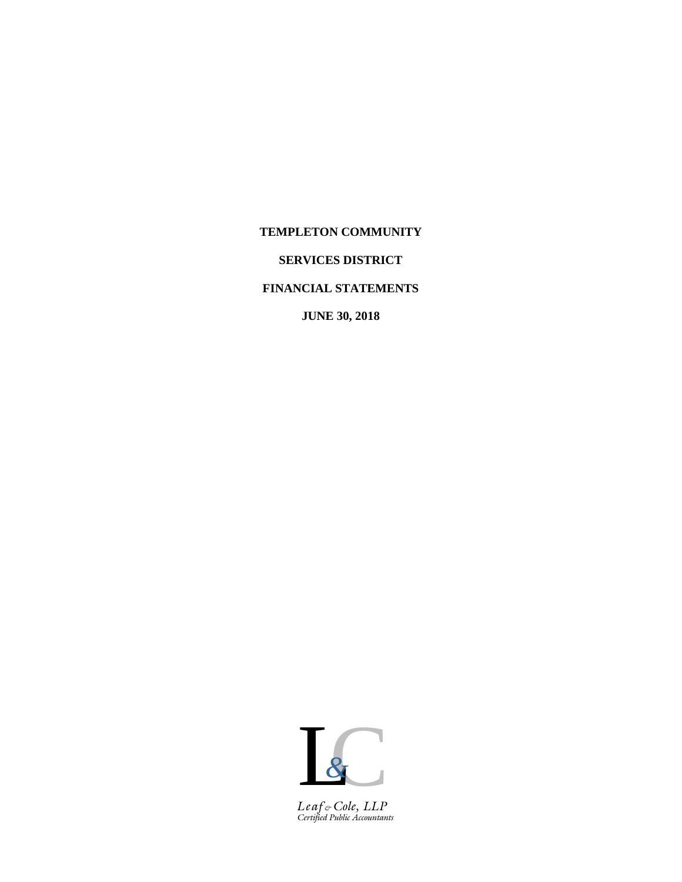## **TEMPLETON COMMUNITY**

# **SERVICES DISTRICT**

# **FINANCIAL STATEMENTS**

**JUNE 30, 2018**



*Certified Public Accountants Leaf & Cole, LLP*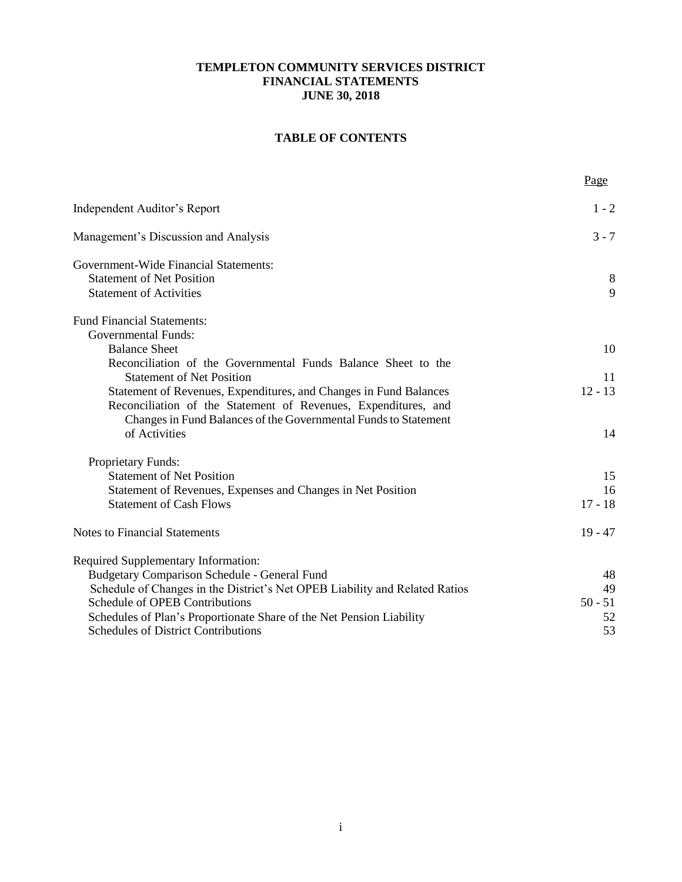# **TABLE OF CONTENTS**

|                                                                                  | Page      |
|----------------------------------------------------------------------------------|-----------|
| Independent Auditor's Report                                                     | $1 - 2$   |
| Management's Discussion and Analysis                                             | $3 - 7$   |
| Government-Wide Financial Statements:                                            |           |
| <b>Statement of Net Position</b><br><b>Statement of Activities</b>               | 8<br>9    |
|                                                                                  |           |
| <b>Fund Financial Statements:</b>                                                |           |
| <b>Governmental Funds:</b>                                                       |           |
| <b>Balance Sheet</b>                                                             | 10        |
| Reconciliation of the Governmental Funds Balance Sheet to the                    |           |
| <b>Statement of Net Position</b>                                                 | 11        |
| Statement of Revenues, Expenditures, and Changes in Fund Balances                | $12 - 13$ |
| Reconciliation of the Statement of Revenues, Expenditures, and                   |           |
| Changes in Fund Balances of the Governmental Funds to Statement<br>of Activities | 14        |
|                                                                                  |           |
| <b>Proprietary Funds:</b>                                                        |           |
| <b>Statement of Net Position</b>                                                 | 15        |
| Statement of Revenues, Expenses and Changes in Net Position                      | 16        |
| <b>Statement of Cash Flows</b>                                                   | $17 - 18$ |
| <b>Notes to Financial Statements</b>                                             | $19 - 47$ |
| Required Supplementary Information:                                              |           |
| <b>Budgetary Comparison Schedule - General Fund</b>                              | 48        |
| Schedule of Changes in the District's Net OPEB Liability and Related Ratios      | 49        |
| Schedule of OPEB Contributions                                                   | $50 - 51$ |
| Schedules of Plan's Proportionate Share of the Net Pension Liability             | 52        |
| <b>Schedules of District Contributions</b>                                       | 53        |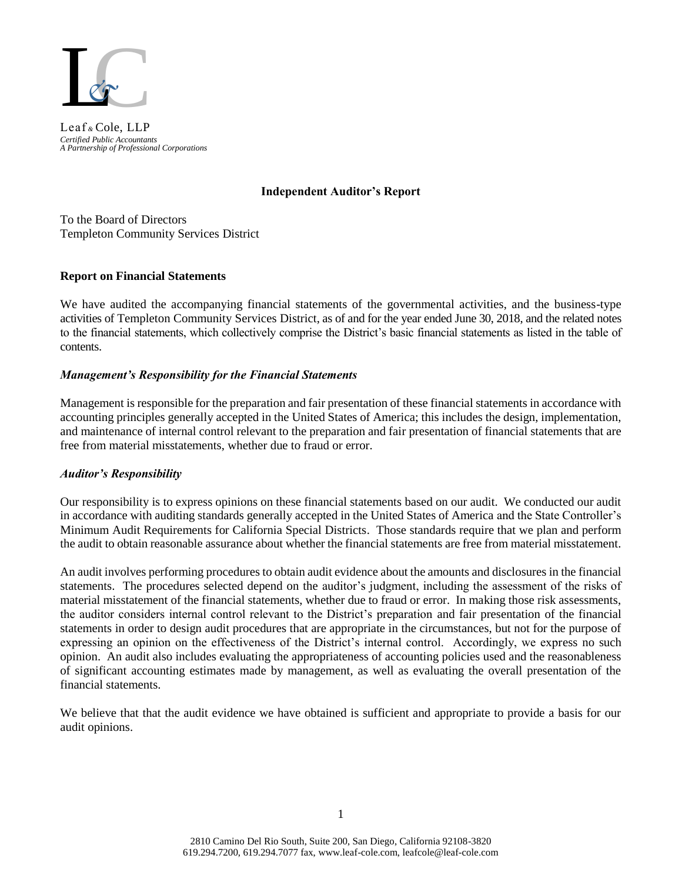

*Certified Public Accountants A Partnership of Professional Corporations* Leaf *&* Cole, LLP

### **Independent Auditor's Report**

To the Board of Directors Templeton Community Services District

## **Report on Financial Statements**

We have audited the accompanying financial statements of the governmental activities, and the business-type activities of Templeton Community Services District, as of and for the year ended June 30, 2018, and the related notes to the financial statements, which collectively comprise the District's basic financial statements as listed in the table of contents.

## *Management's Responsibility for the Financial Statements*

Management is responsible for the preparation and fair presentation of these financial statements in accordance with accounting principles generally accepted in the United States of America; this includes the design, implementation, and maintenance of internal control relevant to the preparation and fair presentation of financial statements that are free from material misstatements, whether due to fraud or error.

## *Auditor's Responsibility*

Our responsibility is to express opinions on these financial statements based on our audit. We conducted our audit in accordance with auditing standards generally accepted in the United States of America and the State Controller's Minimum Audit Requirements for California Special Districts. Those standards require that we plan and perform the audit to obtain reasonable assurance about whether the financial statements are free from material misstatement.

An audit involves performing procedures to obtain audit evidence about the amounts and disclosures in the financial statements. The procedures selected depend on the auditor's judgment, including the assessment of the risks of material misstatement of the financial statements, whether due to fraud or error. In making those risk assessments, the auditor considers internal control relevant to the District's preparation and fair presentation of the financial statements in order to design audit procedures that are appropriate in the circumstances, but not for the purpose of expressing an opinion on the effectiveness of the District's internal control. Accordingly, we express no such opinion. An audit also includes evaluating the appropriateness of accounting policies used and the reasonableness of significant accounting estimates made by management, as well as evaluating the overall presentation of the financial statements.

We believe that that the audit evidence we have obtained is sufficient and appropriate to provide a basis for our audit opinions.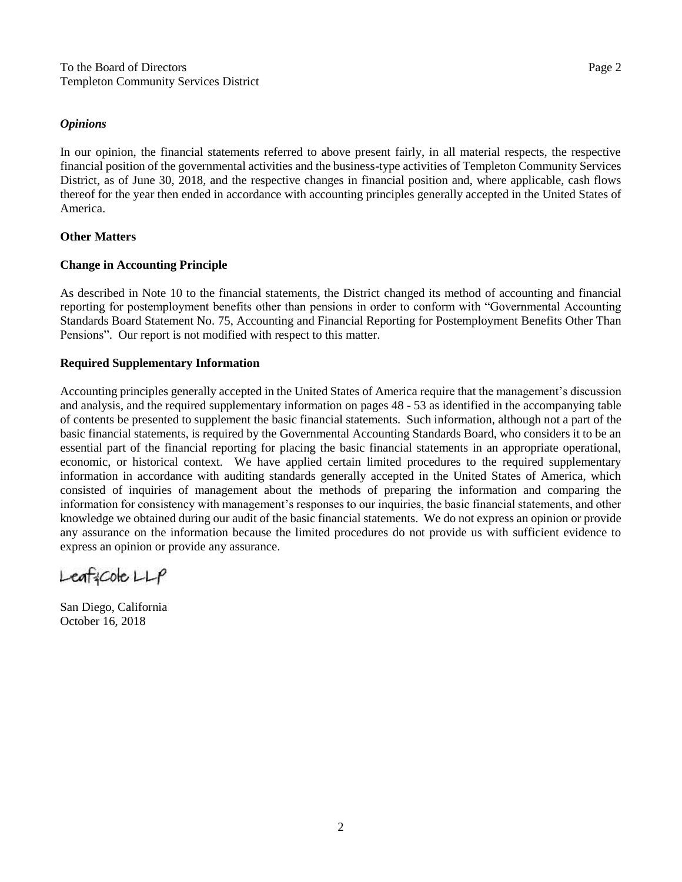### *Opinions*

In our opinion, the financial statements referred to above present fairly, in all material respects, the respective financial position of the governmental activities and the business-type activities of Templeton Community Services District, as of June 30, 2018, and the respective changes in financial position and, where applicable, cash flows thereof for the year then ended in accordance with accounting principles generally accepted in the United States of America.

## **Other Matters**

### **Change in Accounting Principle**

As described in Note 10 to the financial statements, the District changed its method of accounting and financial reporting for postemployment benefits other than pensions in order to conform with "Governmental Accounting Standards Board Statement No. 75, Accounting and Financial Reporting for Postemployment Benefits Other Than Pensions". Our report is not modified with respect to this matter.

## **Required Supplementary Information**

Accounting principles generally accepted in the United States of America require that the management's discussion and analysis, and the required supplementary information on pages 48 - 53 as identified in the accompanying table of contents be presented to supplement the basic financial statements. Such information, although not a part of the basic financial statements, is required by the Governmental Accounting Standards Board, who considers it to be an essential part of the financial reporting for placing the basic financial statements in an appropriate operational, economic, or historical context. We have applied certain limited procedures to the required supplementary information in accordance with auditing standards generally accepted in the United States of America, which consisted of inquiries of management about the methods of preparing the information and comparing the information for consistency with management's responses to our inquiries, the basic financial statements, and other knowledge we obtained during our audit of the basic financial statements. We do not express an opinion or provide any assurance on the information because the limited procedures do not provide us with sufficient evidence to express an opinion or provide any assurance.

 $L$ eaf: $C$ ole $L$  $L$  $P$ 

San Diego, California October 16, 2018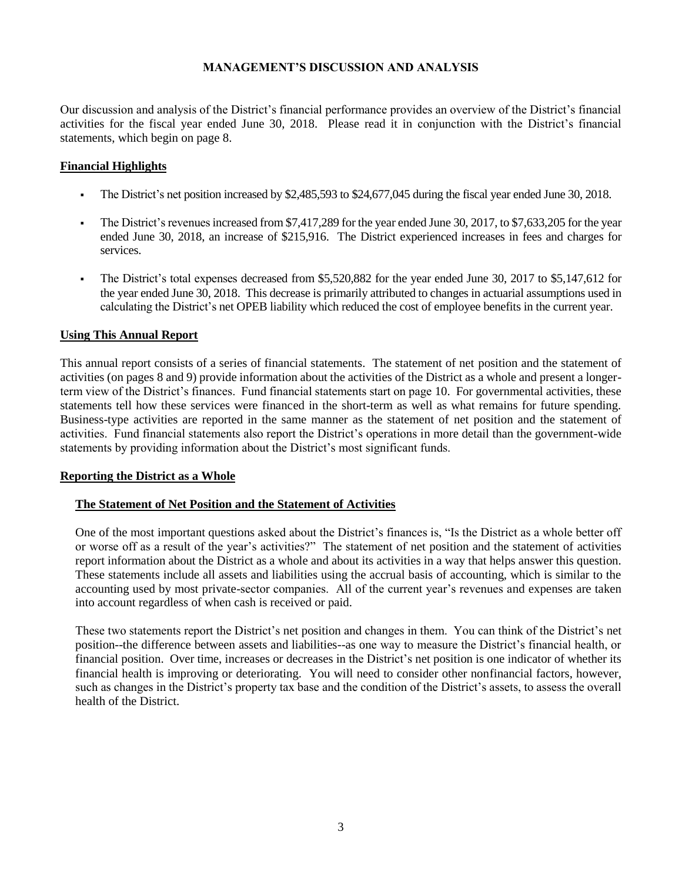Our discussion and analysis of the District's financial performance provides an overview of the District's financial activities for the fiscal year ended June 30, 2018. Please read it in conjunction with the District's financial statements, which begin on page 8.

## **Financial Highlights**

- The District's net position increased by \$2,485,593 to \$24,677,045 during the fiscal year ended June 30, 2018.
- The District's revenues increased from \$7,417,289 for the year ended June 30, 2017, to \$7,633,205 for the year ended June 30, 2018, an increase of \$215,916. The District experienced increases in fees and charges for services.
- The District's total expenses decreased from \$5,520,882 for the year ended June 30, 2017 to \$5,147,612 for the year ended June 30, 2018. This decrease is primarily attributed to changes in actuarial assumptions used in calculating the District's net OPEB liability which reduced the cost of employee benefits in the current year.

### **Using This Annual Report**

This annual report consists of a series of financial statements. The statement of net position and the statement of activities (on pages 8 and 9) provide information about the activities of the District as a whole and present a longerterm view of the District's finances. Fund financial statements start on page 10. For governmental activities, these statements tell how these services were financed in the short-term as well as what remains for future spending. Business-type activities are reported in the same manner as the statement of net position and the statement of activities. Fund financial statements also report the District's operations in more detail than the government-wide statements by providing information about the District's most significant funds.

#### **Reporting the District as a Whole**

## **The Statement of Net Position and the Statement of Activities**

One of the most important questions asked about the District's finances is, "Is the District as a whole better off or worse off as a result of the year's activities?" The statement of net position and the statement of activities report information about the District as a whole and about its activities in a way that helps answer this question. These statements include all assets and liabilities using the accrual basis of accounting, which is similar to the accounting used by most private-sector companies. All of the current year's revenues and expenses are taken into account regardless of when cash is received or paid.

These two statements report the District's net position and changes in them. You can think of the District's net position--the difference between assets and liabilities--as one way to measure the District's financial health, or financial position. Over time, increases or decreases in the District's net position is one indicator of whether its financial health is improving or deteriorating. You will need to consider other nonfinancial factors, however, such as changes in the District's property tax base and the condition of the District's assets, to assess the overall health of the District.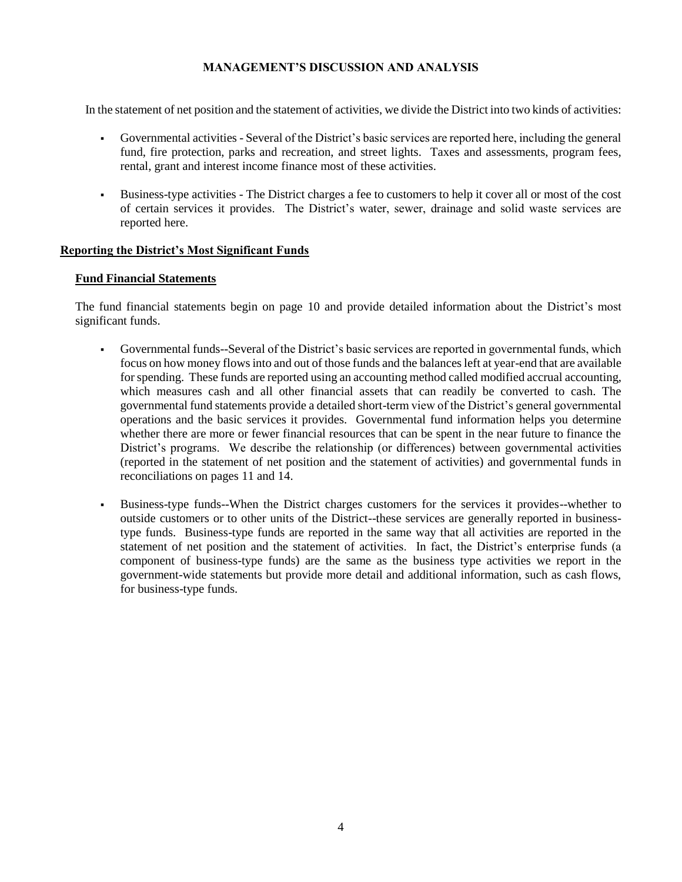In the statement of net position and the statement of activities, we divide the District into two kinds of activities:

- Governmental activities Several of the District's basic services are reported here, including the general fund, fire protection, parks and recreation, and street lights. Taxes and assessments, program fees, rental, grant and interest income finance most of these activities.
- Business-type activities The District charges a fee to customers to help it cover all or most of the cost of certain services it provides. The District's water, sewer, drainage and solid waste services are reported here.

### **Reporting the District's Most Significant Funds**

### **Fund Financial Statements**

The fund financial statements begin on page 10 and provide detailed information about the District's most significant funds.

- Governmental funds--Several of the District's basic services are reported in governmental funds, which focus on how money flows into and out of those funds and the balances left at year-end that are available for spending. These funds are reported using an accounting method called modified accrual accounting, which measures cash and all other financial assets that can readily be converted to cash. The governmental fund statements provide a detailed short-term view of the District's general governmental operations and the basic services it provides. Governmental fund information helps you determine whether there are more or fewer financial resources that can be spent in the near future to finance the District's programs. We describe the relationship (or differences) between governmental activities (reported in the statement of net position and the statement of activities) and governmental funds in reconciliations on pages 11 and 14.
- Business-type funds--When the District charges customers for the services it provides--whether to outside customers or to other units of the District--these services are generally reported in businesstype funds. Business-type funds are reported in the same way that all activities are reported in the statement of net position and the statement of activities. In fact, the District's enterprise funds (a component of business-type funds) are the same as the business type activities we report in the government-wide statements but provide more detail and additional information, such as cash flows, for business-type funds.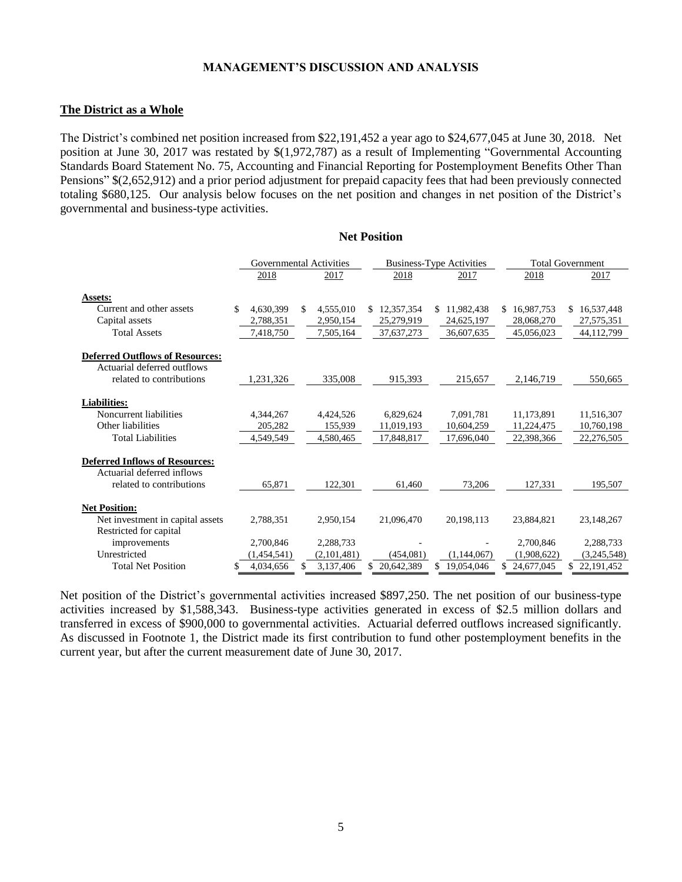### **The District as a Whole**

The District's combined net position increased from \$22,191,452 a year ago to \$24,677,045 at June 30, 2018. Net position at June 30, 2017 was restated by \$(1,972,787) as a result of Implementing "Governmental Accounting Standards Board Statement No. 75, Accounting and Financial Reporting for Postemployment Benefits Other Than Pensions" \$(2,652,912) and a prior period adjustment for prepaid capacity fees that had been previously connected totaling \$680,125. Our analysis below focuses on the net position and changes in net position of the District's governmental and business-type activities.

**Net Position**

|                                        |    | <b>Governmental Activities</b> |     |             |                  | <b>Business-Type Activities</b> | <b>Total Government</b> |    |             |
|----------------------------------------|----|--------------------------------|-----|-------------|------------------|---------------------------------|-------------------------|----|-------------|
|                                        |    | 2018                           |     | 2017        | 2018             | 2017                            | 2018                    |    | 2017        |
|                                        |    |                                |     |             |                  |                                 |                         |    |             |
| Assets:<br>Current and other assets    |    |                                |     |             |                  |                                 |                         |    |             |
|                                        | \$ | 4.630.399                      | \$  | 4,555,010   | 12,357,354<br>\$ | 11,982,438<br>\$.               | 16,987,753<br>\$        | S. | 16,537,448  |
| Capital assets                         |    | 2,788,351                      |     | 2,950,154   | 25,279,919       | 24,625,197                      | 28,068,270              |    | 27,575,351  |
| <b>Total Assets</b>                    |    | 7,418,750                      |     | 7,505,164   | 37,637,273       | 36,607,635                      | 45,056,023              |    | 44,112,799  |
| <b>Deferred Outflows of Resources:</b> |    |                                |     |             |                  |                                 |                         |    |             |
| Actuarial deferred outflows            |    |                                |     |             |                  |                                 |                         |    |             |
| related to contributions               |    | 1,231,326                      |     | 335,008     | 915,393          | 215,657                         | 2,146,719               |    | 550.665     |
|                                        |    |                                |     |             |                  |                                 |                         |    |             |
| <b>Liabilities:</b>                    |    |                                |     |             |                  |                                 |                         |    |             |
| Noncurrent liabilities                 |    | 4,344,267                      |     | 4,424,526   | 6,829,624        | 7,091,781                       | 11,173,891              |    | 11,516,307  |
| Other liabilities                      |    | 205,282                        |     | 155,939     | 11,019,193       | 10,604,259                      | 11,224,475              |    | 10,760,198  |
| <b>Total Liabilities</b>               |    | 4,549,549                      |     | 4,580,465   | 17,848,817       | 17,696,040                      | 22.398.366              |    | 22,276,505  |
|                                        |    |                                |     |             |                  |                                 |                         |    |             |
| <b>Deferred Inflows of Resources:</b>  |    |                                |     |             |                  |                                 |                         |    |             |
| Actuarial deferred inflows             |    |                                |     |             |                  |                                 |                         |    |             |
| related to contributions               |    | 65.871                         |     | 122.301     | 61.460           | 73,206                          | 127.331                 |    | 195,507     |
|                                        |    |                                |     |             |                  |                                 |                         |    |             |
| <b>Net Position:</b>                   |    |                                |     |             |                  |                                 |                         |    |             |
| Net investment in capital assets       |    | 2.788.351                      |     | 2.950.154   | 21,096,470       | 20.198.113                      | 23,884,821              |    | 23,148,267  |
| Restricted for capital                 |    |                                |     |             |                  |                                 |                         |    |             |
| improvements                           |    | 2,700,846                      |     | 2,288,733   |                  |                                 | 2,700,846               |    | 2,288,733   |
| Unrestricted                           |    | (1,454,541)                    |     | (2,101,481) | (454,081)        | (1,144,067)                     | (1,908,622)             |    | (3,245,548) |
| <b>Total Net Position</b>              | S  | 4,034,656                      | \$. | 3,137,406   | 20,642,389<br>S  | 19,054,046<br>S                 | 24,677,045              |    | 22,191,452  |

Net position of the District's governmental activities increased \$897,250. The net position of our business-type activities increased by \$1,588,343. Business-type activities generated in excess of \$2.5 million dollars and transferred in excess of \$900,000 to governmental activities. Actuarial deferred outflows increased significantly. As discussed in Footnote 1, the District made its first contribution to fund other postemployment benefits in the current year, but after the current measurement date of June 30, 2017.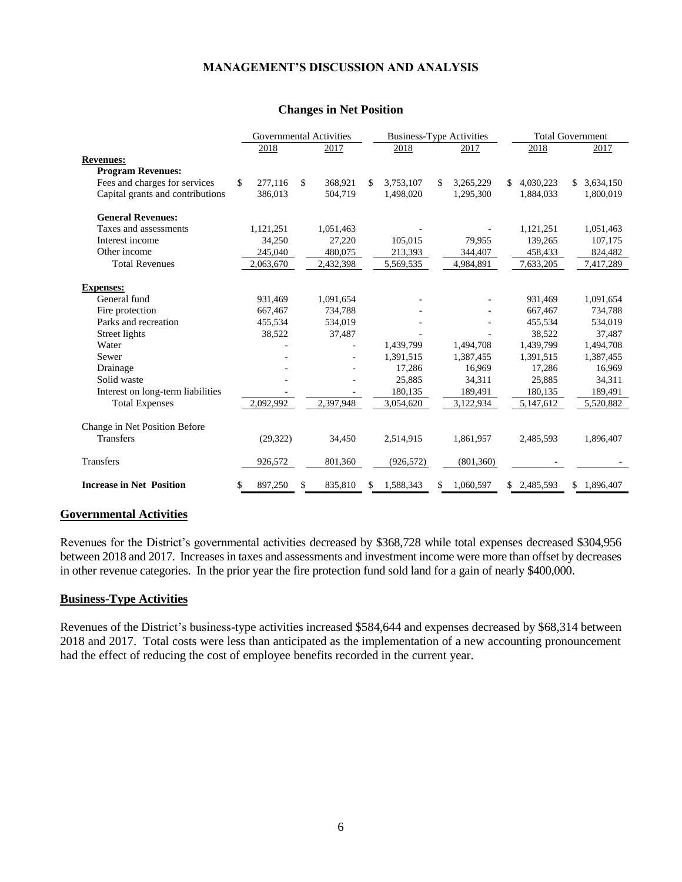### **Changes in Net Position**

|                                   | <b>Governmental Activities</b> |              |           |     | <b>Business-Type Activities</b> |     |            |     | <b>Total Government</b> |    |           |  |
|-----------------------------------|--------------------------------|--------------|-----------|-----|---------------------------------|-----|------------|-----|-------------------------|----|-----------|--|
|                                   | 2018                           |              | 2017      |     | 2018                            |     | 2017       |     | 2018                    |    | 2017      |  |
| <b>Revenues:</b>                  |                                |              |           |     |                                 |     |            |     |                         |    |           |  |
| <b>Program Revenues:</b>          |                                |              |           |     |                                 |     |            |     |                         |    |           |  |
| Fees and charges for services     | \$<br>277,116                  | $\mathbb{S}$ | 368,921   | \$. | 3,753,107                       | S.  | 3,265,229  |     | 4,030,223               | \$ | 3,634,150 |  |
| Capital grants and contributions  | 386,013                        |              | 504,719   |     | 1,498,020                       |     | 1,295,300  |     | 1,884,033               |    | 1,800,019 |  |
| <b>General Revenues:</b>          |                                |              |           |     |                                 |     |            |     |                         |    |           |  |
| Taxes and assessments             | 1,121,251                      |              | 1,051,463 |     |                                 |     |            |     | 1,121,251               |    | 1,051,463 |  |
| Interest income                   | 34,250                         |              | 27,220    |     | 105,015                         |     | 79,955     |     | 139,265                 |    | 107,175   |  |
| Other income                      | 245,040                        |              | 480,075   |     | 213,393                         |     | 344,407    |     | 458,433                 |    | 824,482   |  |
| <b>Total Revenues</b>             | 2,063,670                      |              | 2,432,398 |     | 5,569,535                       |     | 4,984,891  |     | 7,633,205               |    | 7,417,289 |  |
| <b>Expenses:</b>                  |                                |              |           |     |                                 |     |            |     |                         |    |           |  |
| General fund                      | 931,469                        |              | 1,091,654 |     |                                 |     |            |     | 931,469                 |    | 1,091,654 |  |
| Fire protection                   | 667,467                        |              | 734,788   |     |                                 |     |            |     | 667,467                 |    | 734,788   |  |
| Parks and recreation              | 455,534                        |              | 534,019   |     |                                 |     |            |     | 455,534                 |    | 534,019   |  |
| Street lights                     | 38,522                         |              | 37,487    |     |                                 |     |            |     | 38,522                  |    | 37,487    |  |
| Water                             |                                |              |           |     | 1,439,799                       |     | 1,494,708  |     | 1,439,799               |    | 1,494,708 |  |
| Sewer                             |                                |              |           |     | 1,391,515                       |     | 1,387,455  |     | 1,391,515               |    | 1,387,455 |  |
| Drainage                          |                                |              |           |     | 17,286                          |     | 16,969     |     | 17,286                  |    | 16,969    |  |
| Solid waste                       |                                |              |           |     | 25,885                          |     | 34,311     |     | 25,885                  |    | 34,311    |  |
| Interest on long-term liabilities |                                |              |           |     | 180,135                         |     | 189,491    |     | 180,135                 |    | 189,491   |  |
| <b>Total Expenses</b>             | 2,092,992                      |              | 2,397,948 |     | 3,054,620                       |     | 3,122,934  |     | 5,147,612               |    | 5,520,882 |  |
| Change in Net Position Before     |                                |              |           |     |                                 |     |            |     |                         |    |           |  |
| <b>Transfers</b>                  | (29, 322)                      |              | 34,450    |     | 2,514,915                       |     | 1,861,957  |     | 2,485,593               |    | 1,896,407 |  |
| <b>Transfers</b>                  | 926,572                        |              | 801,360   |     | (926, 572)                      |     | (801, 360) |     |                         |    |           |  |
| <b>Increase in Net Position</b>   | \$<br>897,250                  | \$           | 835,810   | S.  | 1,588,343                       | \$. | 1,060,597  | \$. | 2,485,593               | \$ | 1,896,407 |  |

## **Governmental Activities**

Revenues for the District's governmental activities decreased by \$368,728 while total expenses decreased \$304,956 between 2018 and 2017. Increases in taxes and assessments and investment income were more than offset by decreases in other revenue categories. In the prior year the fire protection fund sold land for a gain of nearly \$400,000.

#### **Business-Type Activities**

Revenues of the District's business-type activities increased \$584,644 and expenses decreased by \$68,314 between 2018 and 2017. Total costs were less than anticipated as the implementation of a new accounting pronouncement had the effect of reducing the cost of employee benefits recorded in the current year.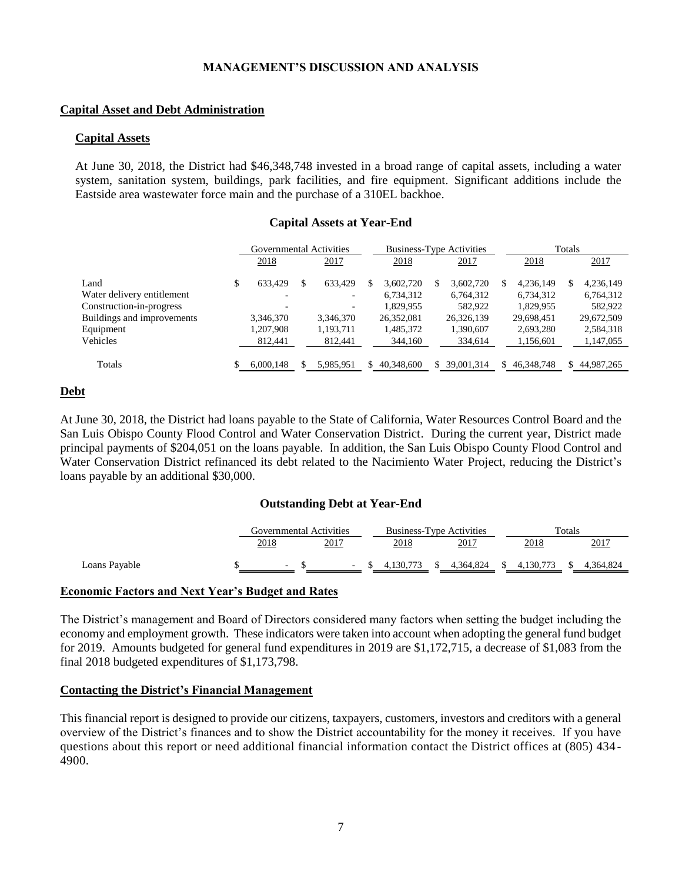### **Capital Asset and Debt Administration**

#### **Capital Assets**

At June 30, 2018, the District had \$46,348,748 invested in a broad range of capital assets, including a water system, sanitation system, buildings, park facilities, and fire equipment. Significant additions include the Eastside area wastewater force main and the purchase of a 310EL backhoe.

### **Capital Assets at Year-End**

|                            | Governmental Activities |     |                          |   |            | <b>Business-Type Activities</b> |            | Totals |            |    |            |
|----------------------------|-------------------------|-----|--------------------------|---|------------|---------------------------------|------------|--------|------------|----|------------|
|                            | 2018                    |     | 2017                     |   | 2018       |                                 | 2017       |        | 2018       |    | 2017       |
| Land                       | \$<br>633.429           | \$. | 633.429                  | S | 3.602.720  | S                               | 3.602.720  | S      | 4,236,149  | S  | 4,236,149  |
| Water delivery entitlement |                         |     | -                        |   | 6,734,312  |                                 | 6,764,312  |        | 6,734,312  |    | 6,764,312  |
| Construction-in-progress   |                         |     | $\overline{\phantom{a}}$ |   | 1.829.955  |                                 | 582,922    |        | 1.829.955  |    | 582,922    |
| Buildings and improvements | 3,346,370               |     | 3,346,370                |   | 26,352,081 |                                 | 26,326,139 |        | 29,698,451 |    | 29,672,509 |
| Equipment                  | 1,207,908               |     | 1,193,711                |   | 1,485,372  |                                 | 1,390,607  |        | 2,693,280  |    | 2,584,318  |
| Vehicles                   | 812,441                 |     | 812,441                  |   | 344,160    |                                 | 334,614    |        | 1,156,601  |    | 1,147,055  |
| Totals                     | 6,000,148               |     | 5,985,951                | S | 40,348,600 | S.                              | 39,001,314 | S.     | 46,348,748 | S. | 44,987,265 |

#### **Debt**

At June 30, 2018, the District had loans payable to the State of California, Water Resources Control Board and the San Luis Obispo County Flood Control and Water Conservation District. During the current year, District made principal payments of \$204,051 on the loans payable. In addition, the San Luis Obispo County Flood Control and Water Conservation District refinanced its debt related to the Nacimiento Water Project, reducing the District's loans payable by an additional \$30,000.

#### **Outstanding Debt at Year-End**

|               |        | Governmental Activities |           | <b>Business-Type Activities</b> | Totals                     |           |  |  |
|---------------|--------|-------------------------|-----------|---------------------------------|----------------------------|-----------|--|--|
|               | 2018   | 2017                    | 2018      | 2017                            | 2018                       | 2017      |  |  |
| Loans Payable | $\sim$ | $\sim$ $\sim$           | 4.130.773 | 4.364.824                       | 4,130,773<br><sup>\$</sup> | 4.364.824 |  |  |

#### **Economic Factors and Next Year's Budget and Rates**

The District's management and Board of Directors considered many factors when setting the budget including the economy and employment growth. These indicators were taken into account when adopting the general fund budget for 2019. Amounts budgeted for general fund expenditures in 2019 are \$1,172,715, a decrease of \$1,083 from the final 2018 budgeted expenditures of \$1,173,798.

#### **Contacting the District's Financial Management**

This financial report is designed to provide our citizens, taxpayers, customers, investors and creditors with a general overview of the District's finances and to show the District accountability for the money it receives. If you have questions about this report or need additional financial information contact the District offices at (805) 434 - 4900.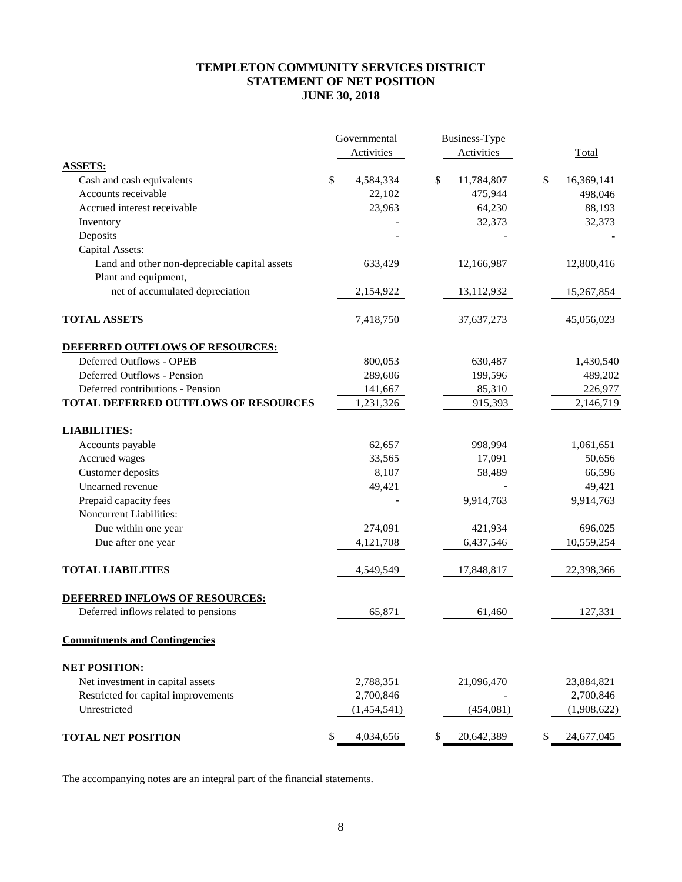## **TEMPLETON COMMUNITY SERVICES DISTRICT STATEMENT OF NET POSITION JUNE 30, 2018**

|                                                                       | Governmental    | Business-Type    |                  |
|-----------------------------------------------------------------------|-----------------|------------------|------------------|
|                                                                       | Activities      | Activities       | Total            |
| <b>ASSETS:</b>                                                        |                 |                  |                  |
| Cash and cash equivalents                                             | \$<br>4,584,334 | \$<br>11,784,807 | \$<br>16,369,141 |
| Accounts receivable                                                   | 22,102          | 475,944          | 498,046          |
| Accrued interest receivable                                           | 23,963          | 64,230           | 88,193           |
| Inventory                                                             |                 | 32,373           | 32,373           |
| Deposits                                                              |                 |                  |                  |
| Capital Assets:                                                       |                 |                  |                  |
| Land and other non-depreciable capital assets<br>Plant and equipment, | 633,429         | 12,166,987       | 12,800,416       |
| net of accumulated depreciation                                       | 2,154,922       | 13,112,932       | 15,267,854       |
| <b>TOTAL ASSETS</b>                                                   | 7,418,750       | 37,637,273       | 45,056,023       |
| DEFERRED OUTFLOWS OF RESOURCES:                                       |                 |                  |                  |
| Deferred Outflows - OPEB                                              | 800,053         | 630,487          | 1,430,540        |
| Deferred Outflows - Pension                                           | 289,606         | 199,596          | 489,202          |
| Deferred contributions - Pension                                      | 141,667         | 85,310           | 226,977          |
| <b>TOTAL DEFERRED OUTFLOWS OF RESOURCES</b>                           | 1,231,326       | 915,393          | 2,146,719        |
| <b>LIABILITIES:</b>                                                   |                 |                  |                  |
| Accounts payable                                                      | 62,657          | 998,994          | 1,061,651        |
| Accrued wages                                                         | 33,565          | 17,091           | 50,656           |
| Customer deposits                                                     | 8,107           | 58,489           | 66,596           |
| Unearned revenue                                                      | 49,421          |                  | 49,421           |
| Prepaid capacity fees                                                 |                 | 9,914,763        | 9,914,763        |
| Noncurrent Liabilities:                                               |                 |                  |                  |
| Due within one year                                                   | 274,091         | 421,934          | 696,025          |
| Due after one year                                                    | 4,121,708       | 6,437,546        | 10,559,254       |
| <b>TOTAL LIABILITIES</b>                                              | 4,549,549       | 17,848,817       | 22,398,366       |
| DEFERRED INFLOWS OF RESOURCES:                                        |                 |                  |                  |
| Deferred inflows related to pensions                                  | 65,871          | 61,460           | 127,331          |
| <b>Commitments and Contingencies</b>                                  |                 |                  |                  |
| <b>NET POSITION:</b>                                                  |                 |                  |                  |
| Net investment in capital assets                                      | 2,788,351       | 21,096,470       | 23,884,821       |
| Restricted for capital improvements                                   | 2,700,846       |                  | 2,700,846        |
| Unrestricted                                                          | (1,454,541)     | (454, 081)       | (1,908,622)      |
| <b>TOTAL NET POSITION</b>                                             | \$<br>4,034,656 | 20,642,389       | \$<br>24,677,045 |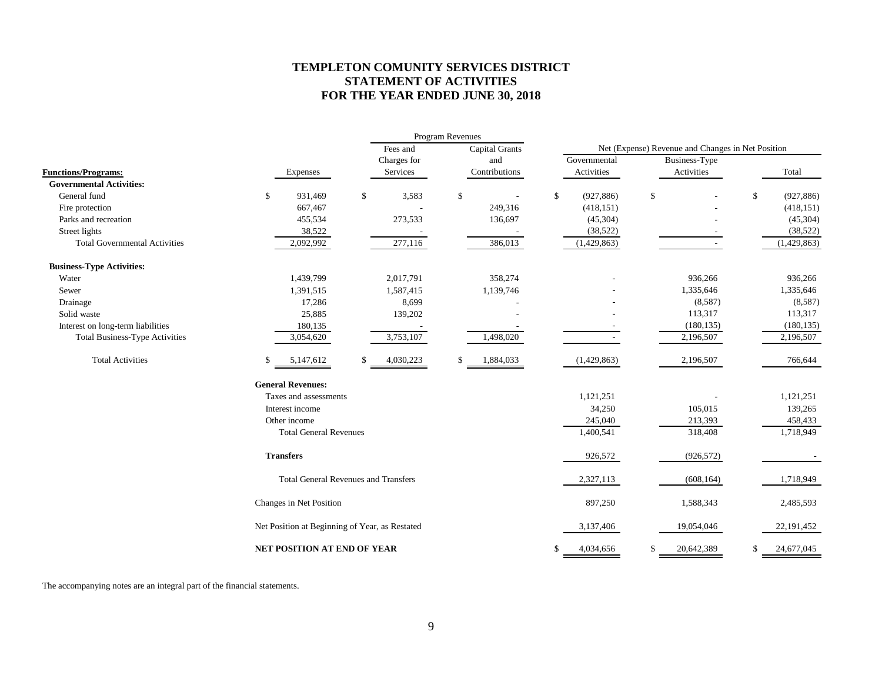## **TEMPLETON COMUNITY SERVICES DISTRICT STATEMENT OF ACTIVITIES FOR THE YEAR ENDED JUNE 30, 2018**

|                                       |     |                                                |                 | Program Revenues |               |                                                   |             |               |    |              |  |  |
|---------------------------------------|-----|------------------------------------------------|-----------------|------------------|---------------|---------------------------------------------------|-------------|---------------|----|--------------|--|--|
|                                       |     |                                                | Fees and        | Capital Grants   |               | Net (Expense) Revenue and Changes in Net Position |             |               |    |              |  |  |
|                                       |     |                                                | Charges for     |                  | and           | Governmental                                      |             | Business-Type |    |              |  |  |
| <b>Functions/Programs:</b>            |     | Expenses                                       | Services        |                  | Contributions | Activities                                        |             | Activities    |    | Total        |  |  |
| <b>Governmental Activities:</b>       |     |                                                |                 |                  |               |                                                   |             |               |    |              |  |  |
| General fund                          | S.  | 931,469                                        | \$<br>3,583     | \$               |               | \$<br>(927, 886)                                  | $\mathbb S$ |               | \$ | (927, 886)   |  |  |
| Fire protection                       |     | 667,467                                        |                 |                  | 249,316       | (418, 151)                                        |             |               |    | (418, 151)   |  |  |
| Parks and recreation                  |     | 455,534                                        | 273,533         |                  | 136,697       | (45,304)                                          |             |               |    | (45,304)     |  |  |
| Street lights                         |     | 38,522                                         |                 |                  |               | (38, 522)                                         |             |               |    | (38, 522)    |  |  |
| <b>Total Governmental Activities</b>  |     | 2,092,992                                      | 277,116         |                  | 386,013       | (1,429,863)                                       |             |               |    | (1,429,863)  |  |  |
| <b>Business-Type Activities:</b>      |     |                                                |                 |                  |               |                                                   |             |               |    |              |  |  |
| Water                                 |     | 1,439,799                                      | 2,017,791       |                  | 358,274       |                                                   |             | 936,266       |    | 936,266      |  |  |
| Sewer                                 |     | 1,391,515                                      | 1,587,415       |                  | 1,139,746     |                                                   |             | 1,335,646     |    | 1,335,646    |  |  |
| Drainage                              |     | 17,286                                         | 8,699           |                  |               |                                                   |             | (8,587)       |    | (8,587)      |  |  |
| Solid waste                           |     | 25,885                                         | 139,202         |                  |               |                                                   |             | 113,317       |    | 113,317      |  |  |
| Interest on long-term liabilities     |     | 180,135                                        |                 |                  |               |                                                   |             | (180, 135)    |    | (180, 135)   |  |  |
| <b>Total Business-Type Activities</b> |     | 3,054,620                                      | 3,753,107       |                  | 1,498,020     |                                                   |             | 2,196,507     |    | 2,196,507    |  |  |
| <b>Total Activities</b>               | \$. | 5,147,612                                      | \$<br>4,030,223 | \$               | 1,884,033     | (1,429,863)                                       |             | 2,196,507     |    | 766,644      |  |  |
|                                       |     | <b>General Revenues:</b>                       |                 |                  |               |                                                   |             |               |    |              |  |  |
|                                       |     | Taxes and assessments                          |                 |                  |               | 1,121,251                                         |             |               |    | 1,121,251    |  |  |
|                                       |     | Interest income                                |                 |                  |               | 34,250                                            |             | 105,015       |    | 139,265      |  |  |
|                                       |     | Other income                                   |                 |                  |               | 245,040                                           |             | 213,393       |    | 458,433      |  |  |
|                                       |     | <b>Total General Revenues</b>                  |                 |                  |               | 1,400,541                                         |             | 318,408       |    | 1,718,949    |  |  |
|                                       |     | <b>Transfers</b>                               |                 |                  |               | 926,572                                           |             | (926, 572)    |    |              |  |  |
|                                       |     | <b>Total General Revenues and Transfers</b>    |                 |                  |               | 2,327,113                                         |             | (608, 164)    |    | 1,718,949    |  |  |
|                                       |     | Changes in Net Position                        |                 |                  |               | 897,250                                           |             | 1,588,343     |    | 2,485,593    |  |  |
|                                       |     | Net Position at Beginning of Year, as Restated |                 |                  |               | 3,137,406                                         |             | 19,054,046    |    | 22, 191, 452 |  |  |
|                                       |     | NET POSITION AT END OF YEAR                    |                 |                  |               | 4,034,656                                         | \$          | 20,642,389    | \$ | 24,677,045   |  |  |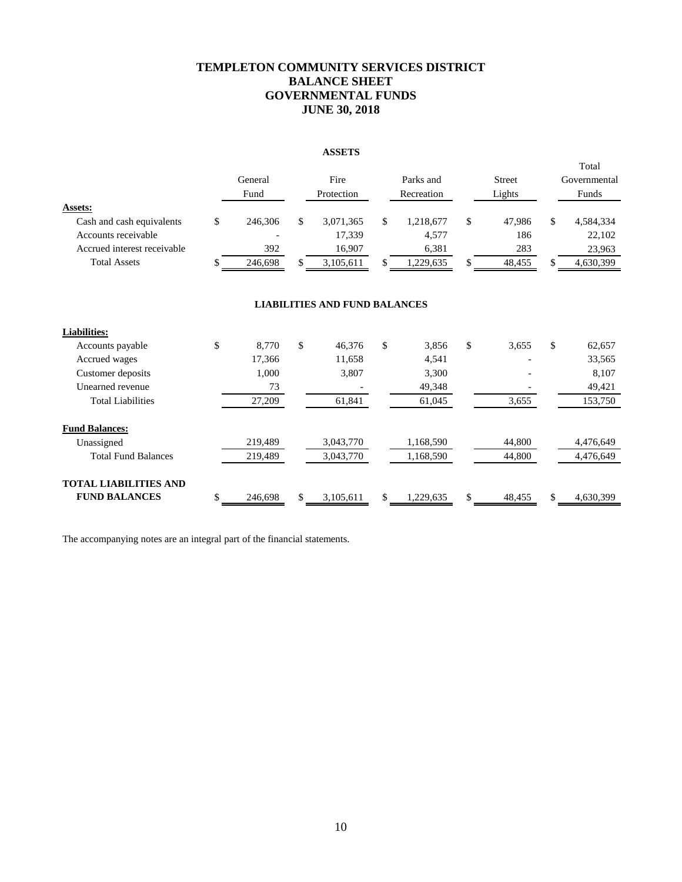## **TEMPLETON COMMUNITY SERVICES DISTRICT BALANCE SHEET GOVERNMENTAL FUNDS JUNE 30, 2018**

#### **ASSETS**

|                                                                                                                   |          | General<br>Fund           |          | Fire<br>Protection                         |          | Parks and<br>Recreation                  |              | <b>Street</b><br>Lights        |              | Total<br>Governmental<br>Funds             |
|-------------------------------------------------------------------------------------------------------------------|----------|---------------------------|----------|--------------------------------------------|----------|------------------------------------------|--------------|--------------------------------|--------------|--------------------------------------------|
| Assets:<br>Cash and cash equivalents<br>Accounts receivable<br>Accrued interest receivable<br><b>Total Assets</b> | \$<br>\$ | 246,306<br>392<br>246,698 | \$<br>\$ | 3,071,365<br>17,339<br>16,907<br>3,105,611 | \$<br>\$ | 1,218,677<br>4,577<br>6,381<br>1,229,635 | \$<br>\$     | 47,986<br>186<br>283<br>48,455 | \$<br>\$     | 4,584,334<br>22,102<br>23,963<br>4,630,399 |
|                                                                                                                   |          |                           |          | <b>LIABILITIES AND FUND BALANCES</b>       |          |                                          |              |                                |              |                                            |
| <b>Liabilities:</b>                                                                                               |          |                           |          |                                            |          |                                          |              |                                |              |                                            |
| Accounts payable                                                                                                  | \$       | 8,770                     | \$       | 46,376                                     | \$       | 3,856                                    | $\mathbb{S}$ | 3,655                          | $\mathbb{S}$ | 62,657                                     |
| Accrued wages                                                                                                     |          | 17,366                    |          | 11,658                                     |          | 4,541                                    |              |                                |              | 33,565                                     |
| Customer deposits                                                                                                 |          | 1,000                     |          | 3,807                                      |          | 3,300                                    |              |                                |              | 8,107                                      |
| Unearned revenue                                                                                                  |          | 73                        |          |                                            |          | 49,348                                   |              |                                |              | 49,421                                     |
| <b>Total Liabilities</b>                                                                                          |          | 27,209                    |          | 61,841                                     |          | 61,045                                   |              | 3,655                          |              | 153,750                                    |
| <b>Fund Balances:</b>                                                                                             |          |                           |          |                                            |          |                                          |              |                                |              |                                            |
| Unassigned                                                                                                        |          | 219,489                   |          | 3,043,770                                  |          | 1,168,590                                |              | 44,800                         |              | 4,476,649                                  |
| <b>Total Fund Balances</b>                                                                                        |          | 219,489                   |          | 3,043,770                                  |          | 1,168,590                                |              | 44,800                         |              | 4,476,649                                  |
| <b>TOTAL LIABILITIES AND</b>                                                                                      |          |                           |          |                                            |          |                                          |              |                                |              |                                            |
| <b>FUND BALANCES</b>                                                                                              | \$       | 246,698                   | \$       | 3,105,611                                  | \$       | 1,229,635                                | \$           | 48,455                         | \$           | 4,630,399                                  |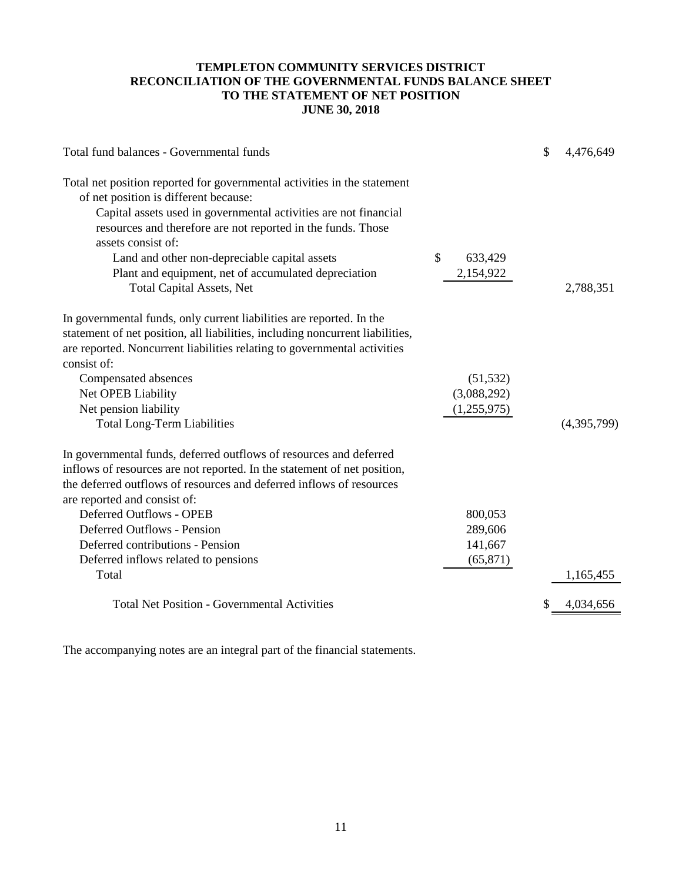## **TEMPLETON COMMUNITY SERVICES DISTRICT RECONCILIATION OF THE GOVERNMENTAL FUNDS BALANCE SHEET TO THE STATEMENT OF NET POSITION JUNE 30, 2018**

| Total fund balances - Governmental funds                                                                                                                                                                                                                                    | \$          | 4,476,649   |
|-----------------------------------------------------------------------------------------------------------------------------------------------------------------------------------------------------------------------------------------------------------------------------|-------------|-------------|
| Total net position reported for governmental activities in the statement<br>of net position is different because:<br>Capital assets used in governmental activities are not financial<br>resources and therefore are not reported in the funds. Those<br>assets consist of: |             |             |
| \$<br>Land and other non-depreciable capital assets                                                                                                                                                                                                                         | 633,429     |             |
| Plant and equipment, net of accumulated depreciation<br><b>Total Capital Assets, Net</b>                                                                                                                                                                                    | 2,154,922   | 2,788,351   |
| In governmental funds, only current liabilities are reported. In the<br>statement of net position, all liabilities, including noncurrent liabilities,<br>are reported. Noncurrent liabilities relating to governmental activities<br>consist of:                            |             |             |
| Compensated absences                                                                                                                                                                                                                                                        | (51, 532)   |             |
| Net OPEB Liability                                                                                                                                                                                                                                                          | (3,088,292) |             |
| Net pension liability                                                                                                                                                                                                                                                       | (1,255,975) |             |
| <b>Total Long-Term Liabilities</b>                                                                                                                                                                                                                                          |             | (4,395,799) |
| In governmental funds, deferred outflows of resources and deferred<br>inflows of resources are not reported. In the statement of net position,<br>the deferred outflows of resources and deferred inflows of resources<br>are reported and consist of:                      |             |             |
| <b>Deferred Outflows - OPEB</b>                                                                                                                                                                                                                                             | 800,053     |             |
| <b>Deferred Outflows - Pension</b>                                                                                                                                                                                                                                          | 289,606     |             |
| Deferred contributions - Pension                                                                                                                                                                                                                                            | 141,667     |             |
| Deferred inflows related to pensions                                                                                                                                                                                                                                        | (65, 871)   |             |
| Total                                                                                                                                                                                                                                                                       |             | 1,165,455   |
| <b>Total Net Position - Governmental Activities</b>                                                                                                                                                                                                                         |             | 4,034,656   |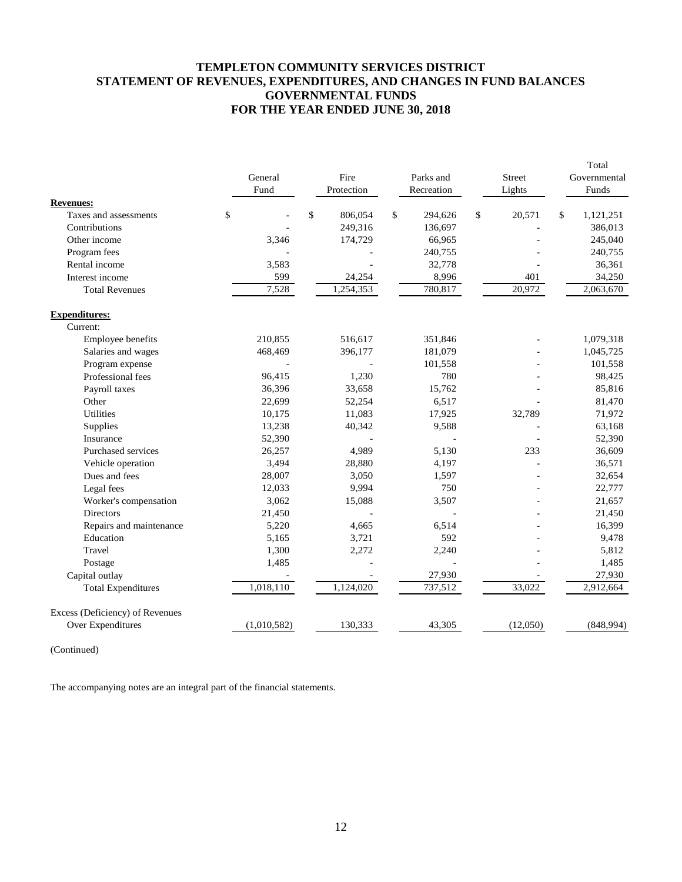## **TEMPLETON COMMUNITY SERVICES DISTRICT STATEMENT OF REVENUES, EXPENDITURES, AND CHANGES IN FUND BALANCES GOVERNMENTAL FUNDS FOR THE YEAR ENDED JUNE 30, 2018**

|                                 | General     | Fire          | Parks and     | Street       | Total<br>Governmental |
|---------------------------------|-------------|---------------|---------------|--------------|-----------------------|
|                                 | Fund        | Protection    | Recreation    | Lights       | Funds                 |
| <b>Revenues:</b>                |             |               |               |              |                       |
| Taxes and assessments           | \$          | \$<br>806,054 | \$<br>294,626 | \$<br>20,571 | \$<br>1,121,251       |
| Contributions                   |             | 249,316       | 136,697       |              | 386,013               |
| Other income                    | 3,346       | 174,729       | 66,965        |              | 245,040               |
| Program fees                    |             |               | 240,755       |              | 240,755               |
| Rental income                   | 3,583       |               | 32,778        |              | 36,361                |
| Interest income                 | 599         | 24,254        | 8,996         | 401          | 34,250                |
| <b>Total Revenues</b>           | 7,528       | 1,254,353     | 780,817       | 20,972       | 2,063,670             |
| <b>Expenditures:</b>            |             |               |               |              |                       |
| Current:                        |             |               |               |              |                       |
| Employee benefits               | 210,855     | 516,617       | 351,846       |              | 1,079,318             |
| Salaries and wages              | 468,469     | 396,177       | 181,079       |              | 1,045,725             |
| Program expense                 |             |               | 101,558       |              | 101,558               |
| Professional fees               | 96,415      | 1,230         | 780           |              | 98,425                |
| Payroll taxes                   | 36,396      | 33,658        | 15,762        |              | 85,816                |
| Other                           | 22,699      | 52,254        | 6,517         |              | 81,470                |
| <b>Utilities</b>                | 10,175      | 11,083        | 17,925        | 32,789       | 71,972                |
| Supplies                        | 13,238      | 40,342        | 9,588         |              | 63,168                |
| Insurance                       | 52,390      |               |               |              | 52,390                |
| Purchased services              | 26,257      | 4,989         | 5,130         | 233          | 36,609                |
| Vehicle operation               | 3,494       | 28,880        | 4,197         |              | 36,571                |
| Dues and fees                   | 28,007      | 3,050         | 1,597         |              | 32,654                |
| Legal fees                      | 12,033      | 9,994         | 750           |              | 22,777                |
| Worker's compensation           | 3,062       | 15,088        | 3,507         |              | 21,657                |
| <b>Directors</b>                | 21,450      |               |               |              | 21,450                |
| Repairs and maintenance         | 5,220       | 4,665         | 6,514         |              | 16,399                |
| Education                       | 5,165       | 3,721         | 592           |              | 9,478                 |
| Travel                          | 1,300       | 2,272         | 2,240         |              | 5,812                 |
| Postage                         | 1,485       |               |               |              | 1,485                 |
| Capital outlay                  |             |               | 27,930        |              | 27,930                |
| <b>Total Expenditures</b>       | 1,018,110   | 1,124,020     | 737,512       | 33,022       | 2,912,664             |
| Excess (Deficiency) of Revenues |             |               |               |              |                       |
| Over Expenditures               | (1,010,582) | 130,333       | 43,305        | (12,050)     | (848,994)             |

(Continued)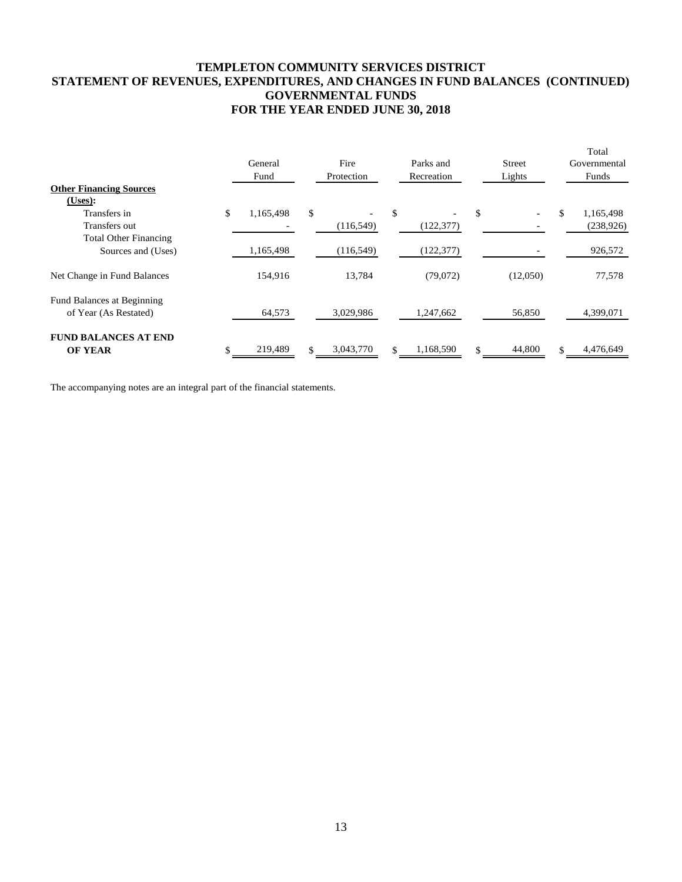## **TEMPLETON COMMUNITY SERVICES DISTRICT STATEMENT OF REVENUES, EXPENDITURES, AND CHANGES IN FUND BALANCES (CONTINUED) GOVERNMENTAL FUNDS FOR THE YEAR ENDED JUNE 30, 2018**

|                                |                 |                 |                 |               | Total           |
|--------------------------------|-----------------|-----------------|-----------------|---------------|-----------------|
|                                | General         | Fire            | Parks and       | <b>Street</b> | Governmental    |
|                                | Fund            | Protection      | Recreation      | Lights        | Funds           |
| <b>Other Financing Sources</b> |                 |                 |                 |               |                 |
| (Uses):                        |                 |                 |                 |               |                 |
| Transfers in                   | \$<br>1,165,498 | \$              | \$              | \$            | \$<br>1,165,498 |
| Transfers out                  |                 | (116, 549)      | (122, 377)      |               | (238, 926)      |
| <b>Total Other Financing</b>   |                 |                 |                 |               |                 |
| Sources and (Uses)             | 1,165,498       | (116, 549)      | (122, 377)      |               | 926,572         |
| Net Change in Fund Balances    | 154,916         | 13,784          | (79,072)        | (12,050)      | 77,578          |
| Fund Balances at Beginning     |                 |                 |                 |               |                 |
| of Year (As Restated)          | 64,573          | 3,029,986       | 1,247,662       | 56,850        | 4,399,071       |
| <b>FUND BALANCES AT END</b>    |                 |                 |                 |               |                 |
| <b>OF YEAR</b>                 | 219,489         | \$<br>3,043,770 | \$<br>1,168,590 | 44,800        | \$<br>4,476,649 |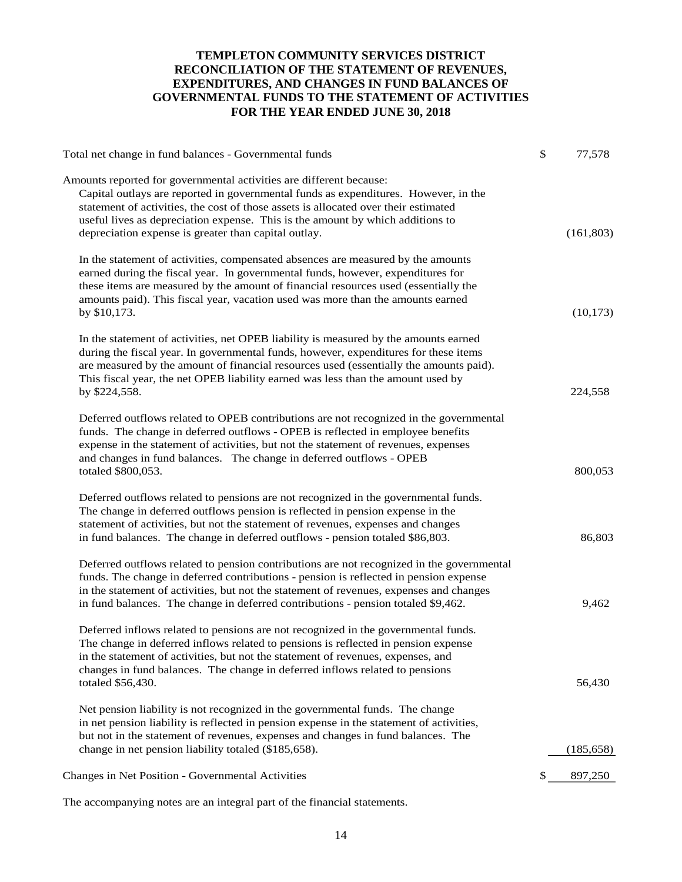## **TEMPLETON COMMUNITY SERVICES DISTRICT RECONCILIATION OF THE STATEMENT OF REVENUES, EXPENDITURES, AND CHANGES IN FUND BALANCES OF GOVERNMENTAL FUNDS TO THE STATEMENT OF ACTIVITIES FOR THE YEAR ENDED JUNE 30, 2018**

| Total net change in fund balances - Governmental funds                                                                                                                                                                                                                                                                                                                                      | \$<br>77,578 |
|---------------------------------------------------------------------------------------------------------------------------------------------------------------------------------------------------------------------------------------------------------------------------------------------------------------------------------------------------------------------------------------------|--------------|
| Amounts reported for governmental activities are different because:<br>Capital outlays are reported in governmental funds as expenditures. However, in the<br>statement of activities, the cost of those assets is allocated over their estimated<br>useful lives as depreciation expense. This is the amount by which additions to<br>depreciation expense is greater than capital outlay. | (161, 803)   |
| In the statement of activities, compensated absences are measured by the amounts<br>earned during the fiscal year. In governmental funds, however, expenditures for<br>these items are measured by the amount of financial resources used (essentially the<br>amounts paid). This fiscal year, vacation used was more than the amounts earned<br>by \$10,173.                               | (10, 173)    |
| In the statement of activities, net OPEB liability is measured by the amounts earned<br>during the fiscal year. In governmental funds, however, expenditures for these items<br>are measured by the amount of financial resources used (essentially the amounts paid).<br>This fiscal year, the net OPEB liability earned was less than the amount used by<br>by \$224,558.                 | 224,558      |
| Deferred outflows related to OPEB contributions are not recognized in the governmental<br>funds. The change in deferred outflows - OPEB is reflected in employee benefits<br>expense in the statement of activities, but not the statement of revenues, expenses<br>and changes in fund balances. The change in deferred outflows - OPEB<br>totaled \$800,053.                              | 800,053      |
| Deferred outflows related to pensions are not recognized in the governmental funds.<br>The change in deferred outflows pension is reflected in pension expense in the<br>statement of activities, but not the statement of revenues, expenses and changes<br>in fund balances. The change in deferred outflows - pension totaled \$86,803.                                                  | 86,803       |
| Deferred outflows related to pension contributions are not recognized in the governmental<br>funds. The change in deferred contributions - pension is reflected in pension expense<br>in the statement of activities, but not the statement of revenues, expenses and changes<br>in fund balances. The change in deferred contributions - pension totaled \$9,462.                          | 9,462        |
| Deferred inflows related to pensions are not recognized in the governmental funds.<br>The change in deferred inflows related to pensions is reflected in pension expense<br>in the statement of activities, but not the statement of revenues, expenses, and<br>changes in fund balances. The change in deferred inflows related to pensions<br>totaled \$56,430.                           | 56,430       |
| Net pension liability is not recognized in the governmental funds. The change<br>in net pension liability is reflected in pension expense in the statement of activities,<br>but not in the statement of revenues, expenses and changes in fund balances. The<br>change in net pension liability totaled (\$185,658).                                                                       | (185, 658)   |
| <b>Changes in Net Position - Governmental Activities</b>                                                                                                                                                                                                                                                                                                                                    | 897,250      |
|                                                                                                                                                                                                                                                                                                                                                                                             |              |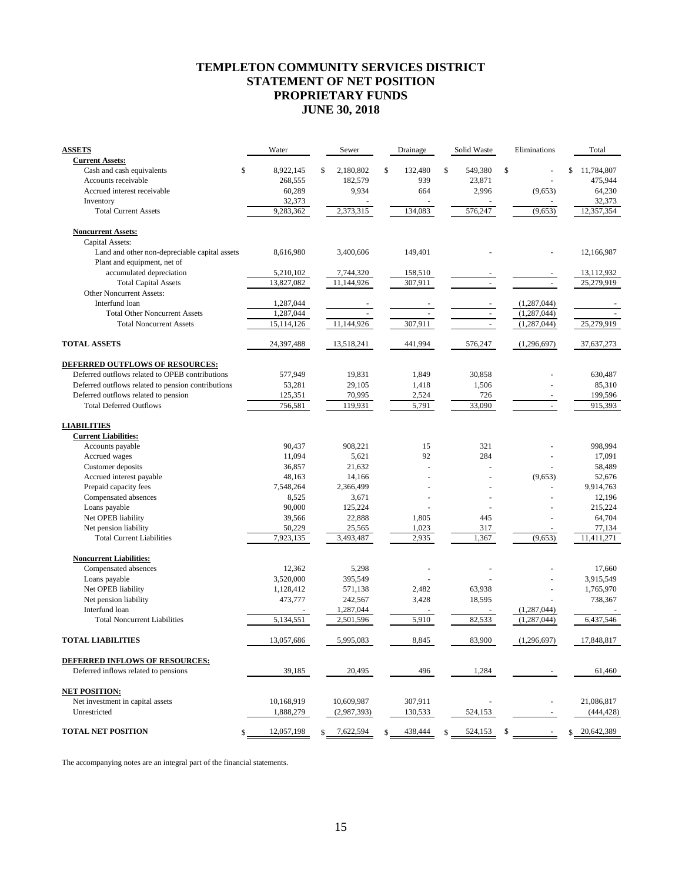## **TEMPLETON COMMUNITY SERVICES DISTRICT STATEMENT OF NET POSITION PROPRIETARY FUNDS JUNE 30, 2018**

| <b>ASSETS</b>                                       | Water                | Sewer                  | Drainage      | Solid Waste   | Eliminations               | Total            |
|-----------------------------------------------------|----------------------|------------------------|---------------|---------------|----------------------------|------------------|
| <b>Current Assets:</b><br>Cash and cash equivalents | \$                   | \$<br>2,180,802        | \$<br>132,480 | \$<br>549,380 | \$                         | \$<br>11,784,807 |
| Accounts receivable                                 | 8,922,145<br>268,555 | 182,579                | 939           | 23,871        |                            | 475,944          |
| Accrued interest receivable                         | 60,289               | 9,934                  | 664           | 2,996         | (9,653)                    | 64,230           |
| Inventory                                           | 32,373               |                        |               |               |                            | 32,373           |
| <b>Total Current Assets</b>                         | 9,283,362            | 2,373,315              | 134,083       | 576,247       | (9,653)                    | 12,357,354       |
| <b>Noncurrent Assets:</b>                           |                      |                        |               |               |                            |                  |
| Capital Assets:                                     |                      |                        |               |               |                            |                  |
| Land and other non-depreciable capital assets       | 8,616,980            | 3,400,606              | 149,401       |               |                            | 12,166,987       |
| Plant and equipment, net of                         |                      |                        |               |               |                            |                  |
| accumulated depreciation                            | 5,210,102            | 7,744,320              | 158,510       |               |                            | 13,112,932       |
| <b>Total Capital Assets</b>                         | 13,827,082           | 11,144,926             | 307,911       |               |                            | 25,279,919       |
| Other Noncurrent Assets:                            |                      |                        |               |               |                            |                  |
| Interfund loan                                      | 1,287,044            |                        |               |               | (1,287,044)                |                  |
| <b>Total Other Noncurrent Assets</b>                | 1,287,044            |                        |               |               | (1, 287, 044)              |                  |
| <b>Total Noncurrent Assets</b>                      | 15,114,126           | 11,144,926             | 307,911       |               | (1,287,044)                | 25,279,919       |
| <b>TOTAL ASSETS</b>                                 | 24,397,488           | 13,518,241             | 441,994       | 576,247       | (1,296,697)                | 37,637,273       |
| DEFERRED OUTFLOWS OF RESOURCES:                     |                      |                        |               |               |                            |                  |
| Deferred outflows related to OPEB contributions     | 577,949              | 19,831                 | 1,849         | 30,858        |                            | 630,487          |
| Deferred outflows related to pension contributions  | 53,281               | 29,105                 | 1,418         | 1,506         |                            | 85,310           |
| Deferred outflows related to pension                | 125,351              | 70,995                 | 2,524         | 726           |                            | 199,596          |
| <b>Total Deferred Outflows</b>                      | 756,581              | 119,931                | 5,791         | 33,090        |                            | 915,393          |
| <b>LIABILITIES</b>                                  |                      |                        |               |               |                            |                  |
| <b>Current Liabilities:</b>                         |                      |                        |               |               |                            |                  |
| Accounts payable                                    | 90,437               | 908,221                | 15            | 321           |                            | 998,994          |
| Accrued wages                                       | 11,094               | 5,621                  | 92            | 284           |                            | 17,091           |
| Customer deposits                                   | 36,857               | 21,632                 | L.            |               |                            | 58,489           |
| Accrued interest payable                            | 48,163               | 14,166                 |               |               | (9,653)                    | 52,676           |
| Prepaid capacity fees                               | 7,548,264            | 2,366,499              |               |               |                            | 9,914,763        |
| Compensated absences                                | 8,525                | 3,671                  | ÷.            | $\sim$        | ä,                         | 12,196           |
| Loans payable                                       | 90,000               | 125,224                |               |               |                            | 215,224          |
| Net OPEB liability                                  | 39,566               | 22,888                 | 1,805         | 445           |                            | 64,704           |
| Net pension liability                               | 50,229               | 25,565                 | 1,023         | 317           |                            | 77,134           |
| <b>Total Current Liabilities</b>                    | 7,923,135            | 3,493,487              | 2,935         | 1,367         | (9,653)                    | 11,411,271       |
| <b>Noncurrent Liabilities:</b>                      |                      |                        |               |               |                            |                  |
| Compensated absences                                | 12,362               | 5,298                  |               |               |                            | 17,660           |
| Loans payable                                       | 3,520,000            | 395.549                |               |               |                            | 3,915,549        |
| Net OPEB liability                                  | 1,128,412            | 571,138                | 2,482         | 63,938        |                            | 1,765,970        |
| Net pension liability<br>Interfund loan             | 473,777              | 242,567                | 3,428         | 18,595        |                            | 738,367          |
| <b>Total Noncurrent Liabilities</b>                 | 5,134,551            | 1,287,044<br>2,501,596 | 5,910         | 82,533        | (1,287,044)<br>(1,287,044) | 6,437,546        |
|                                                     |                      |                        |               |               |                            |                  |
| <b>TOTAL LIABILITIES</b>                            | 13,057,686           | 5,995,083              | 8,845         | 83,900        | (1,296,697)                | 17,848,817       |
| <b>DEFERRED INFLOWS OF RESOURCES:</b>               |                      |                        |               |               |                            |                  |
| Deferred inflows related to pensions                | 39,185               | 20,495                 | 496           | 1,284         |                            | 61,460           |
| <b>NET POSITION:</b>                                |                      |                        |               |               |                            |                  |
| Net investment in capital assets                    | 10,168,919           | 10,609,987             | 307,911       |               |                            | 21,086,817       |
| Unrestricted                                        | 1,888,279            | (2,987,393)            | 130,533       | 524,153       |                            | (444, 428)       |
| <b>TOTAL NET POSITION</b>                           | \$<br>12,057,198     | 7,622,594              | \$<br>438,444 | \$<br>524,153 | \$                         | \$<br>20,642,389 |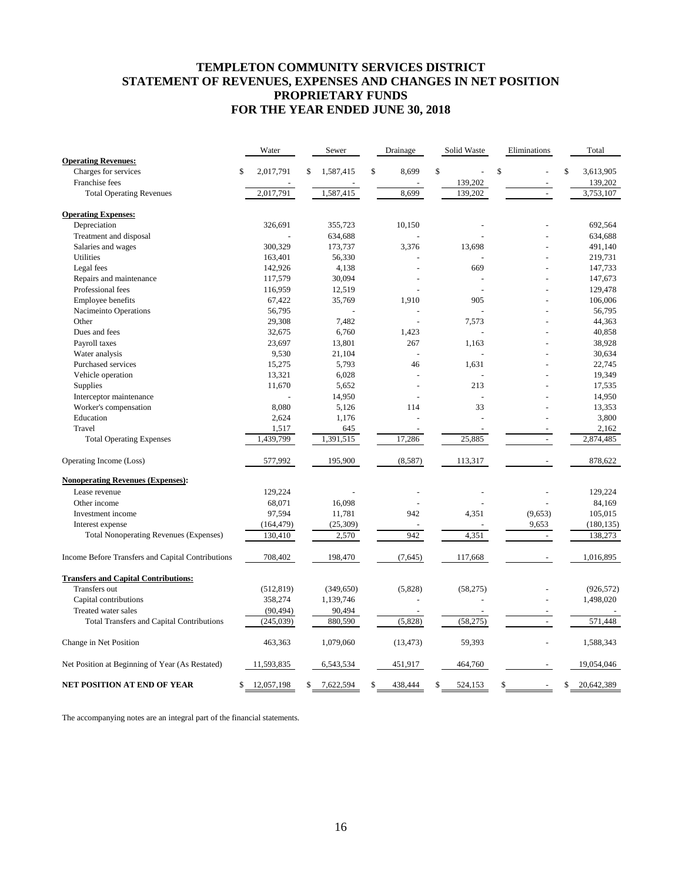## **TEMPLETON COMMUNITY SERVICES DISTRICT STATEMENT OF REVENUES, EXPENSES AND CHANGES IN NET POSITION PROPRIETARY FUNDS FOR THE YEAR ENDED JUNE 30, 2018**

|                                                   | Water            | Sewer           | Drainage       | Solid Waste   | Eliminations   | Total            |
|---------------------------------------------------|------------------|-----------------|----------------|---------------|----------------|------------------|
| <b>Operating Revenues:</b>                        |                  |                 |                |               |                |                  |
| Charges for services                              | \$<br>2,017,791  | \$<br>1,587,415 | \$<br>8,699    | \$            | \$             | \$<br>3,613,905  |
| Franchise fees                                    |                  |                 |                | 139,202       |                | 139,202          |
| <b>Total Operating Revenues</b>                   | 2,017,791        | 1,587,415       | 8,699          | 139,202       | ÷,             | 3,753,107        |
| <b>Operating Expenses:</b>                        |                  |                 |                |               |                |                  |
| Depreciation                                      | 326,691          | 355,723         | 10,150         |               |                | 692,564          |
| Treatment and disposal                            |                  | 634,688         |                |               |                | 634,688          |
| Salaries and wages                                | 300,329          | 173,737         | 3,376          | 13,698        |                | 491,140          |
| Utilities                                         | 163,401          | 56,330          |                |               |                | 219,731          |
| Legal fees                                        | 142,926          | 4,138           | $\overline{a}$ | 669           |                | 147,733          |
| Repairs and maintenance                           | 117,579          | 30,094          |                |               |                | 147,673          |
| Professional fees                                 | 116,959          | 12,519          |                |               |                | 129,478          |
| Employee benefits                                 | 67,422           | 35,769          | 1,910          | 905           |                | 106,006          |
| Nacimeinto Operations                             | 56,795           |                 |                |               |                | 56,795           |
| Other                                             | 29,308           | 7,482           |                | 7,573         |                | 44,363           |
| Dues and fees                                     | 32,675           | 6,760           | 1,423          |               |                | 40,858           |
| Payroll taxes                                     | 23,697           | 13,801          | 267            | 1,163         |                | 38,928           |
| Water analysis                                    | 9,530            | 21,104          | $\overline{a}$ |               |                | 30,634           |
| Purchased services                                | 15,275           | 5,793           | 46             | 1,631         |                | 22,745           |
| Vehicle operation                                 | 13,321           | 6,028           |                |               |                | 19,349           |
| Supplies                                          | 11,670           | 5,652           |                | 213           |                | 17,535           |
| Interceptor maintenance                           |                  | 14,950          |                |               |                | 14,950           |
| Worker's compensation                             | 8,080            | 5,126           | 114            | 33            |                | 13,353           |
| Education                                         | 2,624            | 1,176           |                |               |                | 3,800            |
| Travel                                            | 1,517            | 645             | $\sim$         |               |                | 2,162            |
| <b>Total Operating Expenses</b>                   | 1,439,799        | 1,391,515       | 17,286         | 25,885        | $\sim$         | 2,874,485        |
| Operating Income (Loss)                           | 577,992          | 195,900         | (8,587)        | 113,317       |                | 878,622          |
| <b>Nonoperating Revenues (Expenses):</b>          |                  |                 |                |               |                |                  |
| Lease revenue                                     | 129,224          |                 |                |               |                | 129,224          |
| Other income                                      | 68,071           | 16,098          |                |               |                | 84,169           |
| Investment income                                 | 97,594           | 11,781          | 942            | 4,351         | (9,653)        | 105,015          |
| Interest expense                                  | (164, 479)       | (25, 309)       |                |               | 9,653          | (180, 135)       |
| <b>Total Nonoperating Revenues (Expenses)</b>     | 130,410          | 2,570           | 942            | 4,351         | $\overline{a}$ | 138,273          |
| Income Before Transfers and Capital Contributions | 708,402          | 198,470         | (7,645)        | 117,668       |                | 1,016,895        |
| <b>Transfers and Capital Contributions:</b>       |                  |                 |                |               |                |                  |
| Transfers out                                     | (512, 819)       | (349, 650)      | (5,828)        | (58,275)      |                | (926, 572)       |
| Capital contributions                             | 358,274          | 1,139,746       |                |               |                | 1,498,020        |
| Treated water sales                               | (90, 494)        | 90,494          |                |               |                |                  |
| Total Transfers and Capital Contributions         | (245, 039)       | 880,590         | (5,828)        | (58, 275)     | $\blacksquare$ | 571,448          |
| Change in Net Position                            | 463,363          | 1,079,060       | (13, 473)      | 59,393        |                | 1,588,343        |
| Net Position at Beginning of Year (As Restated)   | 11,593,835       | 6,543,534       | 451,917        | 464,760       |                | 19,054,046       |
| NET POSITION AT END OF YEAR                       | 12,057,198<br>\$ | \$<br>7,622,594 | \$<br>438,444  | \$<br>524,153 | \$             | \$<br>20,642,389 |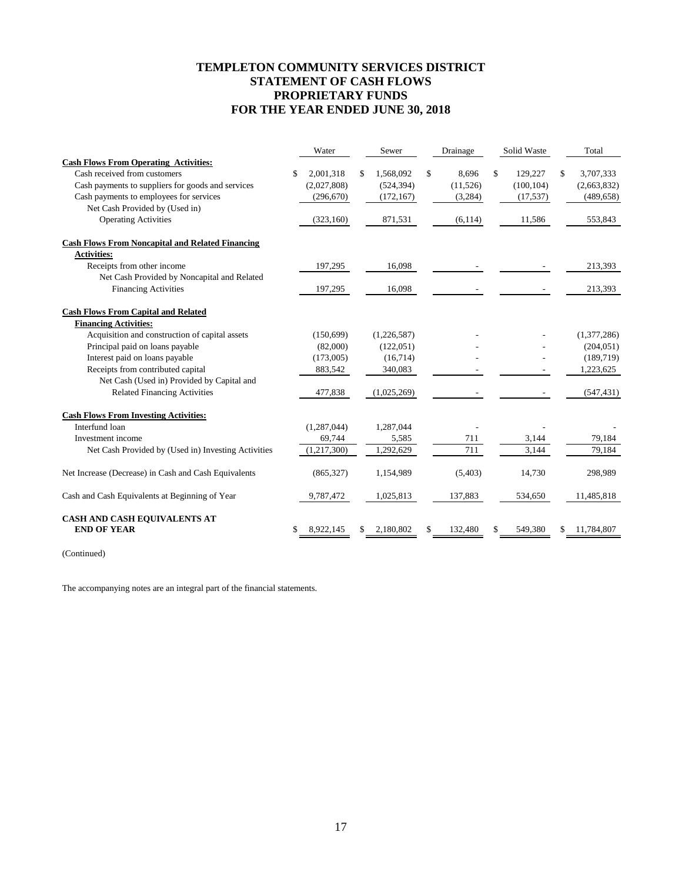## **TEMPLETON COMMUNITY SERVICES DISTRICT STATEMENT OF CASH FLOWS PROPRIETARY FUNDS FOR THE YEAR ENDED JUNE 30, 2018**

|                                                         | Water           | Sewer           | Drainage      | Solid Waste   | Total           |
|---------------------------------------------------------|-----------------|-----------------|---------------|---------------|-----------------|
| <b>Cash Flows From Operating Activities:</b>            |                 |                 |               |               |                 |
| Cash received from customers                            | \$<br>2,001,318 | \$<br>1,568,092 | \$<br>8,696   | \$<br>129,227 | \$<br>3,707,333 |
| Cash payments to suppliers for goods and services       | (2,027,808)     | (524, 394)      | (11, 526)     | (100, 104)    | (2,663,832)     |
| Cash payments to employees for services                 | (296, 670)      | (172, 167)      | (3,284)       | (17, 537)     | (489, 658)      |
| Net Cash Provided by (Used in)                          |                 |                 |               |               |                 |
| <b>Operating Activities</b>                             | (323, 160)      | 871,531         | (6, 114)      | 11,586        | 553,843         |
| <b>Cash Flows From Noncapital and Related Financing</b> |                 |                 |               |               |                 |
| <b>Activities:</b>                                      |                 |                 |               |               |                 |
| Receipts from other income                              | 197,295         | 16,098          |               |               | 213,393         |
| Net Cash Provided by Noncapital and Related             |                 |                 |               |               |                 |
| <b>Financing Activities</b>                             | 197,295         | 16,098          |               |               | 213,393         |
| <b>Cash Flows From Capital and Related</b>              |                 |                 |               |               |                 |
| <b>Financing Activities:</b>                            |                 |                 |               |               |                 |
| Acquisition and construction of capital assets          | (150, 699)      | (1,226,587)     |               |               | (1,377,286)     |
| Principal paid on loans payable                         | (82,000)        | (122, 051)      |               |               | (204, 051)      |
| Interest paid on loans payable                          | (173,005)       | (16,714)        |               |               | (189, 719)      |
| Receipts from contributed capital                       | 883,542         | 340,083         |               |               | 1,223,625       |
| Net Cash (Used in) Provided by Capital and              |                 |                 |               |               |                 |
| <b>Related Financing Activities</b>                     | 477,838         | (1,025,269)     |               |               | (547, 431)      |
| <b>Cash Flows From Investing Activities:</b>            |                 |                 |               |               |                 |
| Interfund loan                                          | (1, 287, 044)   | 1,287,044       |               |               |                 |
| Investment income                                       | 69,744          | 5,585           | 711           | 3,144         | 79,184          |
| Net Cash Provided by (Used in) Investing Activities     | (1,217,300)     | 1,292,629       | 711           | 3.144         | 79,184          |
| Net Increase (Decrease) in Cash and Cash Equivalents    | (865, 327)      | 1,154,989       | (5,403)       | 14,730        | 298,989         |
| Cash and Cash Equivalents at Beginning of Year          | 9,787,472       | 1,025,813       | 137,883       | 534,650       | 11,485,818      |
| CASH AND CASH EQUIVALENTS AT<br><b>END OF YEAR</b>      | 8,922,145       | 2,180,802       | \$<br>132,480 | 549,380       | 11,784,807      |

(Continued)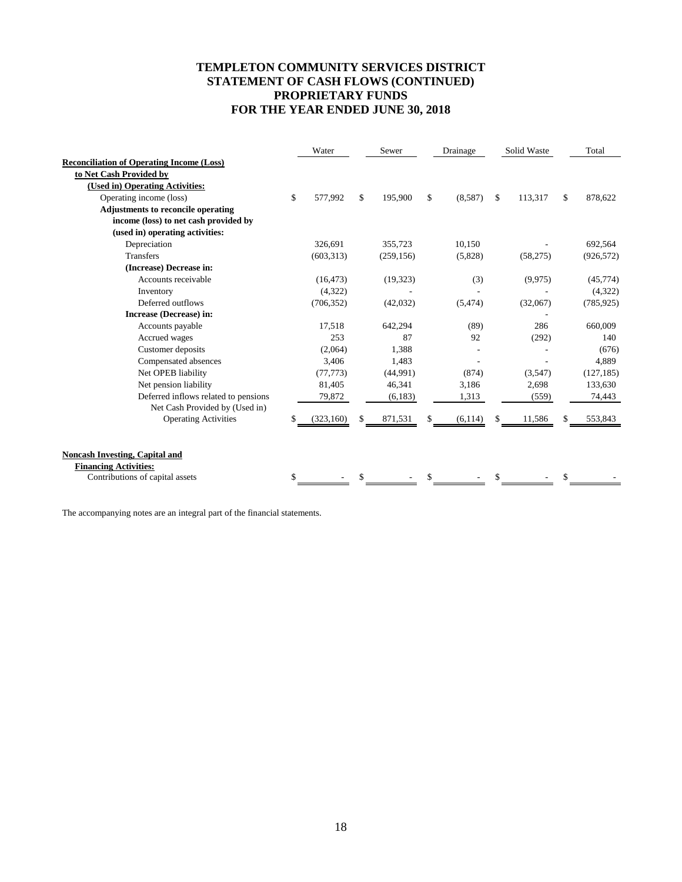## **TEMPLETON COMMUNITY SERVICES DISTRICT STATEMENT OF CASH FLOWS (CONTINUED) PROPRIETARY FUNDS FOR THE YEAR ENDED JUNE 30, 2018**

|                                                  | Water         | Sewer |            | Drainage |          | Solid Waste |          | Total         |
|--------------------------------------------------|---------------|-------|------------|----------|----------|-------------|----------|---------------|
| <b>Reconciliation of Operating Income (Loss)</b> |               |       |            |          |          |             |          |               |
| to Net Cash Provided by                          |               |       |            |          |          |             |          |               |
| (Used in) Operating Activities:                  |               |       |            |          |          |             |          |               |
| Operating income (loss)                          | \$<br>577,992 | \$    | 195,900    | \$       | (8,587)  | \$          | 113,317  | \$<br>878,622 |
| <b>Adjustments to reconcile operating</b>        |               |       |            |          |          |             |          |               |
| income (loss) to net cash provided by            |               |       |            |          |          |             |          |               |
| (used in) operating activities:                  |               |       |            |          |          |             |          |               |
| Depreciation                                     | 326,691       |       | 355,723    |          | 10,150   |             |          | 692,564       |
| <b>Transfers</b>                                 | (603, 313)    |       | (259, 156) |          | (5,828)  |             | (58,275) | (926, 572)    |
| (Increase) Decrease in:                          |               |       |            |          |          |             |          |               |
| Accounts receivable                              | (16, 473)     |       | (19, 323)  |          | (3)      |             | (9,975)  | (45, 774)     |
| Inventory                                        | (4,322)       |       |            |          |          |             |          | (4,322)       |
| Deferred outflows                                | (706, 352)    |       | (42,032)   |          | (5, 474) |             | (32,067) | (785, 925)    |
| Increase (Decrease) in:                          |               |       |            |          |          |             |          |               |
| Accounts payable                                 | 17,518        |       | 642,294    |          | (89)     |             | 286      | 660,009       |
| Accrued wages                                    | 253           |       | 87         |          | 92       |             | (292)    | 140           |
| Customer deposits                                | (2,064)       |       | 1,388      |          |          |             |          | (676)         |
| Compensated absences                             | 3,406         |       | 1.483      |          |          |             |          | 4,889         |
| Net OPEB liability                               | (77, 773)     |       | (44,991)   |          | (874)    |             | (3,547)  | (127, 185)    |
| Net pension liability                            | 81,405        |       | 46,341     |          | 3,186    |             | 2,698    | 133,630       |
| Deferred inflows related to pensions             | 79,872        |       | (6,183)    |          | 1,313    |             | (559)    | 74,443        |
| Net Cash Provided by (Used in)                   |               |       |            |          |          |             |          |               |
| <b>Operating Activities</b>                      | (323, 160)    | \$    | 871,531    | \$       | (6, 114) | \$          | 11,586   | 553,843       |
|                                                  |               |       |            |          |          |             |          |               |
|                                                  |               |       |            |          |          |             |          |               |
| <b>Noncash Investing, Capital and</b>            |               |       |            |          |          |             |          |               |
| <b>Financing Activities:</b>                     |               |       |            |          |          |             |          |               |
| Contributions of capital assets                  |               |       |            |          |          |             |          |               |
|                                                  |               |       |            |          |          |             |          |               |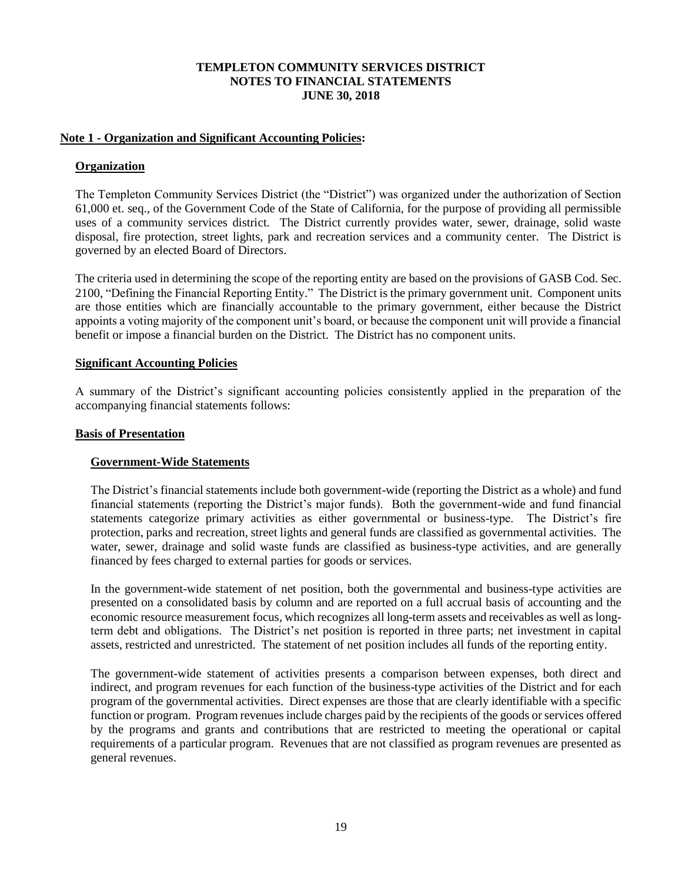## **Note 1 - Organization and Significant Accounting Policies:**

## **Organization**

The Templeton Community Services District (the "District") was organized under the authorization of Section 61,000 et. seq., of the Government Code of the State of California, for the purpose of providing all permissible uses of a community services district. The District currently provides water, sewer, drainage, solid waste disposal, fire protection, street lights, park and recreation services and a community center. The District is governed by an elected Board of Directors.

The criteria used in determining the scope of the reporting entity are based on the provisions of GASB Cod. Sec. 2100, "Defining the Financial Reporting Entity." The District is the primary government unit. Component units are those entities which are financially accountable to the primary government, either because the District appoints a voting majority of the component unit's board, or because the component unit will provide a financial benefit or impose a financial burden on the District. The District has no component units.

## **Significant Accounting Policies**

A summary of the District's significant accounting policies consistently applied in the preparation of the accompanying financial statements follows:

## **Basis of Presentation**

## **Government-Wide Statements**

The District's financial statements include both government-wide (reporting the District as a whole) and fund financial statements (reporting the District's major funds). Both the government-wide and fund financial statements categorize primary activities as either governmental or business-type. The District's fire protection, parks and recreation, street lights and general funds are classified as governmental activities. The water, sewer, drainage and solid waste funds are classified as business-type activities, and are generally financed by fees charged to external parties for goods or services.

In the government-wide statement of net position, both the governmental and business-type activities are presented on a consolidated basis by column and are reported on a full accrual basis of accounting and the economic resource measurement focus, which recognizes all long-term assets and receivables as well as longterm debt and obligations. The District's net position is reported in three parts; net investment in capital assets, restricted and unrestricted. The statement of net position includes all funds of the reporting entity.

The government-wide statement of activities presents a comparison between expenses, both direct and indirect, and program revenues for each function of the business-type activities of the District and for each program of the governmental activities. Direct expenses are those that are clearly identifiable with a specific function or program. Program revenues include charges paid by the recipients of the goods or services offered by the programs and grants and contributions that are restricted to meeting the operational or capital requirements of a particular program. Revenues that are not classified as program revenues are presented as general revenues.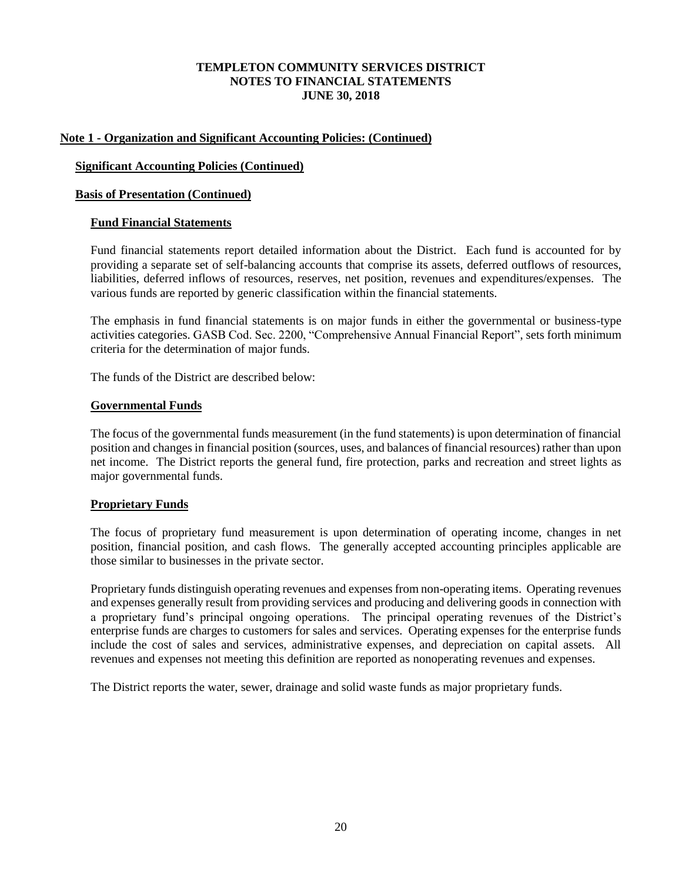## **Note 1 - Organization and Significant Accounting Policies: (Continued)**

## **Significant Accounting Policies (Continued)**

## **Basis of Presentation (Continued)**

## **Fund Financial Statements**

Fund financial statements report detailed information about the District. Each fund is accounted for by providing a separate set of self-balancing accounts that comprise its assets, deferred outflows of resources, liabilities, deferred inflows of resources, reserves, net position, revenues and expenditures/expenses. The various funds are reported by generic classification within the financial statements.

The emphasis in fund financial statements is on major funds in either the governmental or business-type activities categories. GASB Cod. Sec. 2200, "Comprehensive Annual Financial Report", sets forth minimum criteria for the determination of major funds.

The funds of the District are described below:

### **Governmental Funds**

The focus of the governmental funds measurement (in the fund statements) is upon determination of financial position and changes in financial position (sources, uses, and balances of financial resources) rather than upon net income. The District reports the general fund, fire protection, parks and recreation and street lights as major governmental funds.

## **Proprietary Funds**

The focus of proprietary fund measurement is upon determination of operating income, changes in net position, financial position, and cash flows. The generally accepted accounting principles applicable are those similar to businesses in the private sector.

Proprietary funds distinguish operating revenues and expenses from non-operating items. Operating revenues and expenses generally result from providing services and producing and delivering goods in connection with a proprietary fund's principal ongoing operations. The principal operating revenues of the District's enterprise funds are charges to customers for sales and services. Operating expenses for the enterprise funds include the cost of sales and services, administrative expenses, and depreciation on capital assets. All revenues and expenses not meeting this definition are reported as nonoperating revenues and expenses.

The District reports the water, sewer, drainage and solid waste funds as major proprietary funds.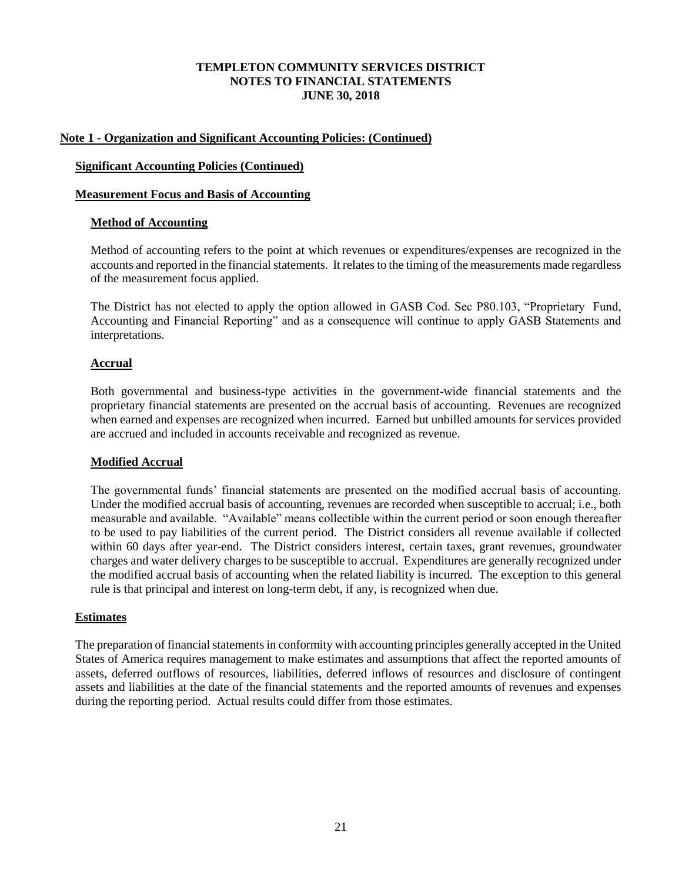## **Note 1 - Organization and Significant Accounting Policies: (Continued)**

## **Significant Accounting Policies (Continued)**

## **Measurement Focus and Basis of Accounting**

## **Method of Accounting**

Method of accounting refers to the point at which revenues or expenditures/expenses are recognized in the accounts and reported in the financial statements. It relates to the timing of the measurements made regardless of the measurement focus applied.

The District has not elected to apply the option allowed in GASB Cod. Sec P80.103, "Proprietary Fund, Accounting and Financial Reporting" and as a consequence will continue to apply GASB Statements and interpretations.

## **Accrual**

Both governmental and business-type activities in the government-wide financial statements and the proprietary financial statements are presented on the accrual basis of accounting. Revenues are recognized when earned and expenses are recognized when incurred. Earned but unbilled amounts for services provided are accrued and included in accounts receivable and recognized as revenue.

## **Modified Accrual**

The governmental funds' financial statements are presented on the modified accrual basis of accounting. Under the modified accrual basis of accounting, revenues are recorded when susceptible to accrual; i.e., both measurable and available. "Available" means collectible within the current period or soon enough thereafter to be used to pay liabilities of the current period. The District considers all revenue available if collected within 60 days after year-end. The District considers interest, certain taxes, grant revenues, groundwater charges and water delivery charges to be susceptible to accrual. Expenditures are generally recognized under the modified accrual basis of accounting when the related liability is incurred. The exception to this general rule is that principal and interest on long-term debt, if any, is recognized when due.

## **Estimates**

The preparation of financial statements in conformity with accounting principles generally accepted in the United States of America requires management to make estimates and assumptions that affect the reported amounts of assets, deferred outflows of resources, liabilities, deferred inflows of resources and disclosure of contingent assets and liabilities at the date of the financial statements and the reported amounts of revenues and expenses during the reporting period. Actual results could differ from those estimates.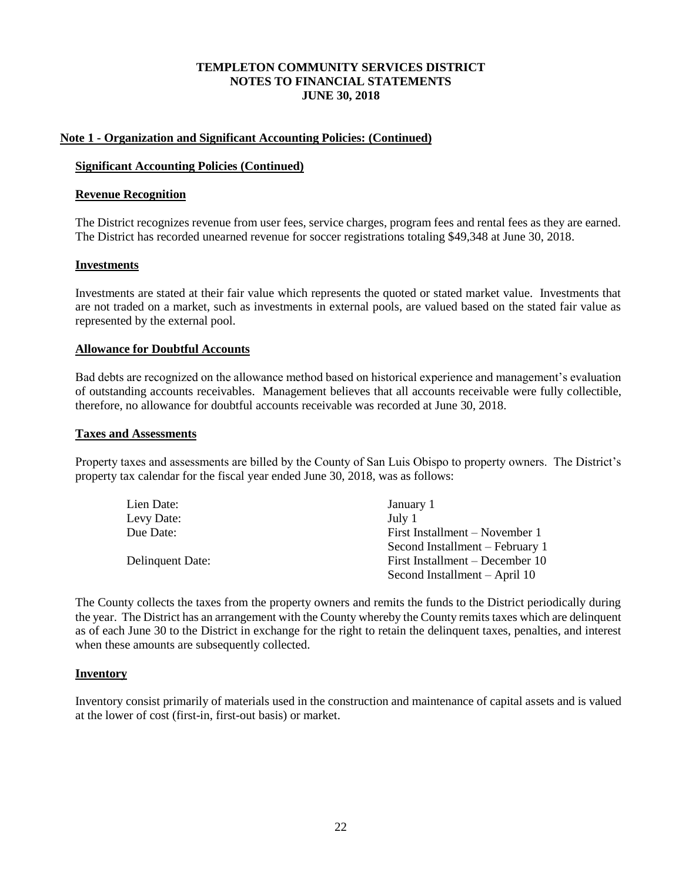### **Note 1 - Organization and Significant Accounting Policies: (Continued)**

### **Significant Accounting Policies (Continued)**

### **Revenue Recognition**

The District recognizes revenue from user fees, service charges, program fees and rental fees as they are earned. The District has recorded unearned revenue for soccer registrations totaling \$49,348 at June 30, 2018.

### **Investments**

Investments are stated at their fair value which represents the quoted or stated market value. Investments that are not traded on a market, such as investments in external pools, are valued based on the stated fair value as represented by the external pool.

### **Allowance for Doubtful Accounts**

Bad debts are recognized on the allowance method based on historical experience and management's evaluation of outstanding accounts receivables. Management believes that all accounts receivable were fully collectible, therefore, no allowance for doubtful accounts receivable was recorded at June 30, 2018.

#### **Taxes and Assessments**

Property taxes and assessments are billed by the County of San Luis Obispo to property owners. The District's property tax calendar for the fiscal year ended June 30, 2018, was as follows:

| Lien Date:       | January 1                       |
|------------------|---------------------------------|
| Levy Date:       | July 1                          |
| Due Date:        | First Installment – November 1  |
|                  | Second Installment – February 1 |
| Delinquent Date: | First Installment – December 10 |
|                  | Second Installment - April 10   |

The County collects the taxes from the property owners and remits the funds to the District periodically during the year. The District has an arrangement with the County whereby the County remits taxes which are delinquent as of each June 30 to the District in exchange for the right to retain the delinquent taxes, penalties, and interest when these amounts are subsequently collected.

#### **Inventory**

Inventory consist primarily of materials used in the construction and maintenance of capital assets and is valued at the lower of cost (first-in, first-out basis) or market.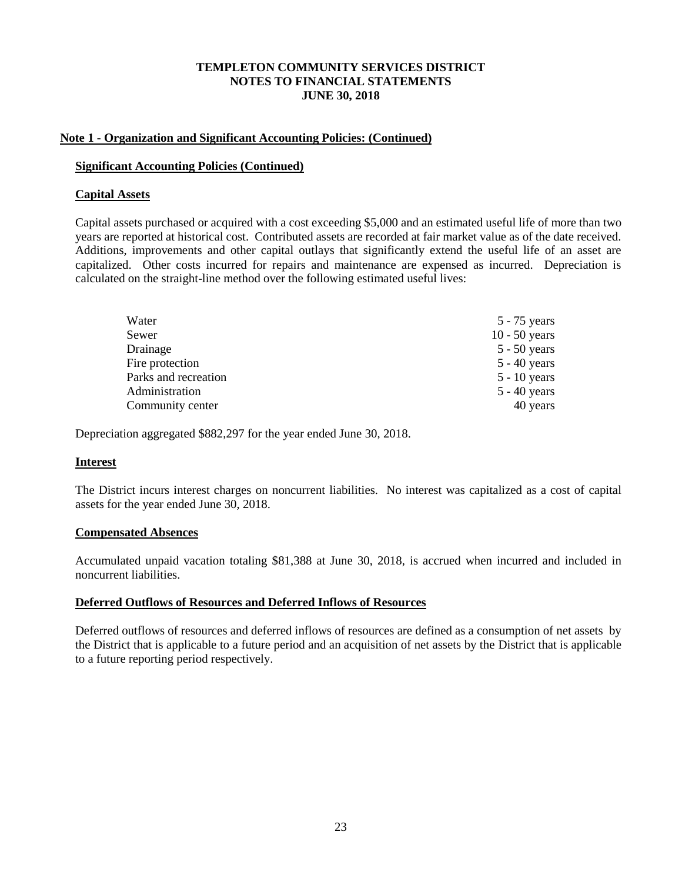### **Note 1 - Organization and Significant Accounting Policies: (Continued)**

### **Significant Accounting Policies (Continued)**

## **Capital Assets**

Capital assets purchased or acquired with a cost exceeding \$5,000 and an estimated useful life of more than two years are reported at historical cost. Contributed assets are recorded at fair market value as of the date received. Additions, improvements and other capital outlays that significantly extend the useful life of an asset are capitalized. Other costs incurred for repairs and maintenance are expensed as incurred. Depreciation is calculated on the straight-line method over the following estimated useful lives:

| Water                | $5 - 75$ years  |
|----------------------|-----------------|
| Sewer                | $10 - 50$ years |
| Drainage             | $5 - 50$ years  |
| Fire protection      | $5 - 40$ years  |
| Parks and recreation | $5 - 10$ years  |
| Administration       | $5 - 40$ years  |
| Community center     | 40 years        |

Depreciation aggregated \$882,297 for the year ended June 30, 2018.

## **Interest**

The District incurs interest charges on noncurrent liabilities. No interest was capitalized as a cost of capital assets for the year ended June 30, 2018.

## **Compensated Absences**

Accumulated unpaid vacation totaling \$81,388 at June 30, 2018, is accrued when incurred and included in noncurrent liabilities.

## **Deferred Outflows of Resources and Deferred Inflows of Resources**

Deferred outflows of resources and deferred inflows of resources are defined as a consumption of net assets by the District that is applicable to a future period and an acquisition of net assets by the District that is applicable to a future reporting period respectively.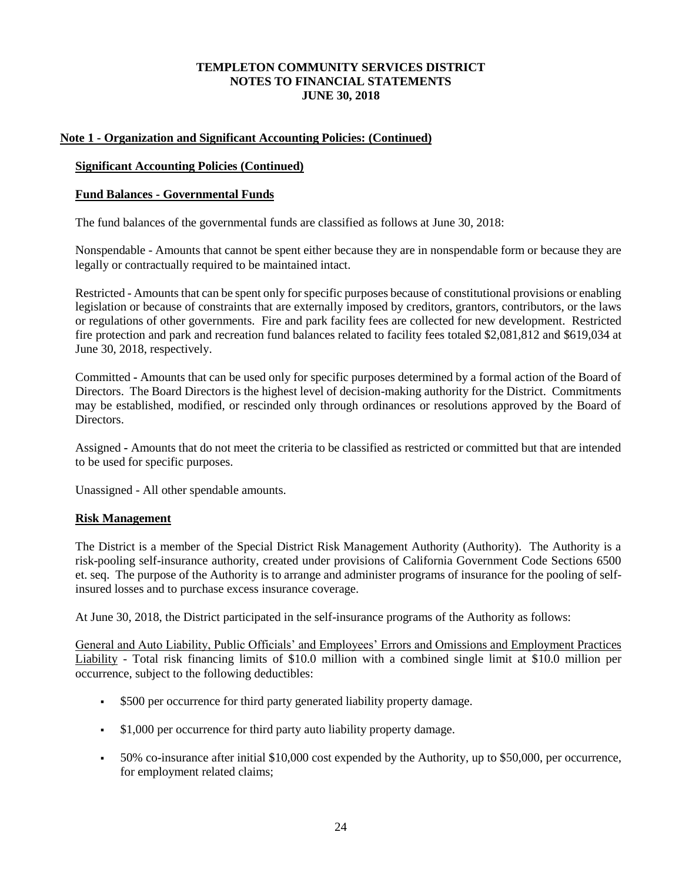## **Note 1 - Organization and Significant Accounting Policies: (Continued)**

## **Significant Accounting Policies (Continued)**

## **Fund Balances - Governmental Funds**

The fund balances of the governmental funds are classified as follows at June 30, 2018:

Nonspendable - Amounts that cannot be spent either because they are in nonspendable form or because they are legally or contractually required to be maintained intact.

Restricted - Amounts that can be spent only for specific purposes because of constitutional provisions or enabling legislation or because of constraints that are externally imposed by creditors, grantors, contributors, or the laws or regulations of other governments. Fire and park facility fees are collected for new development. Restricted fire protection and park and recreation fund balances related to facility fees totaled \$2,081,812 and \$619,034 at June 30, 2018, respectively.

Committed **-** Amounts that can be used only for specific purposes determined by a formal action of the Board of Directors. The Board Directors is the highest level of decision-making authority for the District. Commitments may be established, modified, or rescinded only through ordinances or resolutions approved by the Board of **Directors** 

Assigned **-** Amounts that do not meet the criteria to be classified as restricted or committed but that are intended to be used for specific purposes.

Unassigned - All other spendable amounts.

## **Risk Management**

The District is a member of the Special District Risk Management Authority (Authority). The Authority is a risk-pooling self-insurance authority, created under provisions of California Government Code Sections 6500 et. seq. The purpose of the Authority is to arrange and administer programs of insurance for the pooling of selfinsured losses and to purchase excess insurance coverage.

At June 30, 2018, the District participated in the self-insurance programs of the Authority as follows:

General and Auto Liability, Public Officials' and Employees' Errors and Omissions and Employment Practices Liability - Total risk financing limits of \$10.0 million with a combined single limit at \$10.0 million per occurrence, subject to the following deductibles:

- \$500 per occurrence for third party generated liability property damage.
- \$1,000 per occurrence for third party auto liability property damage.
- 50% co-insurance after initial \$10,000 cost expended by the Authority, up to \$50,000, per occurrence, for employment related claims;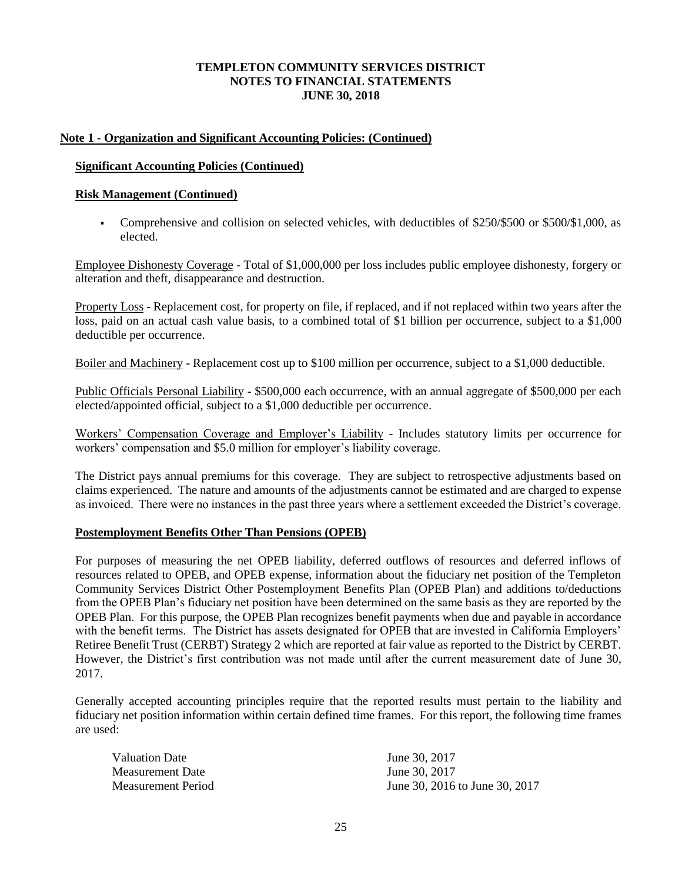## **Note 1 - Organization and Significant Accounting Policies: (Continued)**

### **Significant Accounting Policies (Continued)**

### **Risk Management (Continued)**

▪ Comprehensive and collision on selected vehicles, with deductibles of \$250/\$500 or \$500/\$1,000, as elected.

Employee Dishonesty Coverage - Total of \$1,000,000 per loss includes public employee dishonesty, forgery or alteration and theft, disappearance and destruction.

Property Loss - Replacement cost, for property on file, if replaced, and if not replaced within two years after the loss, paid on an actual cash value basis, to a combined total of \$1 billion per occurrence, subject to a \$1,000 deductible per occurrence.

Boiler and Machinery - Replacement cost up to \$100 million per occurrence, subject to a \$1,000 deductible.

Public Officials Personal Liability - \$500,000 each occurrence, with an annual aggregate of \$500,000 per each elected/appointed official, subject to a \$1,000 deductible per occurrence.

Workers' Compensation Coverage and Employer's Liability - Includes statutory limits per occurrence for workers' compensation and \$5.0 million for employer's liability coverage.

The District pays annual premiums for this coverage. They are subject to retrospective adjustments based on claims experienced. The nature and amounts of the adjustments cannot be estimated and are charged to expense as invoiced. There were no instances in the past three years where a settlement exceeded the District's coverage.

## **Postemployment Benefits Other Than Pensions (OPEB)**

For purposes of measuring the net OPEB liability, deferred outflows of resources and deferred inflows of resources related to OPEB, and OPEB expense, information about the fiduciary net position of the Templeton Community Services District Other Postemployment Benefits Plan (OPEB Plan) and additions to/deductions from the OPEB Plan's fiduciary net position have been determined on the same basis as they are reported by the OPEB Plan. For this purpose, the OPEB Plan recognizes benefit payments when due and payable in accordance with the benefit terms. The District has assets designated for OPEB that are invested in California Employers' Retiree Benefit Trust (CERBT) Strategy 2 which are reported at fair value as reported to the District by CERBT. However, the District's first contribution was not made until after the current measurement date of June 30, 2017.

Generally accepted accounting principles require that the reported results must pertain to the liability and fiduciary net position information within certain defined time frames. For this report, the following time frames are used:

| Valuation Date     | June 30, 2017                  |
|--------------------|--------------------------------|
| Measurement Date   | June 30, 2017                  |
| Measurement Period | June 30, 2016 to June 30, 2017 |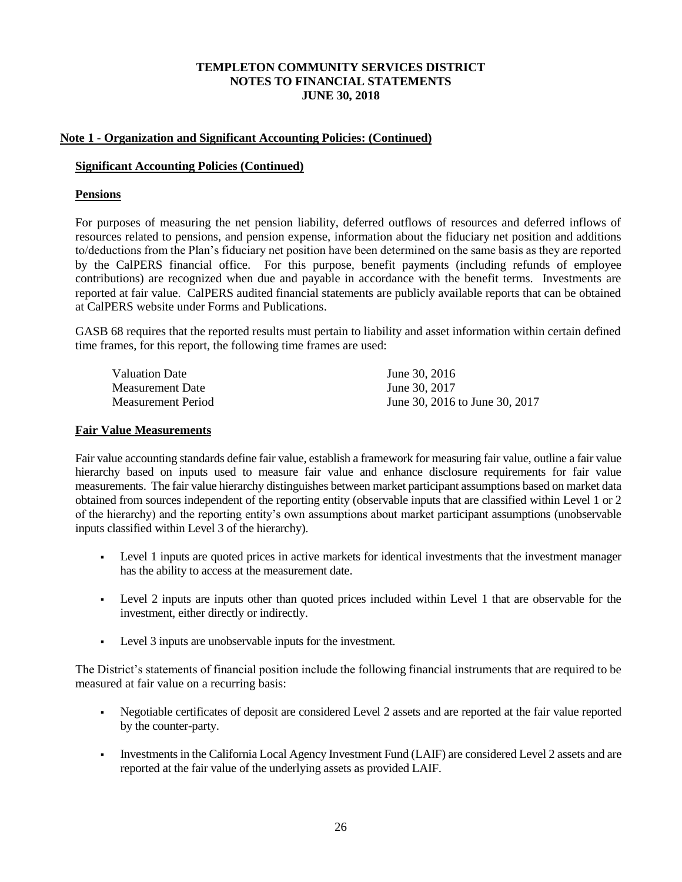## **Note 1 - Organization and Significant Accounting Policies: (Continued)**

### **Significant Accounting Policies (Continued)**

## **Pensions**

For purposes of measuring the net pension liability, deferred outflows of resources and deferred inflows of resources related to pensions, and pension expense, information about the fiduciary net position and additions to/deductions from the Plan's fiduciary net position have been determined on the same basis as they are reported by the CalPERS financial office. For this purpose, benefit payments (including refunds of employee contributions) are recognized when due and payable in accordance with the benefit terms. Investments are reported at fair value. CalPERS audited financial statements are publicly available reports that can be obtained at CalPERS website under Forms and Publications.

GASB 68 requires that the reported results must pertain to liability and asset information within certain defined time frames, for this report, the following time frames are used:

| <b>Valuation Date</b> | June 30, 2016                  |
|-----------------------|--------------------------------|
| Measurement Date      | June 30, 2017                  |
| Measurement Period    | June 30, 2016 to June 30, 2017 |

#### **Fair Value Measurements**

Fair value accounting standards define fair value, establish a framework for measuring fair value, outline a fair value hierarchy based on inputs used to measure fair value and enhance disclosure requirements for fair value measurements. The fair value hierarchy distinguishes between market participant assumptions based on market data obtained from sources independent of the reporting entity (observable inputs that are classified within Level 1 or 2 of the hierarchy) and the reporting entity's own assumptions about market participant assumptions (unobservable inputs classified within Level 3 of the hierarchy).

- Level 1 inputs are quoted prices in active markets for identical investments that the investment manager has the ability to access at the measurement date.
- Level 2 inputs are inputs other than quoted prices included within Level 1 that are observable for the investment, either directly or indirectly.
- Level 3 inputs are unobservable inputs for the investment.

The District's statements of financial position include the following financial instruments that are required to be measured at fair value on a recurring basis:

- Negotiable certificates of deposit are considered Level 2 assets and are reported at the fair value reported by the counter-party.
- Investments in the California Local Agency Investment Fund (LAIF) are considered Level 2 assets and are reported at the fair value of the underlying assets as provided LAIF.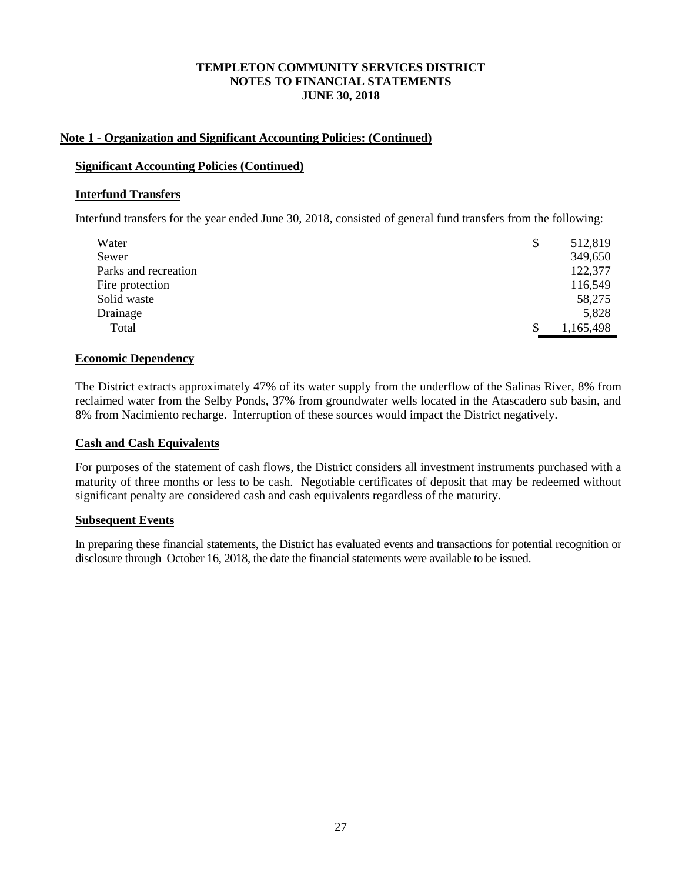### **Note 1 - Organization and Significant Accounting Policies: (Continued)**

### **Significant Accounting Policies (Continued)**

### **Interfund Transfers**

Interfund transfers for the year ended June 30, 2018, consisted of general fund transfers from the following:

| \$<br>Water          | 512,819   |
|----------------------|-----------|
| Sewer                | 349,650   |
| Parks and recreation | 122,377   |
| Fire protection      | 116,549   |
| Solid waste          | 58,275    |
| Drainage             | 5,828     |
| Total                | 1,165,498 |

### **Economic Dependency**

The District extracts approximately 47% of its water supply from the underflow of the Salinas River, 8% from reclaimed water from the Selby Ponds, 37% from groundwater wells located in the Atascadero sub basin, and 8% from Nacimiento recharge. Interruption of these sources would impact the District negatively.

#### **Cash and Cash Equivalents**

For purposes of the statement of cash flows, the District considers all investment instruments purchased with a maturity of three months or less to be cash. Negotiable certificates of deposit that may be redeemed without significant penalty are considered cash and cash equivalents regardless of the maturity.

#### **Subsequent Events**

In preparing these financial statements, the District has evaluated events and transactions for potential recognition or disclosure through October 16, 2018, the date the financial statements were available to be issued.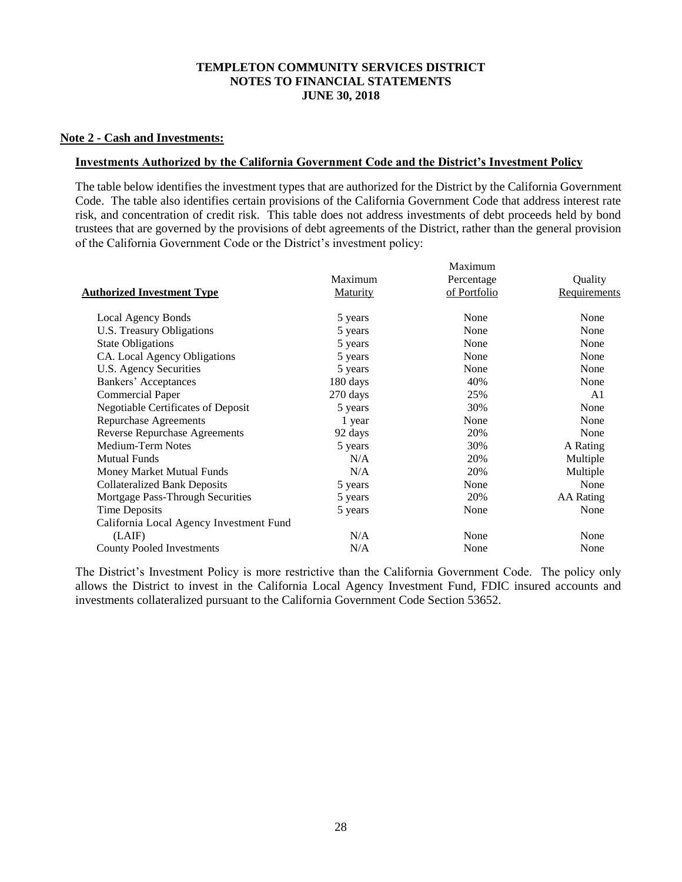### **Note 2 - Cash and Investments:**

### **Investments Authorized by the California Government Code and the District's Investment Policy**

The table below identifies the investment types that are authorized for the District by the California Government Code. The table also identifies certain provisions of the California Government Code that address interest rate risk, and concentration of credit risk. This table does not address investments of debt proceeds held by bond trustees that are governed by the provisions of debt agreements of the District, rather than the general provision of the California Government Code or the District's investment policy:

| Maximum  |              |                  |  |  |  |  |  |  |
|----------|--------------|------------------|--|--|--|--|--|--|
| Maximum  | Percentage   | Quality          |  |  |  |  |  |  |
| Maturity | of Portfolio | Requirements     |  |  |  |  |  |  |
| 5 years  | None         | None             |  |  |  |  |  |  |
| 5 years  | None         | None             |  |  |  |  |  |  |
| 5 years  | None         | None             |  |  |  |  |  |  |
| 5 years  | None         | None             |  |  |  |  |  |  |
| 5 years  | None         | None             |  |  |  |  |  |  |
| 180 days | 40%          | None             |  |  |  |  |  |  |
| 270 days | 25%          | A1               |  |  |  |  |  |  |
| 5 years  | 30%          | None             |  |  |  |  |  |  |
| 1 year   | None         | None             |  |  |  |  |  |  |
| 92 days  | 20%          | None             |  |  |  |  |  |  |
| 5 years  | 30%          | A Rating         |  |  |  |  |  |  |
| N/A      | 20%          | Multiple         |  |  |  |  |  |  |
| N/A      | 20%          | Multiple         |  |  |  |  |  |  |
| 5 years  | None         | None             |  |  |  |  |  |  |
|          | 20%          | <b>AA</b> Rating |  |  |  |  |  |  |
| 5 years  | None         | None             |  |  |  |  |  |  |
|          |              |                  |  |  |  |  |  |  |
| N/A      | None         | None             |  |  |  |  |  |  |
| N/A      | None         | None             |  |  |  |  |  |  |
|          | 5 years      |                  |  |  |  |  |  |  |

The District's Investment Policy is more restrictive than the California Government Code. The policy only allows the District to invest in the California Local Agency Investment Fund, FDIC insured accounts and investments collateralized pursuant to the California Government Code Section 53652.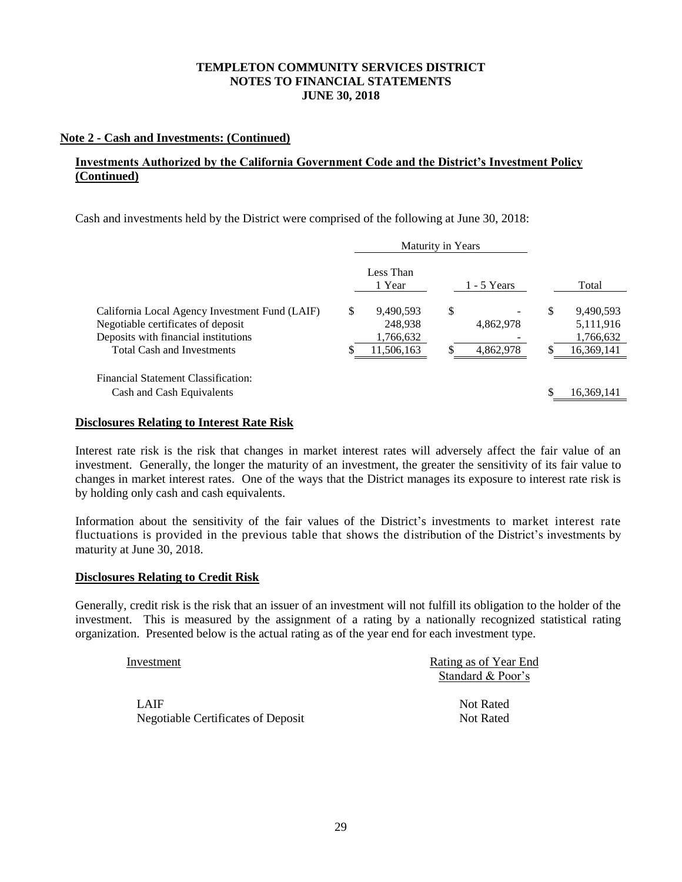## **Note 2 - Cash and Investments: (Continued)**

## **Investments Authorized by the California Government Code and the District's Investment Policy (Continued)**

Cash and investments held by the District were comprised of the following at June 30, 2018:

|                                                                                                                                                                   | Maturity in Years |                                                 |    |                        |    |                                                   |
|-------------------------------------------------------------------------------------------------------------------------------------------------------------------|-------------------|-------------------------------------------------|----|------------------------|----|---------------------------------------------------|
|                                                                                                                                                                   |                   | Less Than<br>1 Year                             |    | - 5 Years              |    | Total                                             |
| California Local Agency Investment Fund (LAIF)<br>Negotiable certificates of deposit<br>Deposits with financial institutions<br><b>Total Cash and Investments</b> | \$                | 9,490,593<br>248.938<br>1,766,632<br>11,506,163 | \$ | 4,862,978<br>4,862,978 | \$ | 9,490,593<br>5,111,916<br>1,766,632<br>16,369,141 |
| Financial Statement Classification:<br>Cash and Cash Equivalents                                                                                                  |                   |                                                 |    |                        |    | 16,369,141                                        |

## **Disclosures Relating to Interest Rate Risk**

Interest rate risk is the risk that changes in market interest rates will adversely affect the fair value of an investment. Generally, the longer the maturity of an investment, the greater the sensitivity of its fair value to changes in market interest rates. One of the ways that the District manages its exposure to interest rate risk is by holding only cash and cash equivalents.

Information about the sensitivity of the fair values of the District's investments to market interest rate fluctuations is provided in the previous table that shows the distribution of the District's investments by maturity at June 30, 2018.

### **Disclosures Relating to Credit Risk**

Generally, credit risk is the risk that an issuer of an investment will not fulfill its obligation to the holder of the investment. This is measured by the assignment of a rating by a nationally recognized statistical rating organization. Presented below is the actual rating as of the year end for each investment type.

| Investment                         | Rating as of Year End |
|------------------------------------|-----------------------|
|                                    | Standard & Poor's     |
| LAIF                               | Not Rated             |
| Negotiable Certificates of Deposit | Not Rated             |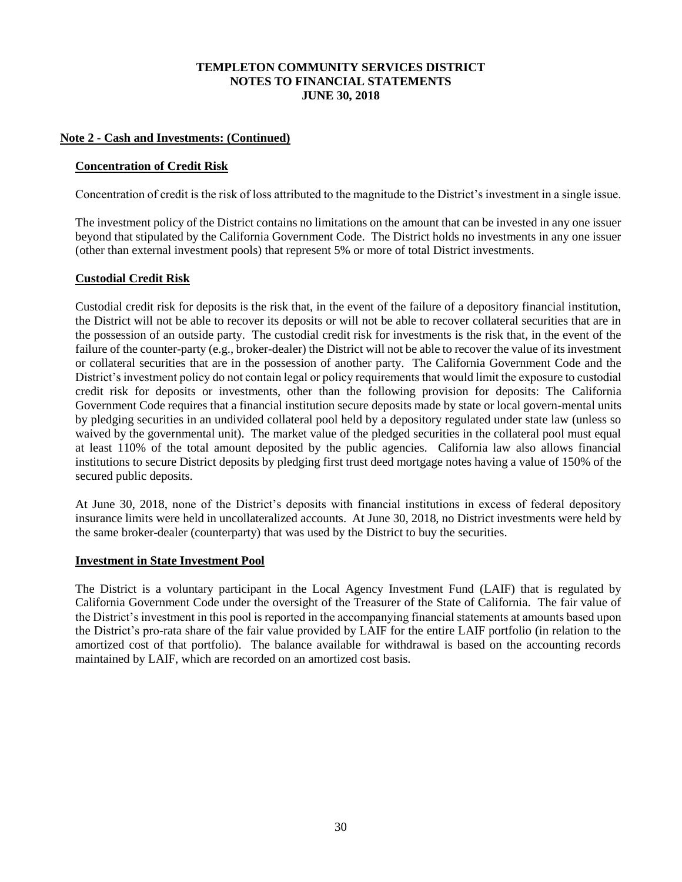## **Note 2 - Cash and Investments: (Continued)**

## **Concentration of Credit Risk**

Concentration of credit is the risk of loss attributed to the magnitude to the District's investment in a single issue.

The investment policy of the District contains no limitations on the amount that can be invested in any one issuer beyond that stipulated by the California Government Code. The District holds no investments in any one issuer (other than external investment pools) that represent 5% or more of total District investments.

## **Custodial Credit Risk**

Custodial credit risk for deposits is the risk that, in the event of the failure of a depository financial institution, the District will not be able to recover its deposits or will not be able to recover collateral securities that are in the possession of an outside party. The custodial credit risk for investments is the risk that, in the event of the failure of the counter-party (e.g., broker-dealer) the District will not be able to recover the value of its investment or collateral securities that are in the possession of another party. The California Government Code and the District's investment policy do not contain legal or policy requirements that would limit the exposure to custodial credit risk for deposits or investments, other than the following provision for deposits: The California Government Code requires that a financial institution secure deposits made by state or local govern-mental units by pledging securities in an undivided collateral pool held by a depository regulated under state law (unless so waived by the governmental unit). The market value of the pledged securities in the collateral pool must equal at least 110% of the total amount deposited by the public agencies. California law also allows financial institutions to secure District deposits by pledging first trust deed mortgage notes having a value of 150% of the secured public deposits.

At June 30, 2018, none of the District's deposits with financial institutions in excess of federal depository insurance limits were held in uncollateralized accounts. At June 30, 2018, no District investments were held by the same broker-dealer (counterparty) that was used by the District to buy the securities.

## **Investment in State Investment Pool**

The District is a voluntary participant in the Local Agency Investment Fund (LAIF) that is regulated by California Government Code under the oversight of the Treasurer of the State of California. The fair value of the District's investment in this pool is reported in the accompanying financial statements at amounts based upon the District's pro-rata share of the fair value provided by LAIF for the entire LAIF portfolio (in relation to the amortized cost of that portfolio). The balance available for withdrawal is based on the accounting records maintained by LAIF, which are recorded on an amortized cost basis.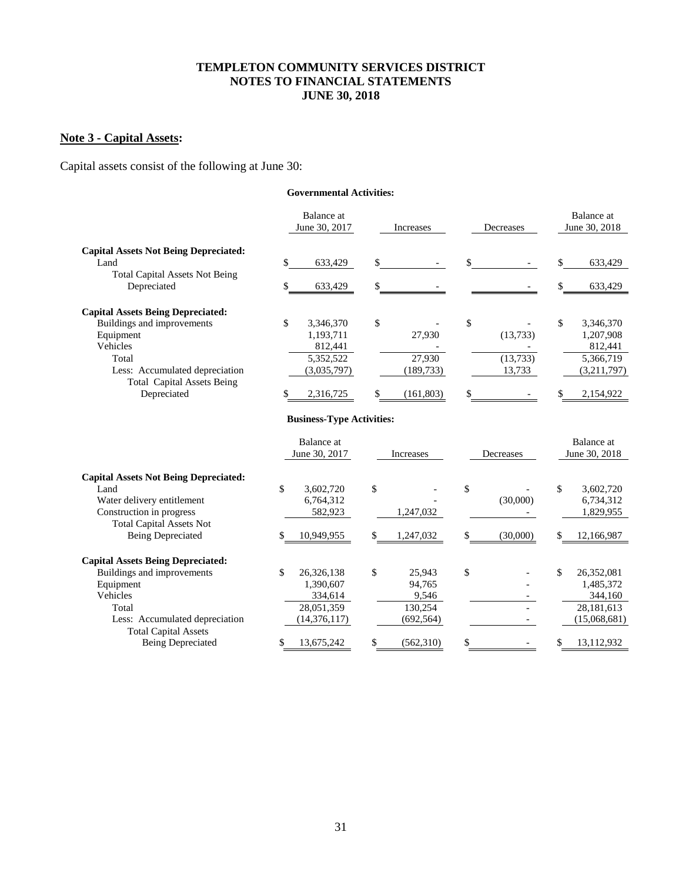# **Note 3 - Capital Assets:**

Capital assets consist of the following at June 30:

#### **Governmental Activities:**

|                                                      | Balance at<br>June 30, 2017 |    | Increases  |    | Decreases | Balance at<br>June 30, 2018 |
|------------------------------------------------------|-----------------------------|----|------------|----|-----------|-----------------------------|
| <b>Capital Assets Not Being Depreciated:</b>         |                             |    |            |    |           |                             |
| Land                                                 | 633,429                     | \$ |            |    |           | 633,429                     |
| <b>Total Capital Assets Not Being</b><br>Depreciated | 633,429                     | \$ |            |    |           | 633,429                     |
| <b>Capital Assets Being Depreciated:</b>             |                             |    |            |    |           |                             |
| Buildings and improvements                           | 3,346,370                   | \$ |            | \$ |           | \$<br>3,346,370             |
| Equipment                                            | 1.193.711                   |    | 27,930     |    | (13,733)  | 1,207,908                   |
| <b>Vehicles</b>                                      | 812,441                     |    |            |    |           | 812,441                     |
| Total                                                | 5,352,522                   |    | 27.930     |    | (13,733)  | 5,366,719                   |
| Less: Accumulated depreciation                       | (3,035,797)                 |    | (189, 733) |    | 13,733    | (3,211,797)                 |
| <b>Total Capital Assets Being</b>                    |                             |    |            |    |           |                             |
| Depreciated                                          | 2,316,725                   | S  | (161, 803) | S  |           | 2,154,922                   |

### **Business-Type Activities:**

|                                              | Balance at<br>June 30, 2017 | Increases       | Decreases | Balance at<br>June 30, 2018 |
|----------------------------------------------|-----------------------------|-----------------|-----------|-----------------------------|
| <b>Capital Assets Not Being Depreciated:</b> |                             |                 |           |                             |
| Land                                         | \$<br>3,602,720             | \$              | \$        | \$<br>3,602,720             |
| Water delivery entitlement                   | 6,764,312                   |                 | (30,000)  | 6,734,312                   |
| Construction in progress                     | 582,923                     | 1,247,032       |           | 1,829,955                   |
| <b>Total Capital Assets Not</b>              |                             |                 |           |                             |
| <b>Being Depreciated</b>                     | 10,949,955                  | \$<br>1,247,032 | (30,000)  | 12,166,987                  |
| <b>Capital Assets Being Depreciated:</b>     |                             |                 |           |                             |
| Buildings and improvements                   | \$<br>26,326,138            | \$<br>25,943    | \$        | \$<br>26,352,081            |
| Equipment                                    | 1.390.607                   | 94,765          |           | 1,485,372                   |
| Vehicles                                     | 334,614                     | 9,546           |           | 344,160                     |
| Total                                        | 28,051,359                  | 130,254         |           | 28,181,613                  |
| Less: Accumulated depreciation               | (14, 376, 117)              | (692, 564)      |           | (15,068,681)                |
| <b>Total Capital Assets</b>                  |                             |                 |           |                             |
| <b>Being Depreciated</b>                     | 13,675,242                  | (562,310)       | \$        | 13,112,932                  |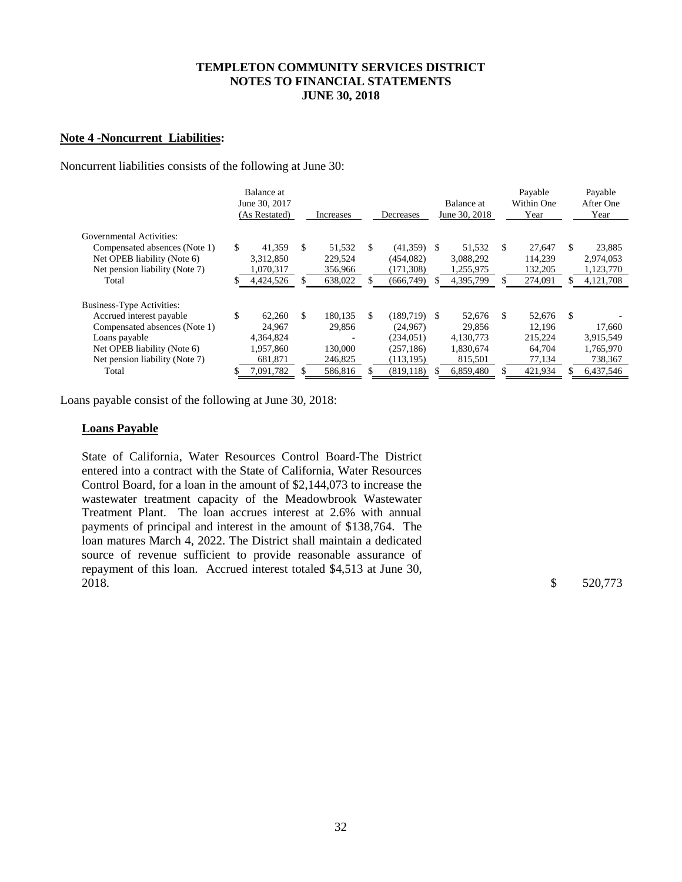### **Note 4 -Noncurrent Liabilities:**

Noncurrent liabilities consists of the following at June 30:

|                                | Balance at<br>June 30, 2017<br>(As Restated) |     | Increases |    | Decreases      | Balance at<br>June 30, 2018 |     | Payable<br>Within One<br>Year |    | Payable<br>After One<br>Year |
|--------------------------------|----------------------------------------------|-----|-----------|----|----------------|-----------------------------|-----|-------------------------------|----|------------------------------|
| Governmental Activities:       |                                              |     |           |    |                |                             |     |                               |    |                              |
| Compensated absences (Note 1)  | \$<br>41.359                                 | \$. | 51,532    | S. | $(41,359)$ \$  | 51.532                      | S.  | 27.647                        | S. | 23,885                       |
| Net OPEB liability (Note 6)    | 3,312,850                                    |     | 229,524   |    | (454, 082)     | 3,088,292                   |     | 114,239                       |    | 2,974,053                    |
| Net pension liability (Note 7) | 1,070,317                                    |     | 356,966   |    | (171, 308)     | 1,255,975                   |     | 132,205                       |    | 1,123,770                    |
| Total                          | 4,424,526                                    | S.  | 638,022   |    | (666,749)      | 4,395,799                   | \$. | 274,091                       | S. | 4, 121, 708                  |
|                                |                                              |     |           |    |                |                             |     |                               |    |                              |
| Business-Type Activities:      |                                              |     |           |    |                |                             |     |                               |    |                              |
| Accrued interest payable       | \$<br>62,260                                 | \$. | 180.135   | \$ | $(189.719)$ \$ | 52,676                      | \$  | 52.676                        | S. |                              |
| Compensated absences (Note 1)  | 24,967                                       |     | 29.856    |    | (24.967)       | 29,856                      |     | 12.196                        |    | 17,660                       |
| Loans payable                  | 4.364.824                                    |     |           |    | (234.051)      | 4,130,773                   |     | 215.224                       |    | 3,915,549                    |
| Net OPEB liability (Note 6)    | 1,957,860                                    |     | 130,000   |    | (257, 186)     | 1,830,674                   |     | 64.704                        |    | 1,765,970                    |
| Net pension liability (Note 7) | 681,871                                      |     | 246,825   |    | (113, 195)     | 815,501                     |     | 77,134                        |    | 738,367                      |
| Total                          | 7,091,782                                    |     | 586,816   |    | (819.118)      | 6.859.480                   |     | 421,934                       |    | 6.437.546                    |

Loans payable consist of the following at June 30, 2018:

#### **Loans Payable**

State of California, Water Resources Control Board-The District entered into a contract with the State of California, Water Resources Control Board, for a loan in the amount of \$2,144,073 to increase the wastewater treatment capacity of the Meadowbrook Wastewater Treatment Plant. The loan accrues interest at 2.6% with annual payments of principal and interest in the amount of \$138,764. The loan matures March 4, 2022. The District shall maintain a dedicated source of revenue sufficient to provide reasonable assurance of repayment of this loan. Accrued interest totaled \$4,513 at June 30, 2018. \$ 520,773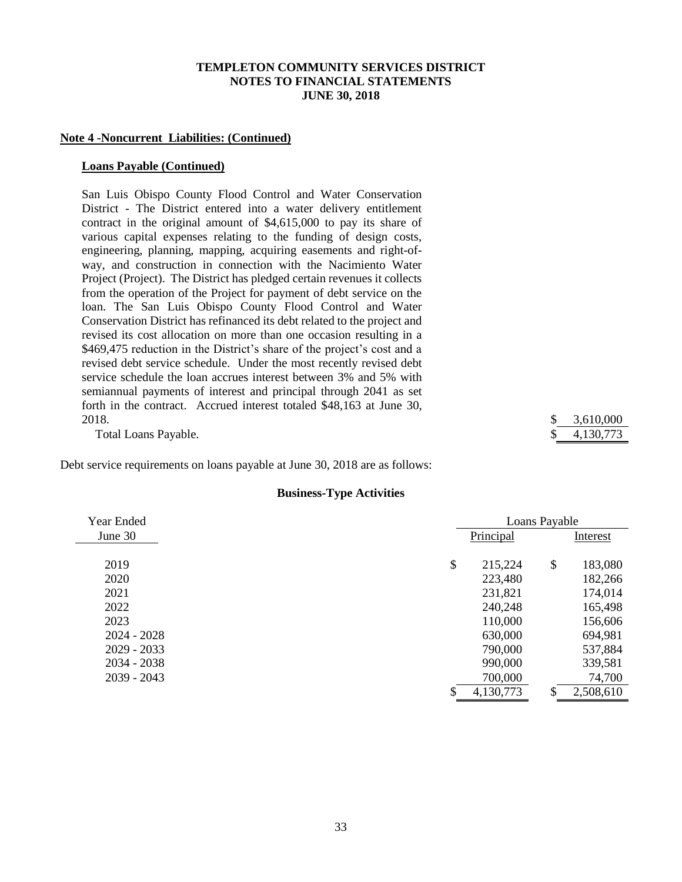#### **Note 4 -Noncurrent Liabilities: (Continued)**

#### **Loans Payable (Continued)**

San Luis Obispo County Flood Control and Water Conservation District - The District entered into a water delivery entitlement contract in the original amount of \$4,615,000 to pay its share of various capital expenses relating to the funding of design costs, engineering, planning, mapping, acquiring easements and right-ofway, and construction in connection with the Nacimiento Water Project (Project). The District has pledged certain revenues it collects from the operation of the Project for payment of debt service on the loan. The San Luis Obispo County Flood Control and Water Conservation District has refinanced its debt related to the project and revised its cost allocation on more than one occasion resulting in a \$469,475 reduction in the District's share of the project's cost and a revised debt service schedule. Under the most recently revised debt service schedule the loan accrues interest between 3% and 5% with semiannual payments of interest and principal through 2041 as set forth in the contract. Accrued interest totaled \$48,163 at June 30, 2018. \$ 3,610,000

Total Loans Payable.  $$ 4,130,773$ 

Debt service requirements on loans payable at June 30, 2018 are as follows:

#### **Business-Type Activities**

| Year Ended    |               | Loans Payable |           |
|---------------|---------------|---------------|-----------|
| June 30       | Principal     |               | Interest  |
|               |               |               |           |
| 2019          | \$<br>215,224 | \$            | 183,080   |
| 2020          | 223,480       |               | 182,266   |
| 2021          | 231,821       |               | 174,014   |
| 2022          | 240,248       |               | 165,498   |
| 2023          | 110,000       |               | 156,606   |
| $2024 - 2028$ | 630,000       |               | 694,981   |
| $2029 - 2033$ | 790,000       |               | 537,884   |
| $2034 - 2038$ | 990,000       |               | 339,581   |
| $2039 - 2043$ | 700,000       |               | 74,700    |
|               | 4,130,773     | \$            | 2,508,610 |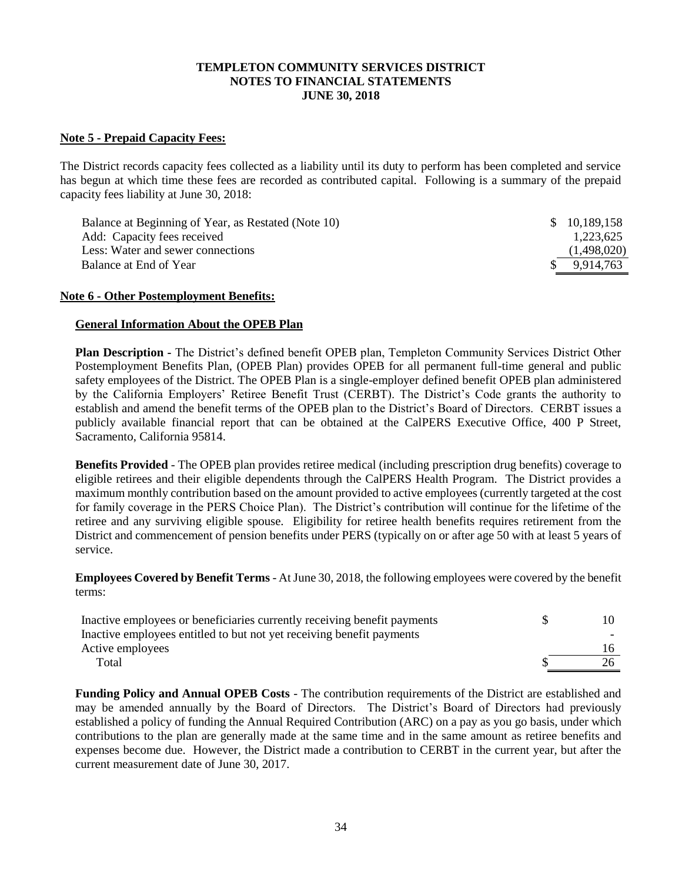### **Note 5 - Prepaid Capacity Fees:**

The District records capacity fees collected as a liability until its duty to perform has been completed and service has begun at which time these fees are recorded as contributed capital. Following is a summary of the prepaid capacity fees liability at June 30, 2018:

| Balance at Beginning of Year, as Restated (Note 10) | \$ 10,189,158 |
|-----------------------------------------------------|---------------|
| Add: Capacity fees received                         | 1.223.625     |
| Less: Water and sewer connections                   | (1,498,020)   |
| Balance at End of Year                              | \$ 9.914.763  |

#### **Note 6 - Other Postemployment Benefits:**

#### **General Information About the OPEB Plan**

**Plan Description -** The District's defined benefit OPEB plan, Templeton Community Services District Other Postemployment Benefits Plan, (OPEB Plan) provides OPEB for all permanent full-time general and public safety employees of the District. The OPEB Plan is a single-employer defined benefit OPEB plan administered by the California Employers' Retiree Benefit Trust (CERBT). The District's Code grants the authority to establish and amend the benefit terms of the OPEB plan to the District's Board of Directors. CERBT issues a publicly available financial report that can be obtained at the CalPERS Executive Office, 400 P Street, Sacramento, California 95814.

**Benefits Provided** - The OPEB plan provides retiree medical (including prescription drug benefits) coverage to eligible retirees and their eligible dependents through the CalPERS Health Program. The District provides a maximum monthly contribution based on the amount provided to active employees (currently targeted at the cost for family coverage in the PERS Choice Plan). The District's contribution will continue for the lifetime of the retiree and any surviving eligible spouse. Eligibility for retiree health benefits requires retirement from the District and commencement of pension benefits under PERS (typically on or after age 50 with at least 5 years of service.

**Employees Covered by Benefit Terms** - AtJune 30, 2018, the following employees were covered by the benefit terms:

| Inactive employees or beneficiaries currently receiving benefit payments |  |
|--------------------------------------------------------------------------|--|
| Inactive employees entitled to but not yet receiving benefit payments    |  |
| Active employees                                                         |  |
| Total                                                                    |  |

**Funding Policy and Annual OPEB Costs** - The contribution requirements of the District are established and may be amended annually by the Board of Directors. The District's Board of Directors had previously established a policy of funding the Annual Required Contribution (ARC) on a pay as you go basis, under which contributions to the plan are generally made at the same time and in the same amount as retiree benefits and expenses become due. However, the District made a contribution to CERBT in the current year, but after the current measurement date of June 30, 2017.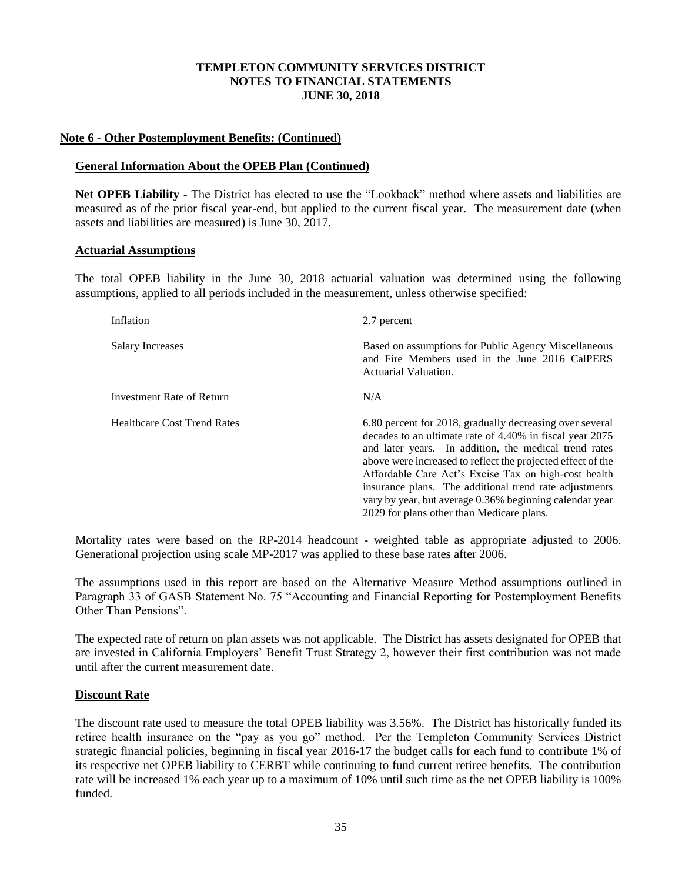### **Note 6 - Other Postemployment Benefits: (Continued)**

### **General Information About the OPEB Plan (Continued)**

**Net OPEB Liability** - The District has elected to use the "Lookback" method where assets and liabilities are measured as of the prior fiscal year-end, but applied to the current fiscal year. The measurement date (when assets and liabilities are measured) is June 30, 2017.

#### **Actuarial Assumptions**

The total OPEB liability in the June 30, 2018 actuarial valuation was determined using the following assumptions, applied to all periods included in the measurement, unless otherwise specified:

| Inflation                          | 2.7 percent                                                                                                                                                                                                                                                                                                                                                                                                                                                            |  |  |  |  |  |
|------------------------------------|------------------------------------------------------------------------------------------------------------------------------------------------------------------------------------------------------------------------------------------------------------------------------------------------------------------------------------------------------------------------------------------------------------------------------------------------------------------------|--|--|--|--|--|
| <b>Salary Increases</b>            | Based on assumptions for Public Agency Miscellaneous<br>and Fire Members used in the June 2016 CalPERS<br>Actuarial Valuation.                                                                                                                                                                                                                                                                                                                                         |  |  |  |  |  |
| Investment Rate of Return          | N/A                                                                                                                                                                                                                                                                                                                                                                                                                                                                    |  |  |  |  |  |
| <b>Healthcare Cost Trend Rates</b> | 6.80 percent for 2018, gradually decreasing over several<br>decades to an ultimate rate of 4.40% in fiscal year 2075<br>and later years. In addition, the medical trend rates<br>above were increased to reflect the projected effect of the<br>Affordable Care Act's Excise Tax on high-cost health<br>insurance plans. The additional trend rate adjustments<br>vary by year, but average 0.36% beginning calendar year<br>2029 for plans other than Medicare plans. |  |  |  |  |  |

Mortality rates were based on the RP-2014 headcount - weighted table as appropriate adjusted to 2006. Generational projection using scale MP-2017 was applied to these base rates after 2006.

The assumptions used in this report are based on the Alternative Measure Method assumptions outlined in Paragraph 33 of GASB Statement No. 75 "Accounting and Financial Reporting for Postemployment Benefits Other Than Pensions".

The expected rate of return on plan assets was not applicable. The District has assets designated for OPEB that are invested in California Employers' Benefit Trust Strategy 2, however their first contribution was not made until after the current measurement date.

## **Discount Rate**

The discount rate used to measure the total OPEB liability was 3.56%. The District has historically funded its retiree health insurance on the "pay as you go" method. Per the Templeton Community Services District strategic financial policies, beginning in fiscal year 2016-17 the budget calls for each fund to contribute 1% of its respective net OPEB liability to CERBT while continuing to fund current retiree benefits. The contribution rate will be increased 1% each year up to a maximum of 10% until such time as the net OPEB liability is 100% funded.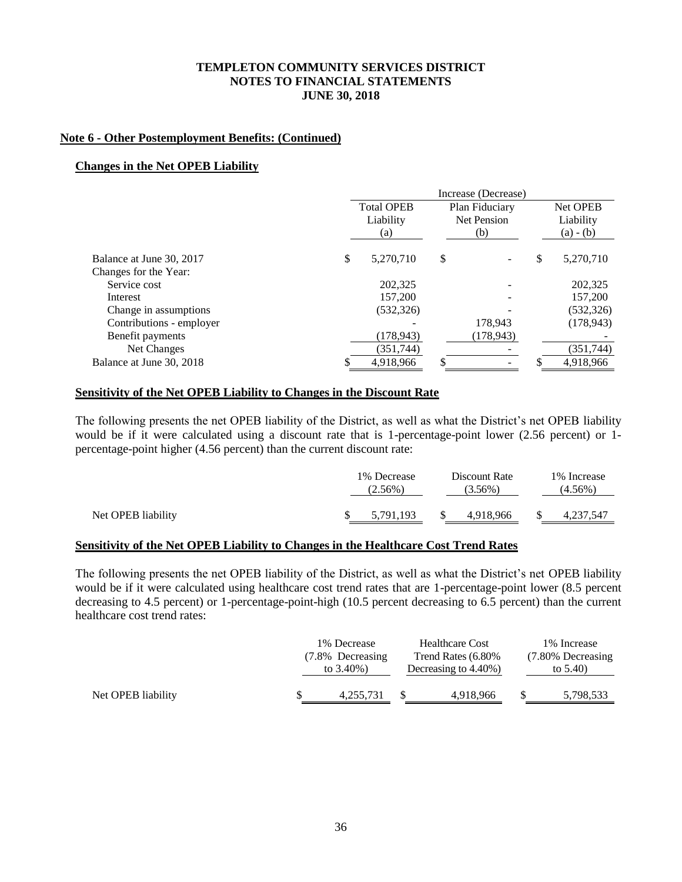### **Note 6 - Other Postemployment Benefits: (Continued)**

### **Changes in the Net OPEB Liability**

|                          |                   | Increase (Decrease) |                 |
|--------------------------|-------------------|---------------------|-----------------|
|                          | <b>Total OPEB</b> | Plan Fiduciary      | Net OPEB        |
|                          | Liability         | Net Pension         | Liability       |
|                          | (a)               | (b)                 | $(a) - (b)$     |
| Balance at June 30, 2017 | \$<br>5.270.710   | \$                  | \$<br>5,270,710 |
| Changes for the Year:    |                   |                     |                 |
| Service cost             | 202,325           |                     | 202,325         |
| Interest                 | 157,200           |                     | 157,200         |
| Change in assumptions    | (532, 326)        |                     | (532, 326)      |
| Contributions - employer |                   | 178,943             | (178, 943)      |
| Benefit payments         | (178, 943)        | (178, 943)          |                 |
| Net Changes              | (351,744)         |                     | (351,744)       |
| Balance at June 30, 2018 | 4,918,966         | \$                  | 4,918,966       |

#### **Sensitivity of the Net OPEB Liability to Changes in the Discount Rate**

The following presents the net OPEB liability of the District, as well as what the District's net OPEB liability would be if it were calculated using a discount rate that is 1-percentage-point lower (2.56 percent) or 1 percentage-point higher (4.56 percent) than the current discount rate:

|                    | 1\% Decrease<br>$(2.56\%)$ | Discount Rate<br>$(3.56\%)$ | 1\% Increase<br>(4.56%) |
|--------------------|----------------------------|-----------------------------|-------------------------|
| Net OPEB liability | 5,791,193                  | 4,918,966                   | 4,237,547               |

## **Sensitivity of the Net OPEB Liability to Changes in the Healthcare Cost Trend Rates**

The following presents the net OPEB liability of the District, as well as what the District's net OPEB liability would be if it were calculated using healthcare cost trend rates that are 1-percentage-point lower (8.5 percent decreasing to 4.5 percent) or 1-percentage-point-high (10.5 percent decreasing to 6.5 percent) than the current healthcare cost trend rates:

| Trend Rates (6.80%<br>(7.80% Decreasing<br>(7.8% Decreasing<br>to $3.40\%$ )<br>Decreasing to 4.40%)<br>to $5.40$ ) |                    | 1\% Decrease | <b>Healthcare Cost</b> | 1\% Increase |
|---------------------------------------------------------------------------------------------------------------------|--------------------|--------------|------------------------|--------------|
|                                                                                                                     |                    |              |                        |              |
|                                                                                                                     |                    |              |                        |              |
|                                                                                                                     | Net OPEB liability | 4.255.731    | 4,918,966              | 5,798,533    |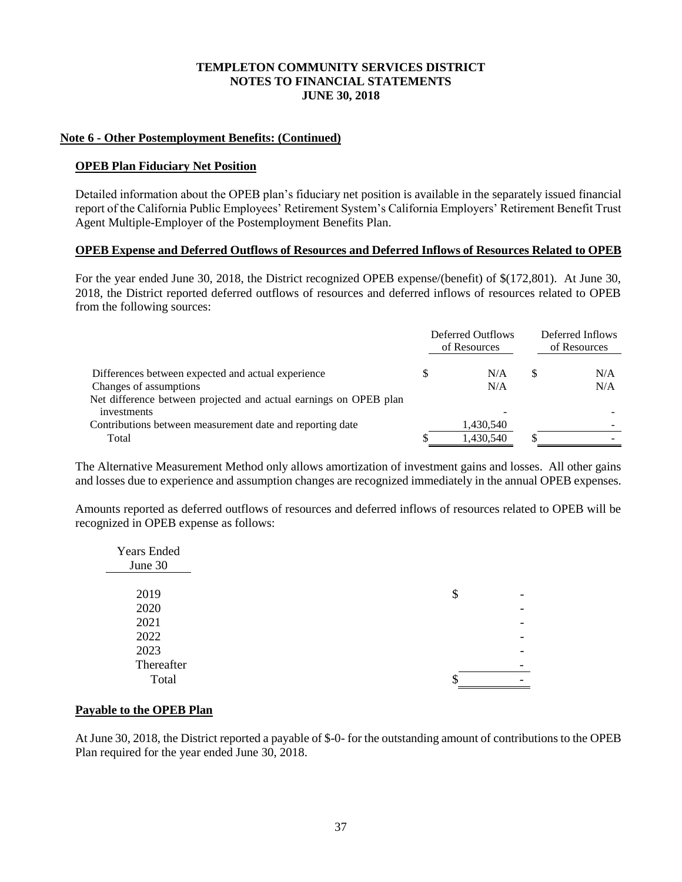## **Note 6 - Other Postemployment Benefits: (Continued)**

### **OPEB Plan Fiduciary Net Position**

Detailed information about the OPEB plan's fiduciary net position is available in the separately issued financial report of the California Public Employees' Retirement System's California Employers' Retirement Benefit Trust Agent Multiple-Employer of the Postemployment Benefits Plan.

### **OPEB Expense and Deferred Outflows of Resources and Deferred Inflows of Resources Related to OPEB**

For the year ended June 30, 2018, the District recognized OPEB expense/(benefit) of \$(172,801). At June 30, 2018, the District reported deferred outflows of resources and deferred inflows of resources related to OPEB from the following sources:

|                                                                                  | Deferred Outflows<br>of Resources |   | Deferred Inflows<br>of Resources |
|----------------------------------------------------------------------------------|-----------------------------------|---|----------------------------------|
|                                                                                  |                                   |   | N/A                              |
| Differences between expected and actual experience                               | N/A                               | S |                                  |
| Changes of assumptions                                                           | N/A                               |   | N/A                              |
| Net difference between projected and actual earnings on OPEB plan<br>investments |                                   |   |                                  |
|                                                                                  |                                   |   |                                  |
| Contributions between measurement date and reporting date                        | 1,430,540                         |   |                                  |
| Total                                                                            | 1,430,540                         |   |                                  |

The Alternative Measurement Method only allows amortization of investment gains and losses. All other gains and losses due to experience and assumption changes are recognized immediately in the annual OPEB expenses.

Amounts reported as deferred outflows of resources and deferred inflows of resources related to OPEB will be recognized in OPEB expense as follows:

| <b>Years Ended</b><br>June 30 |        |                          |
|-------------------------------|--------|--------------------------|
|                               |        |                          |
| 2019                          | \$     | $\overline{\phantom{0}}$ |
| 2020                          |        |                          |
| 2021                          |        |                          |
| 2022                          |        |                          |
| 2023                          |        | $\overline{\phantom{0}}$ |
| Thereafter                    |        | -                        |
| Total                         | œ<br>Φ | -                        |

## **Payable to the OPEB Plan**

At June 30, 2018, the District reported a payable of \$-0- for the outstanding amount of contributions to the OPEB Plan required for the year ended June 30, 2018.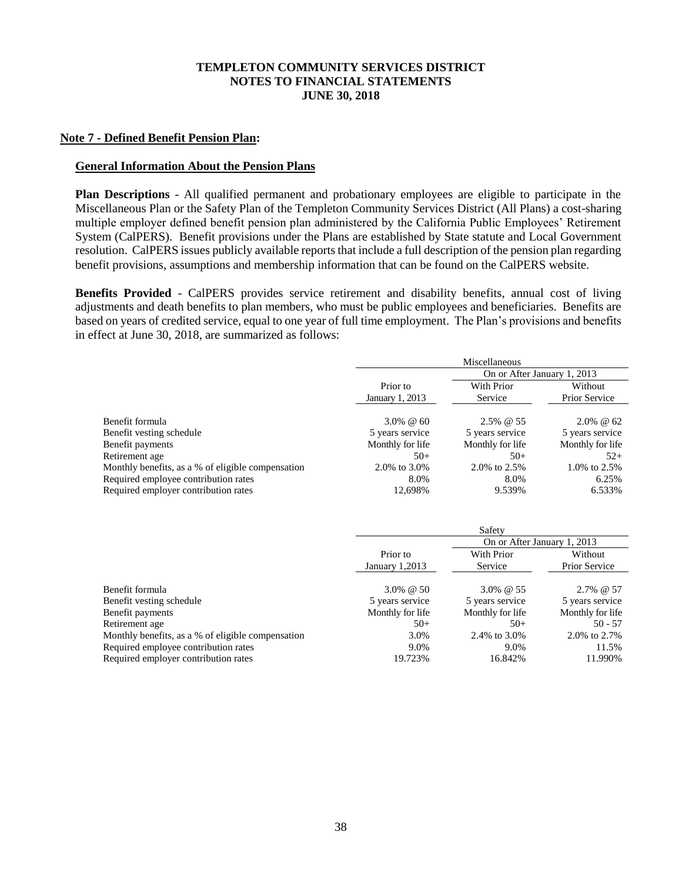### **Note 7 - Defined Benefit Pension Plan:**

### **General Information About the Pension Plans**

**Plan Descriptions** - All qualified permanent and probationary employees are eligible to participate in the Miscellaneous Plan or the Safety Plan of the Templeton Community Services District (All Plans) a cost-sharing multiple employer defined benefit pension plan administered by the California Public Employees' Retirement System (CalPERS). Benefit provisions under the Plans are established by State statute and Local Government resolution. CalPERS issues publicly available reports that include a full description of the pension plan regarding benefit provisions, assumptions and membership information that can be found on the CalPERS website.

**Benefits Provided** - CalPERS provides service retirement and disability benefits, annual cost of living adjustments and death benefits to plan members, who must be public employees and beneficiaries. Benefits are based on years of credited service, equal to one year of full time employment. The Plan's provisions and benefits in effect at June 30, 2018, are summarized as follows:

|                                                   | Miscellaneous    |                             |                      |  |  |
|---------------------------------------------------|------------------|-----------------------------|----------------------|--|--|
|                                                   |                  | On or After January 1, 2013 |                      |  |  |
|                                                   | Prior to         | With Prior                  | Without              |  |  |
|                                                   | January 1, 2013  | Service                     | <b>Prior Service</b> |  |  |
| Benefit formula                                   | $3.0\% \ @ \ 60$ | 2.5% @ 55                   | $2.0\% \ @ \ 62$     |  |  |
| Benefit vesting schedule                          | 5 years service  | 5 years service             | 5 years service      |  |  |
| Benefit payments                                  | Monthly for life | Monthly for life            | Monthly for life     |  |  |
| Retirement age                                    | $50+$            | $50+$                       | $52+$                |  |  |
| Monthly benefits, as a % of eligible compensation | 2.0\% to 3.0\%   | 2.0% to 2.5%                | 1.0% to 2.5%         |  |  |
| Required employee contribution rates              | 8.0%             | 8.0%                        | 6.25%                |  |  |
| Required employer contribution rates              | 12,698%          | 9.539%                      | 6.533%               |  |  |

|                                                   | Safety           |                  |                             |  |  |  |
|---------------------------------------------------|------------------|------------------|-----------------------------|--|--|--|
|                                                   |                  |                  | On or After January 1, 2013 |  |  |  |
|                                                   | Prior to         | With Prior       | Without                     |  |  |  |
|                                                   | January 1,2013   | Service          | Prior Service               |  |  |  |
|                                                   |                  |                  |                             |  |  |  |
| Benefit formula                                   | $3.0\% \ @ \ 50$ | $3.0\% \ @ \ 55$ | $2.7\%$ @ 57                |  |  |  |
| Benefit vesting schedule                          | 5 years service  | 5 years service  | 5 years service             |  |  |  |
| Benefit payments                                  | Monthly for life | Monthly for life | Monthly for life            |  |  |  |
| Retirement age                                    | $50+$            | $50+$            | $50 - 57$                   |  |  |  |
| Monthly benefits, as a % of eligible compensation | 3.0%             | 2.4% to 3.0%     | 2.0\% to 2.7\%              |  |  |  |
| Required employee contribution rates              | 9.0%             | 9.0%             | 11.5%                       |  |  |  |
| Required employer contribution rates              | 19.723%          | 16.842%          | 11.990%                     |  |  |  |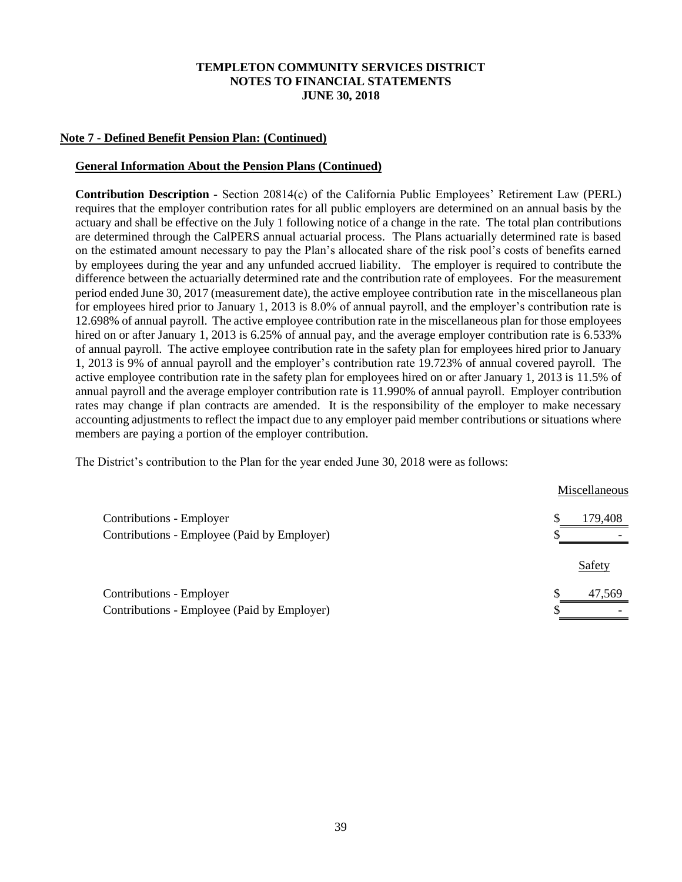## **Note 7 - Defined Benefit Pension Plan: (Continued)**

### **General Information About the Pension Plans (Continued)**

**Contribution Description** *-* Section 20814(c) of the California Public Employees' Retirement Law (PERL) requires that the employer contribution rates for all public employers are determined on an annual basis by the actuary and shall be effective on the July 1 following notice of a change in the rate. The total plan contributions are determined through the CalPERS annual actuarial process. The Plans actuarially determined rate is based on the estimated amount necessary to pay the Plan's allocated share of the risk pool's costs of benefits earned by employees during the year and any unfunded accrued liability. The employer is required to contribute the difference between the actuarially determined rate and the contribution rate of employees. For the measurement period ended June 30, 2017 (measurement date), the active employee contribution rate in the miscellaneous plan for employees hired prior to January 1, 2013 is 8.0% of annual payroll, and the employer's contribution rate is 12.698% of annual payroll. The active employee contribution rate in the miscellaneous plan for those employees hired on or after January 1, 2013 is 6.25% of annual pay, and the average employer contribution rate is 6.533% of annual payroll. The active employee contribution rate in the safety plan for employees hired prior to January 1, 2013 is 9% of annual payroll and the employer's contribution rate 19.723% of annual covered payroll. The active employee contribution rate in the safety plan for employees hired on or after January 1, 2013 is 11.5% of annual payroll and the average employer contribution rate is 11.990% of annual payroll. Employer contribution rates may change if plan contracts are amended. It is the responsibility of the employer to make necessary accounting adjustments to reflect the impact due to any employer paid member contributions or situations where members are paying a portion of the employer contribution.

The District's contribution to the Plan for the year ended June 30, 2018 were as follows:

|                                             |   | Miscellaneous |
|---------------------------------------------|---|---------------|
| Contributions - Employer                    | S | 179,408       |
| Contributions - Employee (Paid by Employer) |   |               |
|                                             |   | Safety        |
| Contributions - Employer                    | S | 47.569        |
| Contributions - Employee (Paid by Employer) |   |               |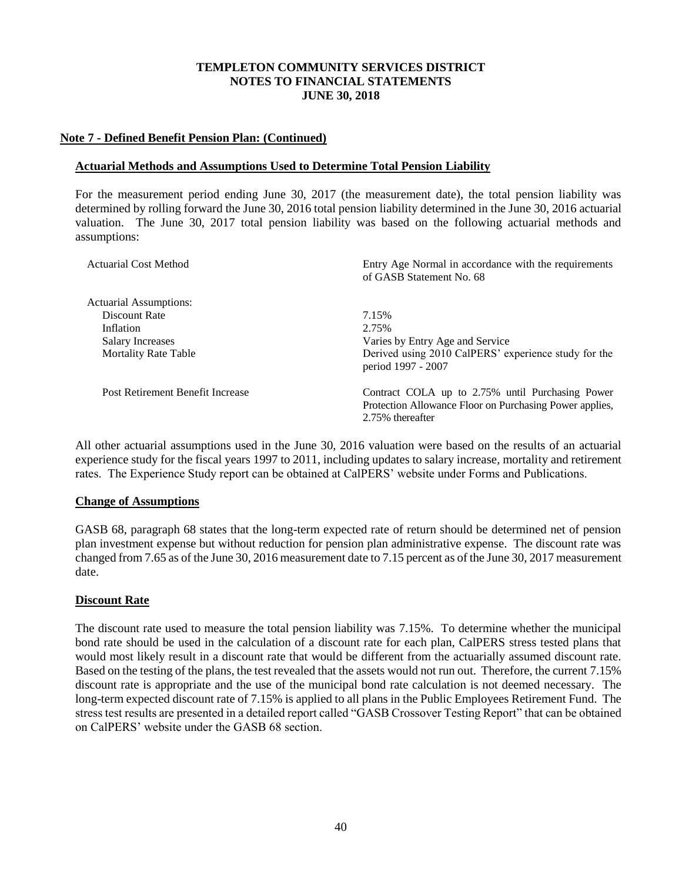## **Note 7 - Defined Benefit Pension Plan: (Continued)**

### **Actuarial Methods and Assumptions Used to Determine Total Pension Liability**

For the measurement period ending June 30, 2017 (the measurement date), the total pension liability was determined by rolling forward the June 30, 2016 total pension liability determined in the June 30, 2016 actuarial valuation. The June 30, 2017 total pension liability was based on the following actuarial methods and assumptions:

| <b>Actuarial Cost Method</b>     | Entry Age Normal in accordance with the requirements<br>of GASB Statement No. 68                                                |
|----------------------------------|---------------------------------------------------------------------------------------------------------------------------------|
| Actuarial Assumptions:           |                                                                                                                                 |
| Discount Rate                    | 7.15%                                                                                                                           |
| Inflation                        | 2.75%                                                                                                                           |
| Salary Increases                 | Varies by Entry Age and Service                                                                                                 |
| <b>Mortality Rate Table</b>      | Derived using 2010 CalPERS' experience study for the<br>period 1997 - 2007                                                      |
| Post Retirement Benefit Increase | Contract COLA up to 2.75% until Purchasing Power<br>Protection Allowance Floor on Purchasing Power applies,<br>2.75% thereafter |

All other actuarial assumptions used in the June 30, 2016 valuation were based on the results of an actuarial experience study for the fiscal years 1997 to 2011, including updates to salary increase, mortality and retirement rates. The Experience Study report can be obtained at CalPERS' website under Forms and Publications.

## **Change of Assumptions**

GASB 68, paragraph 68 states that the long-term expected rate of return should be determined net of pension plan investment expense but without reduction for pension plan administrative expense. The discount rate was changed from 7.65 as of the June 30, 2016 measurement date to 7.15 percent as of the June 30, 2017 measurement date.

## **Discount Rate**

The discount rate used to measure the total pension liability was 7.15%. To determine whether the municipal bond rate should be used in the calculation of a discount rate for each plan, CalPERS stress tested plans that would most likely result in a discount rate that would be different from the actuarially assumed discount rate. Based on the testing of the plans, the test revealed that the assets would not run out. Therefore, the current 7.15% discount rate is appropriate and the use of the municipal bond rate calculation is not deemed necessary. The long-term expected discount rate of 7.15% is applied to all plans in the Public Employees Retirement Fund. The stress test results are presented in a detailed report called "GASB Crossover Testing Report" that can be obtained on CalPERS' website under the GASB 68 section.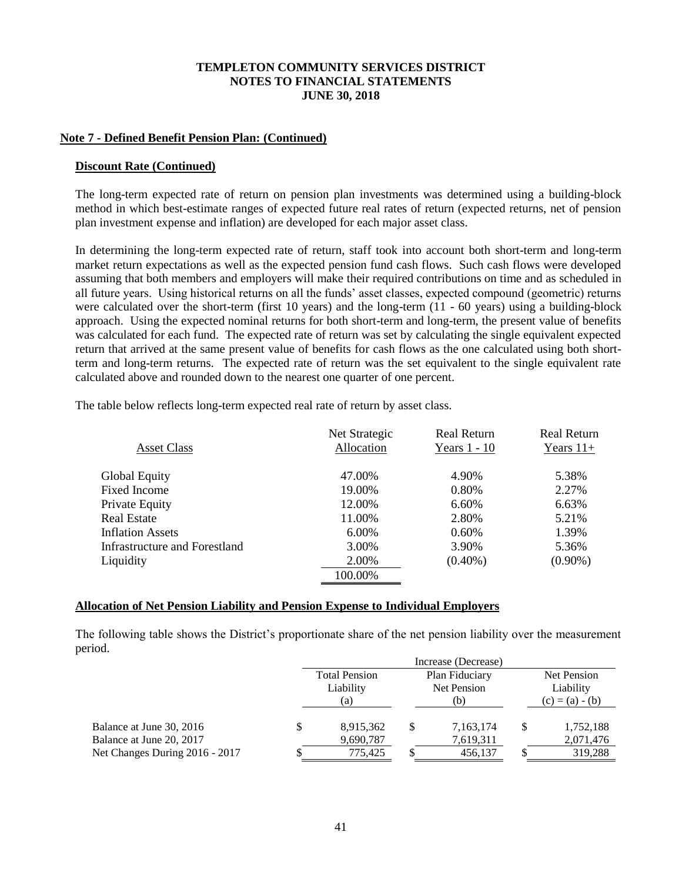### **Note 7 - Defined Benefit Pension Plan: (Continued)**

#### **Discount Rate (Continued)**

The long-term expected rate of return on pension plan investments was determined using a building-block method in which best-estimate ranges of expected future real rates of return (expected returns, net of pension plan investment expense and inflation) are developed for each major asset class.

In determining the long-term expected rate of return, staff took into account both short-term and long-term market return expectations as well as the expected pension fund cash flows. Such cash flows were developed assuming that both members and employers will make their required contributions on time and as scheduled in all future years. Using historical returns on all the funds' asset classes, expected compound (geometric) returns were calculated over the short-term (first 10 years) and the long-term (11 - 60 years) using a building-block approach. Using the expected nominal returns for both short-term and long-term, the present value of benefits was calculated for each fund. The expected rate of return was set by calculating the single equivalent expected return that arrived at the same present value of benefits for cash flows as the one calculated using both shortterm and long-term returns. The expected rate of return was the set equivalent to the single equivalent rate calculated above and rounded down to the nearest one quarter of one percent.

The table below reflects long-term expected real rate of return by asset class.

|                                      | Net Strategic | <b>Real Return</b> | <b>Real Return</b> |
|--------------------------------------|---------------|--------------------|--------------------|
| <b>Asset Class</b>                   | Allocation    | Years $1 - 10$     | Years $11+$        |
| <b>Global Equity</b>                 | 47.00%        | 4.90%              | 5.38%              |
| Fixed Income                         | 19.00%        | 0.80%              | 2.27%              |
| Private Equity                       | 12.00%        | 6.60%              | 6.63%              |
| Real Estate                          | 11.00%        | 2.80%              | 5.21%              |
| <b>Inflation Assets</b>              | 6.00%         | 0.60%              | 1.39%              |
| <b>Infrastructure and Forestland</b> | 3.00%         | 3.90%              | 5.36%              |
| Liquidity                            | 2.00%         | $(0.40\%)$         | $(0.90\%)$         |
|                                      | 100.00%       |                    |                    |
|                                      |               |                    |                    |

#### **Allocation of Net Pension Liability and Pension Expense to Individual Employers**

The following table shows the District's proportionate share of the net pension liability over the measurement period.

|                                |  | <b>Total Pension</b><br>Plan Fiduciary<br>Net Pension<br>Liability |     |           |           | Net Pension       |  |  |
|--------------------------------|--|--------------------------------------------------------------------|-----|-----------|-----------|-------------------|--|--|
|                                |  |                                                                    |     |           | Liability |                   |  |  |
|                                |  | (a)                                                                | (b) |           |           | $(c) = (a) - (b)$ |  |  |
|                                |  |                                                                    |     |           |           |                   |  |  |
| Balance at June 30, 2016       |  | 8,915,362                                                          |     | 7,163,174 | S         | 1,752,188         |  |  |
| Balance at June 20, 2017       |  | 9,690,787                                                          |     | 7,619,311 |           | 2,071,476         |  |  |
| Net Changes During 2016 - 2017 |  | 775.425                                                            |     | 456,137   |           | 319,288           |  |  |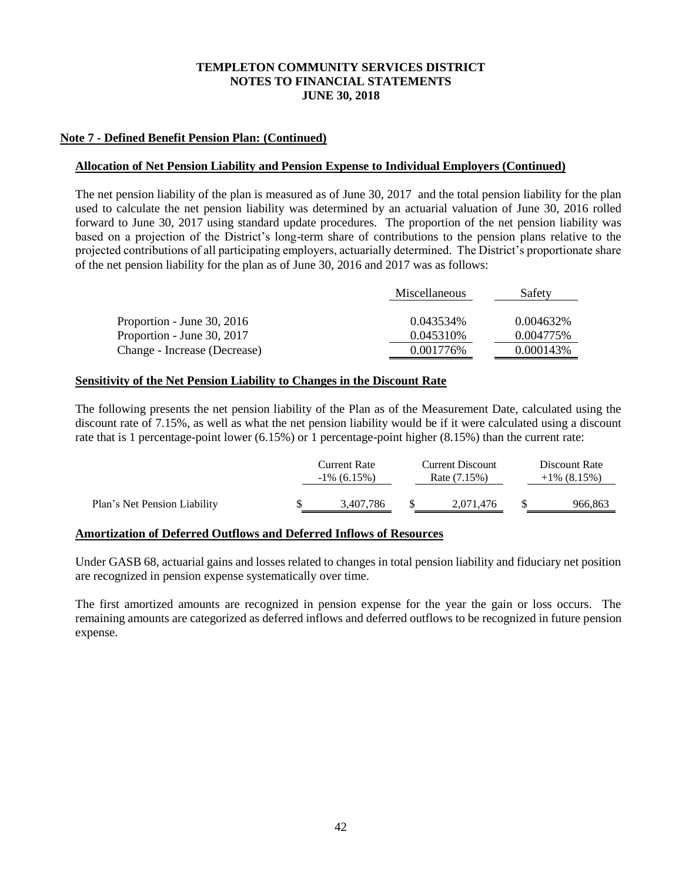## **Note 7 - Defined Benefit Pension Plan: (Continued)**

### **Allocation of Net Pension Liability and Pension Expense to Individual Employers (Continued)**

The net pension liability of the plan is measured as of June 30, 2017 and the total pension liability for the plan used to calculate the net pension liability was determined by an actuarial valuation of June 30, 2016 rolled forward to June 30, 2017 using standard update procedures. The proportion of the net pension liability was based on a projection of the District's long-term share of contributions to the pension plans relative to the projected contributions of all participating employers, actuarially determined. The District's proportionate share of the net pension liability for the plan as of June 30, 2016 and 2017 was as follows:

|                              | <b>Miscellaneous</b> | Safety     |
|------------------------------|----------------------|------------|
|                              |                      |            |
| Proportion - June 30, 2016   | 0.043534\%           | 0.004632\% |
| Proportion - June 30, 2017   | 0.045310\%           | 0.004775%  |
| Change - Increase (Decrease) | 0.001776%            | 0.000143\% |

### **Sensitivity of the Net Pension Liability to Changes in the Discount Rate**

The following presents the net pension liability of the Plan as of the Measurement Date, calculated using the discount rate of 7.15%, as well as what the net pension liability would be if it were calculated using a discount rate that is 1 percentage-point lower (6.15%) or 1 percentage-point higher (8.15%) than the current rate:

|                              | Current Rate<br>$-1\%$ (6.15%) |  | <b>Current Discount</b><br>Rate (7.15%) | Discount Rate<br>$+1\%$ (8.15%) |  |
|------------------------------|--------------------------------|--|-----------------------------------------|---------------------------------|--|
| Plan's Net Pension Liability | 3,407,786                      |  | 2,071,476                               | 966,863                         |  |

#### **Amortization of Deferred Outflows and Deferred Inflows of Resources**

Under GASB 68, actuarial gains and losses related to changes in total pension liability and fiduciary net position are recognized in pension expense systematically over time.

The first amortized amounts are recognized in pension expense for the year the gain or loss occurs. The remaining amounts are categorized as deferred inflows and deferred outflows to be recognized in future pension expense.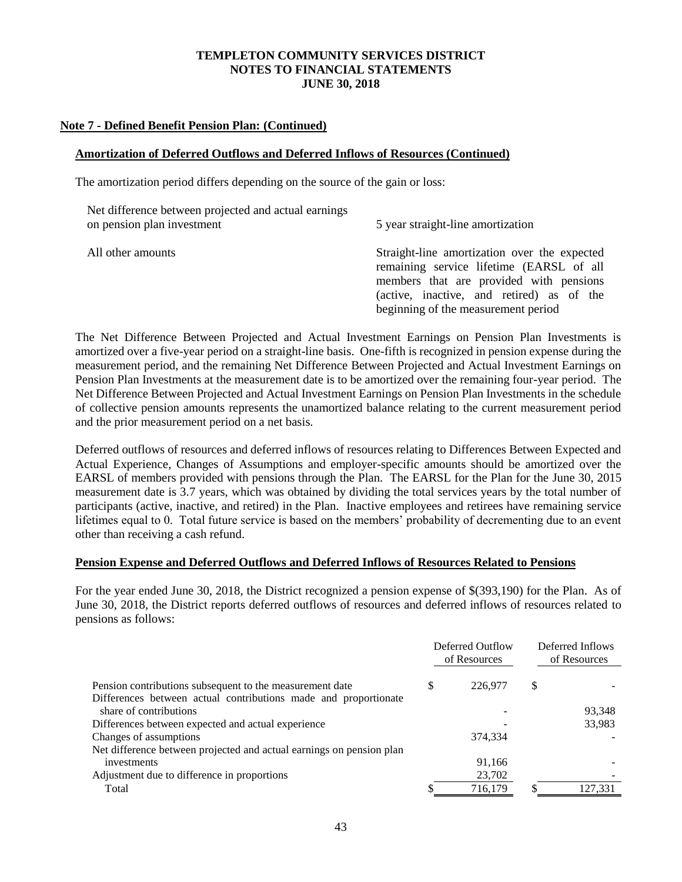### **Note 7 - Defined Benefit Pension Plan: (Continued)**

### **Amortization of Deferred Outflows and Deferred Inflows of Resources (Continued)**

The amortization period differs depending on the source of the gain or loss:

| Net difference between projected and actual earnings<br>on pension plan investment | 5 year straight-line amortization                                                                                                                                                                                       |
|------------------------------------------------------------------------------------|-------------------------------------------------------------------------------------------------------------------------------------------------------------------------------------------------------------------------|
| All other amounts                                                                  | Straight-line amortization over the expected<br>remaining service lifetime (EARSL of all<br>members that are provided with pensions<br>(active, inactive, and retired) as of the<br>beginning of the measurement period |

The Net Difference Between Projected and Actual Investment Earnings on Pension Plan Investments is amortized over a five-year period on a straight-line basis. One-fifth is recognized in pension expense during the measurement period, and the remaining Net Difference Between Projected and Actual Investment Earnings on Pension Plan Investments at the measurement date is to be amortized over the remaining four-year period. The Net Difference Between Projected and Actual Investment Earnings on Pension Plan Investments in the schedule of collective pension amounts represents the unamortized balance relating to the current measurement period and the prior measurement period on a net basis.

Deferred outflows of resources and deferred inflows of resources relating to Differences Between Expected and Actual Experience, Changes of Assumptions and employer-specific amounts should be amortized over the EARSL of members provided with pensions through the Plan. The EARSL for the Plan for the June 30, 2015 measurement date is 3.7 years, which was obtained by dividing the total services years by the total number of participants (active, inactive, and retired) in the Plan. Inactive employees and retirees have remaining service lifetimes equal to 0. Total future service is based on the members' probability of decrementing due to an event other than receiving a cash refund.

#### **Pension Expense and Deferred Outflows and Deferred Inflows of Resources Related to Pensions**

For the year ended June 30, 2018, the District recognized a pension expense of \$(393,190) for the Plan. As of June 30, 2018, the District reports deferred outflows of resources and deferred inflows of resources related to pensions as follows:

|                                                                      |   | Deferred Outflow<br>of Resources | Deferred Inflows<br>of Resources |         |  |
|----------------------------------------------------------------------|---|----------------------------------|----------------------------------|---------|--|
| Pension contributions subsequent to the measurement date             | S | 226,977                          | \$                               |         |  |
| Differences between actual contributions made and proportionate      |   |                                  |                                  |         |  |
| share of contributions                                               |   |                                  |                                  | 93,348  |  |
| Differences between expected and actual experience                   |   |                                  |                                  | 33,983  |  |
| Changes of assumptions                                               |   | 374,334                          |                                  |         |  |
| Net difference between projected and actual earnings on pension plan |   |                                  |                                  |         |  |
| investments                                                          |   | 91.166                           |                                  |         |  |
| Adjustment due to difference in proportions                          |   | 23,702                           |                                  |         |  |
| Total                                                                |   | 716,179                          | ¢                                | 127,331 |  |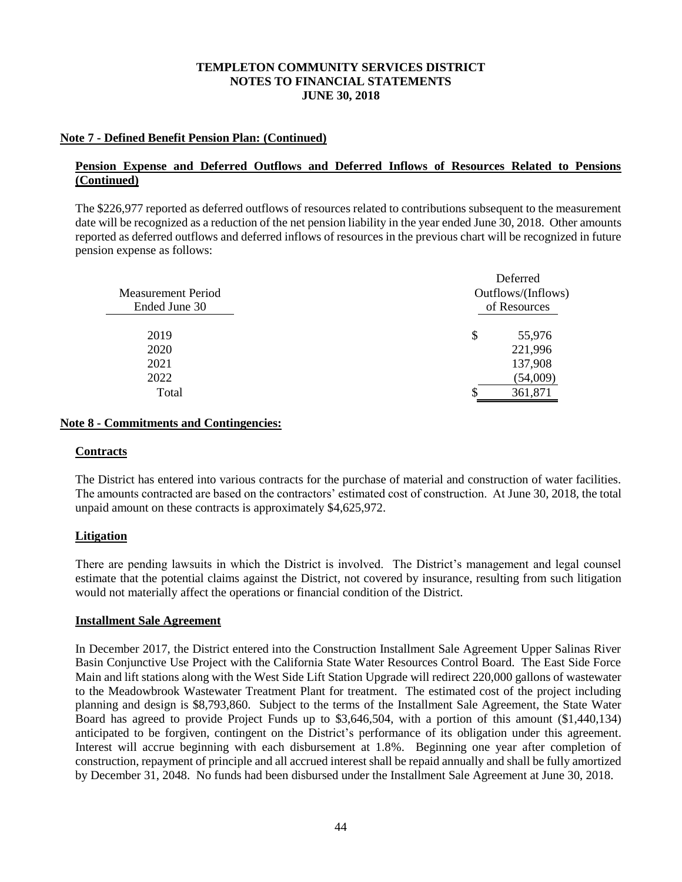## **Note 7 - Defined Benefit Pension Plan: (Continued)**

## **Pension Expense and Deferred Outflows and Deferred Inflows of Resources Related to Pensions (Continued)**

The \$226,977 reported as deferred outflows of resources related to contributions subsequent to the measurement date will be recognized as a reduction of the net pension liability in the year ended June 30, 2018. Other amounts reported as deferred outflows and deferred inflows of resources in the previous chart will be recognized in future pension expense as follows:

| <b>Measurement Period</b><br>Ended June 30 | Deferred<br>Outflows/(Inflows)<br>of Resources |
|--------------------------------------------|------------------------------------------------|
| 2019                                       | \$<br>55,976                                   |
| 2020                                       | 221,996                                        |
| 2021                                       | 137,908                                        |
| 2022                                       | (54,009)                                       |
| Total                                      | 361,871                                        |

### **Note 8 - Commitments and Contingencies:**

## **Contracts**

The District has entered into various contracts for the purchase of material and construction of water facilities. The amounts contracted are based on the contractors' estimated cost of construction. At June 30, 2018, the total unpaid amount on these contracts is approximately \$4,625,972.

## **Litigation**

There are pending lawsuits in which the District is involved. The District's management and legal counsel estimate that the potential claims against the District, not covered by insurance, resulting from such litigation would not materially affect the operations or financial condition of the District.

#### **Installment Sale Agreement**

In December 2017, the District entered into the Construction Installment Sale Agreement Upper Salinas River Basin Conjunctive Use Project with the California State Water Resources Control Board. The East Side Force Main and lift stations along with the West Side Lift Station Upgrade will redirect 220,000 gallons of wastewater to the Meadowbrook Wastewater Treatment Plant for treatment. The estimated cost of the project including planning and design is \$8,793,860. Subject to the terms of the Installment Sale Agreement, the State Water Board has agreed to provide Project Funds up to \$3,646,504, with a portion of this amount (\$1,440,134) anticipated to be forgiven, contingent on the District's performance of its obligation under this agreement. Interest will accrue beginning with each disbursement at 1.8%. Beginning one year after completion of construction, repayment of principle and all accrued interest shall be repaid annually and shall be fully amortized by December 31, 2048. No funds had been disbursed under the Installment Sale Agreement at June 30, 2018.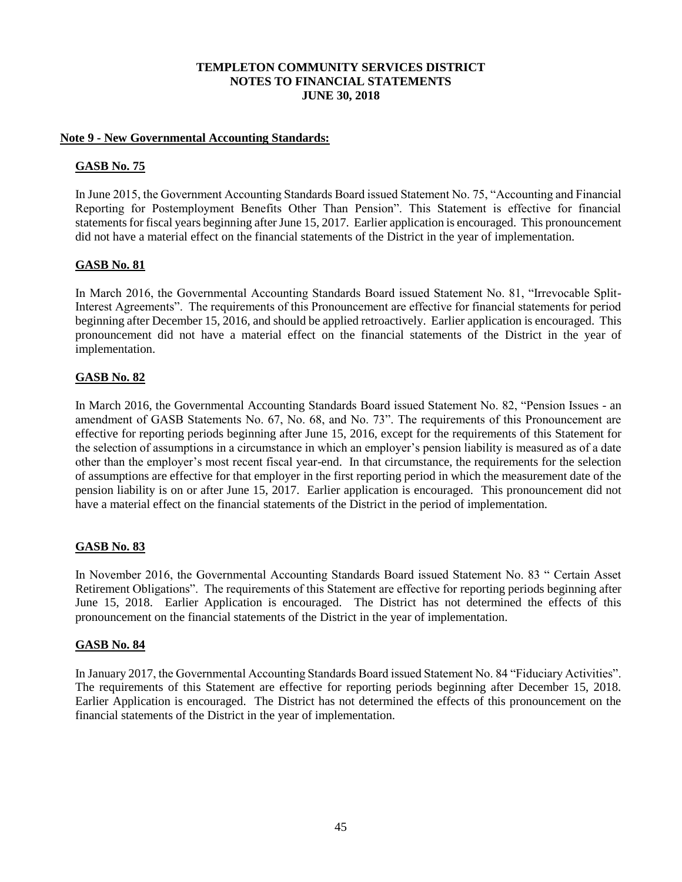## **Note 9 - New Governmental Accounting Standards:**

## **GASB No. 75**

In June 2015, the Government Accounting Standards Board issued Statement No. 75, "Accounting and Financial Reporting for Postemployment Benefits Other Than Pension". This Statement is effective for financial statements for fiscal years beginning after June 15, 2017. Earlier application is encouraged. This pronouncement did not have a material effect on the financial statements of the District in the year of implementation.

## **GASB No. 81**

In March 2016, the Governmental Accounting Standards Board issued Statement No. 81, "Irrevocable Split-Interest Agreements". The requirements of this Pronouncement are effective for financial statements for period beginning after December 15, 2016, and should be applied retroactively. Earlier application is encouraged. This pronouncement did not have a material effect on the financial statements of the District in the year of implementation.

## **GASB No. 82**

In March 2016, the Governmental Accounting Standards Board issued Statement No. 82, "Pension Issues - an amendment of GASB Statements No. 67, No. 68, and No. 73". The requirements of this Pronouncement are effective for reporting periods beginning after June 15, 2016, except for the requirements of this Statement for the selection of assumptions in a circumstance in which an employer's pension liability is measured as of a date other than the employer's most recent fiscal year-end. In that circumstance, the requirements for the selection of assumptions are effective for that employer in the first reporting period in which the measurement date of the pension liability is on or after June 15, 2017. Earlier application is encouraged. This pronouncement did not have a material effect on the financial statements of the District in the period of implementation.

## **GASB No. 83**

In November 2016, the Governmental Accounting Standards Board issued Statement No. 83 " Certain Asset Retirement Obligations". The requirements of this Statement are effective for reporting periods beginning after June 15, 2018. Earlier Application is encouraged. The District has not determined the effects of this pronouncement on the financial statements of the District in the year of implementation.

## **GASB No. 84**

In January 2017, the Governmental Accounting Standards Board issued Statement No. 84 "Fiduciary Activities". The requirements of this Statement are effective for reporting periods beginning after December 15, 2018. Earlier Application is encouraged. The District has not determined the effects of this pronouncement on the financial statements of the District in the year of implementation.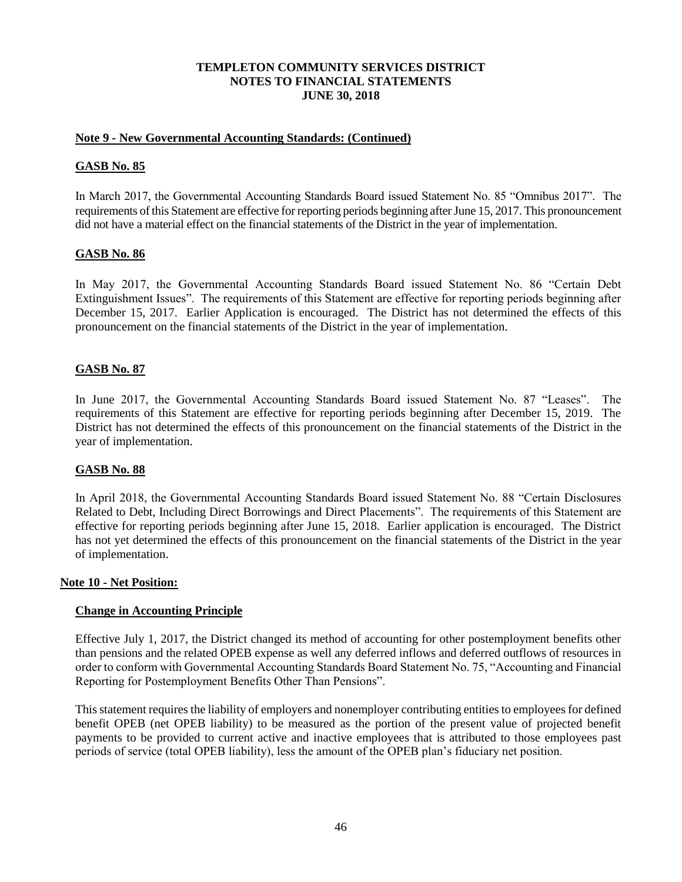### **Note 9 - New Governmental Accounting Standards: (Continued)**

### **GASB No. 85**

In March 2017, the Governmental Accounting Standards Board issued Statement No. 85 "Omnibus 2017". The requirements of this Statement are effective for reporting periods beginning after June 15, 2017. This pronouncement did not have a material effect on the financial statements of the District in the year of implementation.

### **GASB No. 86**

In May 2017, the Governmental Accounting Standards Board issued Statement No. 86 "Certain Debt Extinguishment Issues". The requirements of this Statement are effective for reporting periods beginning after December 15, 2017. Earlier Application is encouraged. The District has not determined the effects of this pronouncement on the financial statements of the District in the year of implementation.

## **GASB No. 87**

In June 2017, the Governmental Accounting Standards Board issued Statement No. 87 "Leases". The requirements of this Statement are effective for reporting periods beginning after December 15, 2019. The District has not determined the effects of this pronouncement on the financial statements of the District in the year of implementation.

#### **GASB No. 88**

In April 2018, the Governmental Accounting Standards Board issued Statement No. 88 "Certain Disclosures Related to Debt, Including Direct Borrowings and Direct Placements". The requirements of this Statement are effective for reporting periods beginning after June 15, 2018. Earlier application is encouraged. The District has not yet determined the effects of this pronouncement on the financial statements of the District in the year of implementation.

#### **Note 10 - Net Position:**

#### **Change in Accounting Principle**

Effective July 1, 2017, the District changed its method of accounting for other postemployment benefits other than pensions and the related OPEB expense as well any deferred inflows and deferred outflows of resources in order to conform with Governmental Accounting Standards Board Statement No. 75, "Accounting and Financial Reporting for Postemployment Benefits Other Than Pensions".

This statement requires the liability of employers and nonemployer contributing entities to employees for defined benefit OPEB (net OPEB liability) to be measured as the portion of the present value of projected benefit payments to be provided to current active and inactive employees that is attributed to those employees past periods of service (total OPEB liability), less the amount of the OPEB plan's fiduciary net position.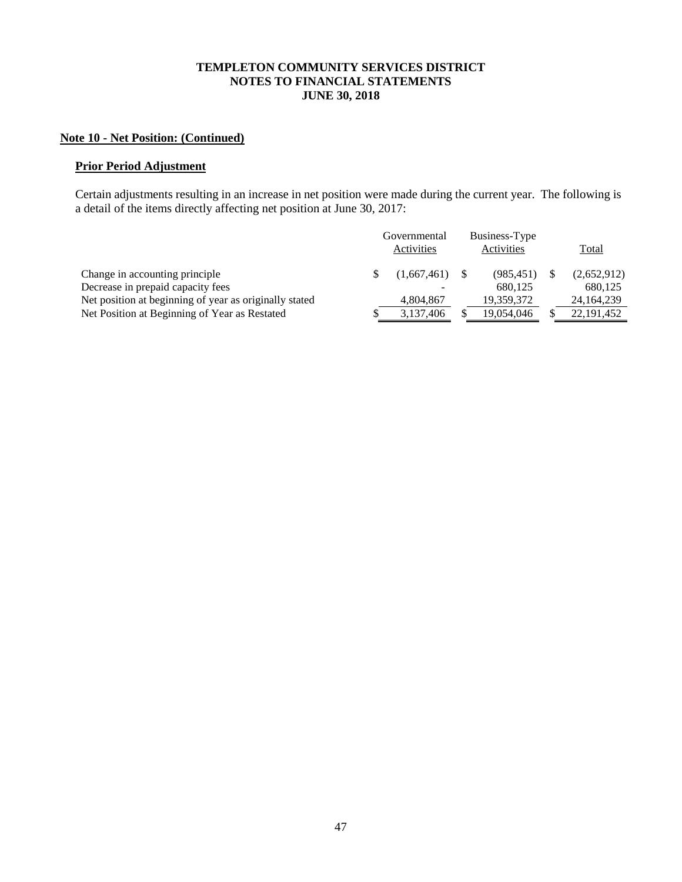# **Note 10 - Net Position: (Continued)**

## **Prior Period Adjustment**

Certain adjustments resulting in an increase in net position were made during the current year. The following is a detail of the items directly affecting net position at June 30, 2017:

|                                                                                             | Governmental<br>Activities | Business-Type<br>Activities | <b>Total</b>            |
|---------------------------------------------------------------------------------------------|----------------------------|-----------------------------|-------------------------|
| Change in accounting principle                                                              | $(1,667,461)$ \$           | (985, 451)                  | (2,652,912)             |
| Decrease in prepaid capacity fees<br>Net position at beginning of year as originally stated | 4,804,867                  | 680.125<br>19,359,372       | 680.125<br>24, 164, 239 |
| Net Position at Beginning of Year as Restated                                               | 3,137,406                  | 19,054,046                  | 22, 191, 452            |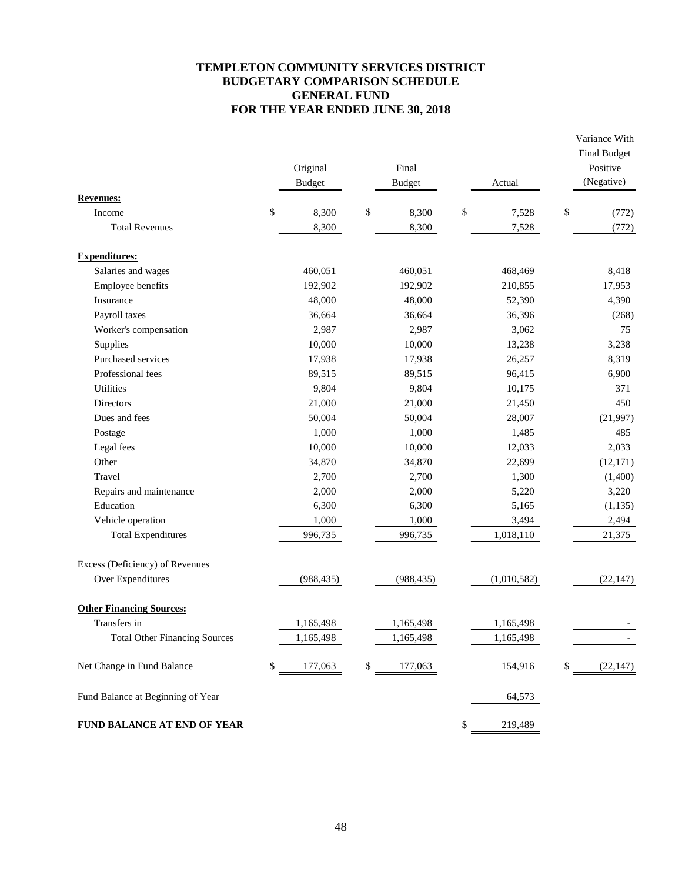## **TEMPLETON COMMUNITY SERVICES DISTRICT BUDGETARY COMPARISON SCHEDULE GENERAL FUND FOR THE YEAR ENDED JUNE 30, 2018**

Variance With

|                                      | Original<br><b>Budget</b> | Final<br><b>Budget</b> | Actual        | <b>Final Budget</b><br>Positive<br>(Negative) |
|--------------------------------------|---------------------------|------------------------|---------------|-----------------------------------------------|
| <b>Revenues:</b>                     |                           |                        |               |                                               |
| Income                               | \$<br>8,300               | \$<br>8,300            | \$<br>7,528   | \$<br>(772)                                   |
| <b>Total Revenues</b>                | 8,300                     | 8,300                  | 7,528         | (772)                                         |
| <b>Expenditures:</b>                 |                           |                        |               |                                               |
| Salaries and wages                   | 460,051                   | 460,051                | 468,469       | 8,418                                         |
| Employee benefits                    | 192,902                   | 192,902                | 210,855       | 17,953                                        |
| Insurance                            | 48,000                    | 48,000                 | 52,390        | 4,390                                         |
| Payroll taxes                        | 36,664                    | 36,664                 | 36,396        | (268)                                         |
| Worker's compensation                | 2,987                     | 2,987                  | 3,062         | 75                                            |
| Supplies                             | 10,000                    | 10,000                 | 13,238        | 3,238                                         |
| Purchased services                   | 17,938                    | 17,938                 | 26,257        | 8,319                                         |
| Professional fees                    | 89,515                    | 89,515                 | 96,415        | 6,900                                         |
| <b>Utilities</b>                     | 9,804                     | 9,804                  | 10,175        | 371                                           |
| <b>Directors</b>                     | 21,000                    | 21,000                 | 21,450        | 450                                           |
| Dues and fees                        | 50,004                    | 50,004                 | 28,007        | (21,997)                                      |
| Postage                              | 1,000                     | 1,000                  | 1,485         | 485                                           |
| Legal fees                           | 10,000                    | 10,000                 | 12,033        | 2,033                                         |
| Other                                | 34,870                    | 34,870                 | 22,699        | (12, 171)                                     |
| Travel                               | 2,700                     | 2,700                  | 1,300         | (1,400)                                       |
| Repairs and maintenance              | 2,000                     | 2,000                  | 5,220         | 3,220                                         |
| Education                            | 6,300                     | 6,300                  | 5,165         | (1, 135)                                      |
| Vehicle operation                    | 1,000                     | 1,000                  | 3,494         | 2,494                                         |
| <b>Total Expenditures</b>            | 996,735                   | 996,735                | 1,018,110     | 21,375                                        |
| Excess (Deficiency) of Revenues      |                           |                        |               |                                               |
| Over Expenditures                    | (988, 435)                | (988, 435)             | (1,010,582)   | (22, 147)                                     |
| <b>Other Financing Sources:</b>      |                           |                        |               |                                               |
| Transfers in                         | 1,165,498                 | 1,165,498              | 1,165,498     |                                               |
| <b>Total Other Financing Sources</b> | 1,165,498                 | 1,165,498              | 1,165,498     |                                               |
| Net Change in Fund Balance           | \$<br>177,063             | \$<br>177,063          | 154,916       | \$<br>(22, 147)                               |
| Fund Balance at Beginning of Year    |                           |                        | 64,573        |                                               |
| FUND BALANCE AT END OF YEAR          |                           |                        | \$<br>219,489 |                                               |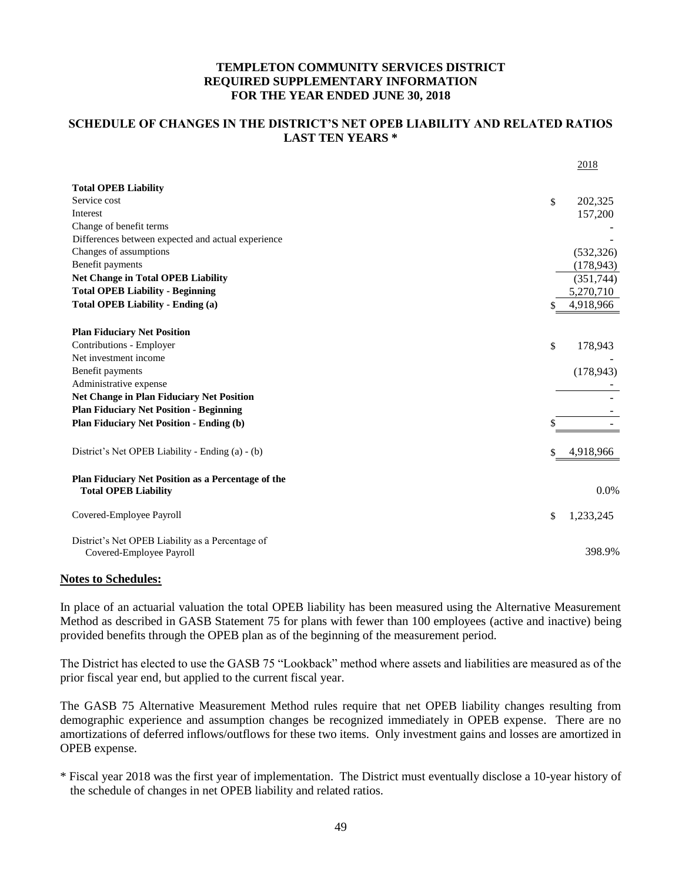## **SCHEDULE OF CHANGES IN THE DISTRICT'S NET OPEB LIABILITY AND RELATED RATIOS LAST TEN YEARS \***

|                                                                                   |    | 2018       |
|-----------------------------------------------------------------------------------|----|------------|
| <b>Total OPEB Liability</b>                                                       |    |            |
| Service cost                                                                      | \$ | 202,325    |
| Interest                                                                          |    | 157,200    |
| Change of benefit terms                                                           |    |            |
| Differences between expected and actual experience                                |    |            |
| Changes of assumptions                                                            |    | (532, 326) |
| Benefit payments                                                                  |    | (178, 943) |
| <b>Net Change in Total OPEB Liability</b>                                         |    | (351,744)  |
| <b>Total OPEB Liability - Beginning</b>                                           |    | 5,270,710  |
| <b>Total OPEB Liability - Ending (a)</b>                                          |    | 4,918,966  |
| <b>Plan Fiduciary Net Position</b>                                                |    |            |
| Contributions - Employer                                                          | \$ | 178,943    |
| Net investment income                                                             |    |            |
| Benefit payments                                                                  |    | (178, 943) |
| Administrative expense                                                            |    |            |
| <b>Net Change in Plan Fiduciary Net Position</b>                                  |    |            |
| <b>Plan Fiduciary Net Position - Beginning</b>                                    |    |            |
| <b>Plan Fiduciary Net Position - Ending (b)</b>                                   | S  |            |
| District's Net OPEB Liability - Ending (a) - (b)                                  | \$ | 4,918,966  |
| Plan Fiduciary Net Position as a Percentage of the<br><b>Total OPEB Liability</b> |    | $0.0\%$    |
| Covered-Employee Payroll                                                          | \$ | 1,233,245  |
| District's Net OPEB Liability as a Percentage of<br>Covered-Employee Payroll      |    | 398.9%     |

#### **Notes to Schedules:**

In place of an actuarial valuation the total OPEB liability has been measured using the Alternative Measurement Method as described in GASB Statement 75 for plans with fewer than 100 employees (active and inactive) being provided benefits through the OPEB plan as of the beginning of the measurement period.

The District has elected to use the GASB 75 "Lookback" method where assets and liabilities are measured as of the prior fiscal year end, but applied to the current fiscal year.

The GASB 75 Alternative Measurement Method rules require that net OPEB liability changes resulting from demographic experience and assumption changes be recognized immediately in OPEB expense. There are no amortizations of deferred inflows/outflows for these two items. Only investment gains and losses are amortized in OPEB expense.

\* Fiscal year 2018 was the first year of implementation. The District must eventually disclose a 10-year history of the schedule of changes in net OPEB liability and related ratios.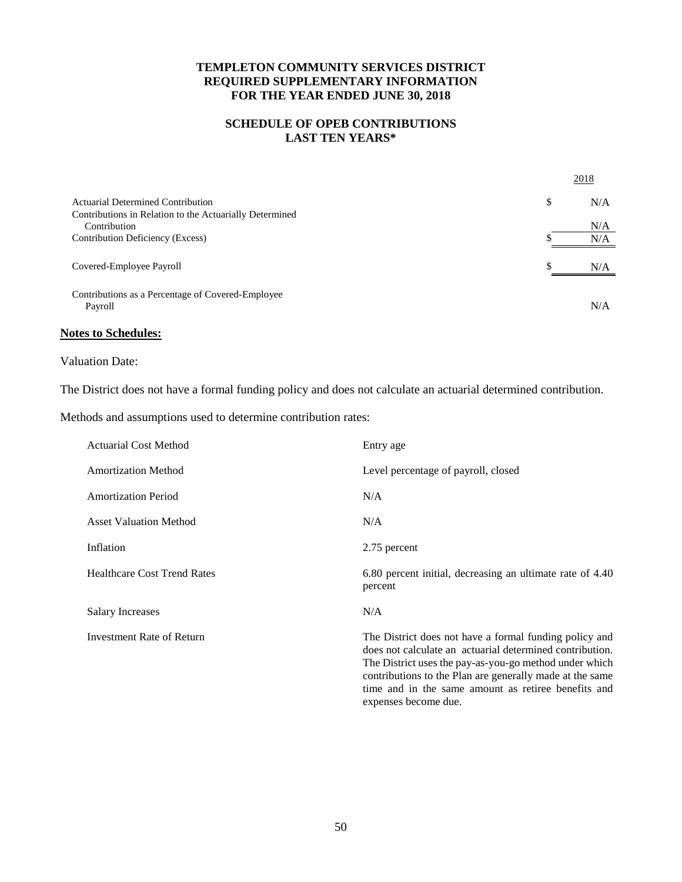## **SCHEDULE OF OPEB CONTRIBUTIONS LAST TEN YEARS\***

|                                                              |     | 2018 |
|--------------------------------------------------------------|-----|------|
| Actuarial Determined Contribution                            | \$  | N/A  |
| Contributions in Relation to the Actuarially Determined      |     |      |
| Contribution                                                 |     | N/A  |
| Contribution Deficiency (Excess)                             |     | N/A  |
| Covered-Employee Payroll                                     | \$. | N/A  |
| Contributions as a Percentage of Covered-Employee<br>Payroll |     | N/A  |

## **Notes to Schedules:**

### Valuation Date:

The District does not have a formal funding policy and does not calculate an actuarial determined contribution.

Methods and assumptions used to determine contribution rates:

| <b>Actuarial Cost Method</b>       | Entry age                                                                                                                                                                                                                                                                                       |
|------------------------------------|-------------------------------------------------------------------------------------------------------------------------------------------------------------------------------------------------------------------------------------------------------------------------------------------------|
| <b>Amortization Method</b>         | Level percentage of payroll, closed                                                                                                                                                                                                                                                             |
| <b>Amortization Period</b>         | N/A                                                                                                                                                                                                                                                                                             |
| <b>Asset Valuation Method</b>      | N/A                                                                                                                                                                                                                                                                                             |
| Inflation                          | 2.75 percent                                                                                                                                                                                                                                                                                    |
| <b>Healthcare Cost Trend Rates</b> | 6.80 percent initial, decreasing an ultimate rate of 4.40<br>percent                                                                                                                                                                                                                            |
| Salary Increases                   | N/A                                                                                                                                                                                                                                                                                             |
| Investment Rate of Return          | The District does not have a formal funding policy and<br>does not calculate an actuarial determined contribution.<br>The District uses the pay-as-you-go method under which<br>contributions to the Plan are generally made at the same<br>time and in the same amount as retiree benefits and |

expenses become due.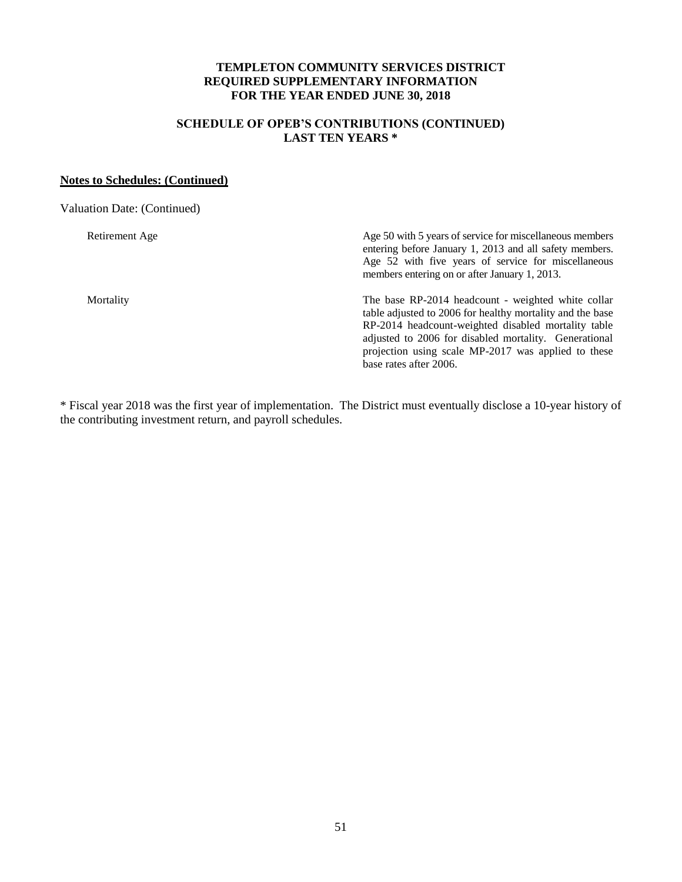## **SCHEDULE OF OPEB'S CONTRIBUTIONS (CONTINUED) LAST TEN YEARS \***

### **Notes to Schedules: (Continued)**

Valuation Date: (Continued) Retirement Age Age 50 with 5 years of service for miscellaneous members entering before January 1, 2013 and all safety members. Age 52 with five years of service for miscellaneous members entering on or after January 1, 2013. Mortality The base RP-2014 headcount - weighted white collar table adjusted to 2006 for healthy mortality and the base RP-2014 headcount-weighted disabled mortality table adjusted to 2006 for disabled mortality. Generational projection using scale MP-2017 was applied to these base rates after 2006.

\* Fiscal year 2018 was the first year of implementation. The District must eventually disclose a 10-year history of the contributing investment return, and payroll schedules.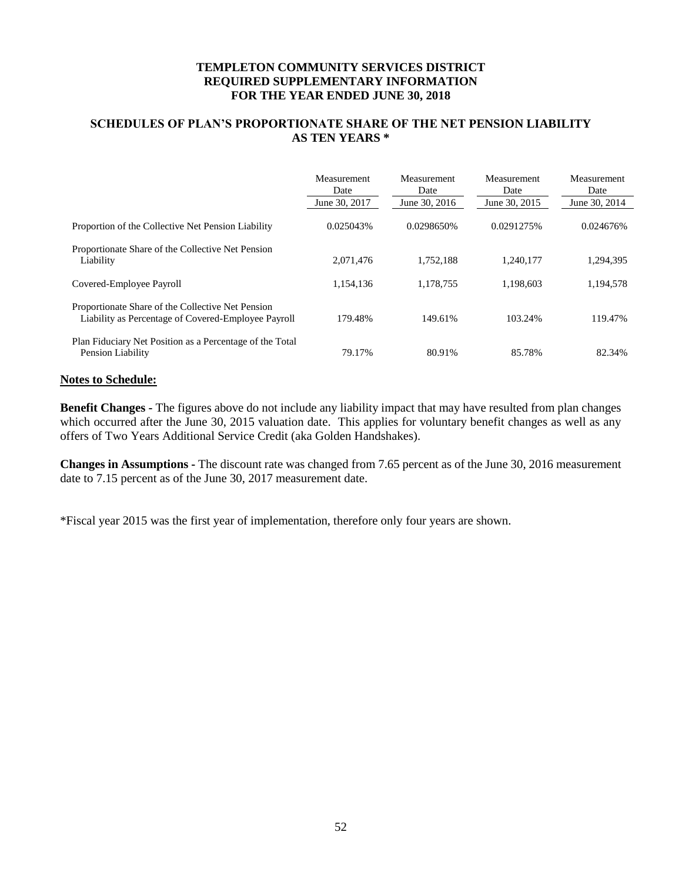## **SCHEDULES OF PLAN'S PROPORTIONATE SHARE OF THE NET PENSION LIABILITY AS TEN YEARS \***

|                                                                                                          | Measurement<br>Date<br>June 30, 2017 | Measurement<br>Date<br>June 30, 2016 | Measurement<br>Date<br>June 30, 2015 | Measurement<br>Date<br>June 30, 2014 |
|----------------------------------------------------------------------------------------------------------|--------------------------------------|--------------------------------------|--------------------------------------|--------------------------------------|
| Proportion of the Collective Net Pension Liability                                                       | 0.025043\%                           | 0.0298650%                           | 0.0291275%                           | 0.024676%                            |
| Proportionate Share of the Collective Net Pension<br>Liability                                           | 2,071,476                            | 1.752.188                            | 1.240.177                            | 1,294,395                            |
| Covered-Employee Payroll                                                                                 | 1,154,136                            | 1,178,755                            | 1,198,603                            | 1,194,578                            |
| Proportionate Share of the Collective Net Pension<br>Liability as Percentage of Covered-Employee Payroll | 179.48%                              | 149.61%                              | 103.24%                              | 119.47%                              |
| Plan Fiduciary Net Position as a Percentage of the Total<br>Pension Liability                            | 79.17%                               | 80.91%                               | 85.78%                               | 82.34%                               |

### **Notes to Schedule:**

**Benefit Changes -** The figures above do not include any liability impact that may have resulted from plan changes which occurred after the June 30, 2015 valuation date. This applies for voluntary benefit changes as well as any offers of Two Years Additional Service Credit (aka Golden Handshakes).

**Changes in Assumptions -** The discount rate was changed from 7.65 percent as of the June 30, 2016 measurement date to 7.15 percent as of the June 30, 2017 measurement date.

\*Fiscal year 2015 was the first year of implementation, therefore only four years are shown.